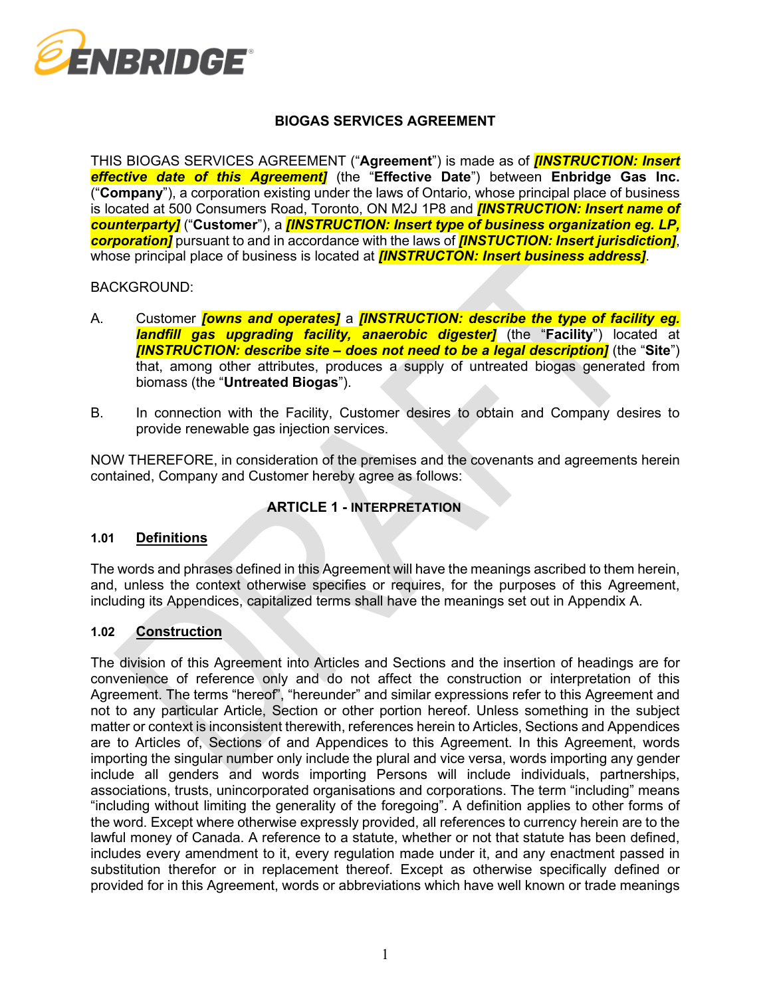

# **BIOGAS SERVICES AGREEMENT**

THIS BIOGAS SERVICES AGREEMENT ("**Agreement**") is made as of *[INSTRUCTION: Insert effective date of this Agreement]* (the "**Effective Date**") between **Enbridge Gas Inc.** ("**Company**"), a corporation existing under the laws of Ontario, whose principal place of business is located at 500 Consumers Road, Toronto, ON M2J 1P8 and *[INSTRUCTION: Insert name of counterparty]* ("**Customer**"), a *[INSTRUCTION: Insert type of business organization eg. LP, corporation]* pursuant to and in accordance with the laws of *[INSTUCTION: Insert jurisdiction]*, whose principal place of business is located at *[INSTRUCTON: Insert business address]*.

### BACKGROUND:

- A. Customer *[owns and operates]* a *[INSTRUCTION: describe the type of facility eg. landfill gas upgrading facility, anaerobic digester]* (the "**Facility**") located at *[INSTRUCTION: describe site – does not need to be a legal description]* (the "**Site**") that, among other attributes, produces a supply of untreated biogas generated from biomass (the "**Untreated Biogas**").
- B. In connection with the Facility, Customer desires to obtain and Company desires to provide renewable gas injection services.

NOW THEREFORE, in consideration of the premises and the covenants and agreements herein contained, Company and Customer hereby agree as follows:

# **ARTICLE 1 - INTERPRETATION**

#### <span id="page-0-1"></span>**1.01 Definitions**

The words and phrases defined in this Agreement will have the meanings ascribed to them herein, and, unless the context otherwise specifies or requires, for the purposes of this Agreement, including its Appendices, capitalized terms shall have the meanings set out in Appendix A.

#### <span id="page-0-0"></span>**1.02 Construction**

The division of this Agreement into Articles and Sections and the insertion of headings are for convenience of reference only and do not affect the construction or interpretation of this Agreement. The terms "hereof", "hereunder" and similar expressions refer to this Agreement and not to any particular Article, Section or other portion hereof. Unless something in the subject matter or context is inconsistent therewith, references herein to Articles, Sections and Appendices are to Articles of, Sections of and Appendices to this Agreement. In this Agreement, words importing the singular number only include the plural and vice versa, words importing any gender include all genders and words importing Persons will include individuals, partnerships, associations, trusts, unincorporated organisations and corporations. The term "including" means "including without limiting the generality of the foregoing". A definition applies to other forms of the word. Except where otherwise expressly provided, all references to currency herein are to the lawful money of Canada. A reference to a statute, whether or not that statute has been defined, includes every amendment to it, every regulation made under it, and any enactment passed in substitution therefor or in replacement thereof. Except as otherwise specifically defined or provided for in this Agreement, words or abbreviations which have well known or trade meanings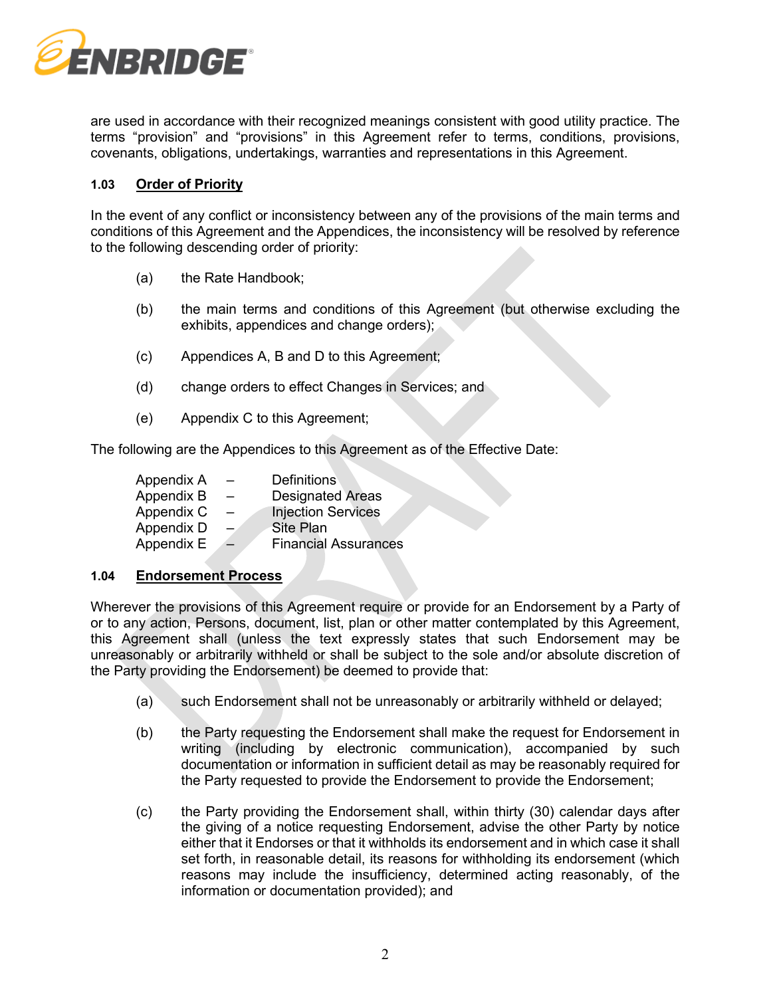

are used in accordance with their recognized meanings consistent with good utility practice. The terms "provision" and "provisions" in this Agreement refer to terms, conditions, provisions, covenants, obligations, undertakings, warranties and representations in this Agreement.

### <span id="page-1-1"></span>**1.03 Order of Priority**

In the event of any conflict or inconsistency between any of the provisions of the main terms and conditions of this Agreement and the Appendices, the inconsistency will be resolved by reference to the following descending order of priority:

- (a) the Rate Handbook;
- (b) the main terms and conditions of this Agreement (but otherwise excluding the exhibits, appendices and change orders);
- (c) Appendices A, B and D to this Agreement;
- (d) change orders to effect Changes in Services; and
- (e) Appendix C to this Agreement;

The following are the Appendices to this Agreement as of the Effective Date:

| Appendix A |                          | <b>Definitions</b>          |
|------------|--------------------------|-----------------------------|
| Appendix B | $\qquad \qquad =$        | <b>Designated Areas</b>     |
| Appendix C | $\overline{\phantom{m}}$ | <b>Injection Services</b>   |
| Appendix D |                          | Site Plan                   |
| Appendix E | $\!=$                    | <b>Financial Assurances</b> |

#### <span id="page-1-2"></span>**1.04 Endorsement Process**

Wherever the provisions of this Agreement require or provide for an Endorsement by a Party of or to any action, Persons, document, list, plan or other matter contemplated by this Agreement, this Agreement shall (unless the text expressly states that such Endorsement may be unreasonably or arbitrarily withheld or shall be subject to the sole and/or absolute discretion of the Party providing the Endorsement) be deemed to provide that:

- (a) such Endorsement shall not be unreasonably or arbitrarily withheld or delayed;
- (b) the Party requesting the Endorsement shall make the request for Endorsement in writing (including by electronic communication), accompanied by such documentation or information in sufficient detail as may be reasonably required for the Party requested to provide the Endorsement to provide the Endorsement;
- <span id="page-1-0"></span>(c) the Party providing the Endorsement shall, within thirty (30) calendar days after the giving of a notice requesting Endorsement, advise the other Party by notice either that it Endorses or that it withholds its endorsement and in which case it shall set forth, in reasonable detail, its reasons for withholding its endorsement (which reasons may include the insufficiency, determined acting reasonably, of the information or documentation provided); and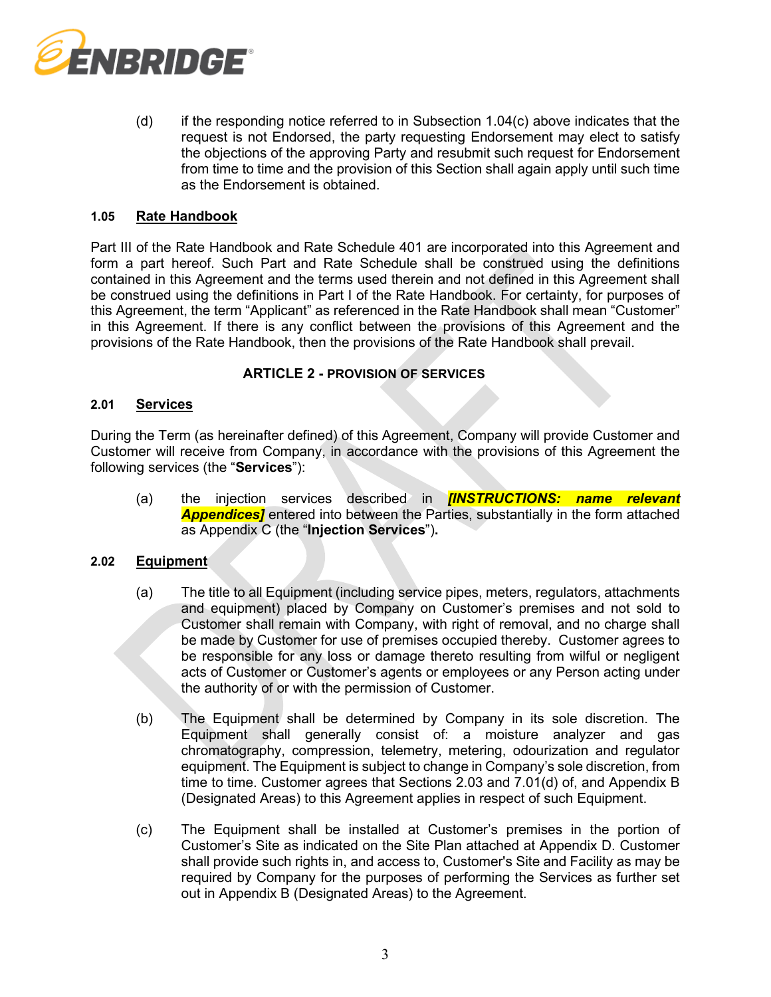

(d) if the responding notice referred to in Subsection [1.04\(c\)](#page-1-0) above indicates that the request is not Endorsed, the party requesting Endorsement may elect to satisfy the objections of the approving Party and resubmit such request for Endorsement from time to time and the provision of this Section shall again apply until such time as the Endorsement is obtained.

### **1.05 Rate Handbook**

Part III of the Rate Handbook and Rate Schedule 401 are incorporated into this Agreement and form a part hereof. Such Part and Rate Schedule shall be construed using the definitions contained in this Agreement and the terms used therein and not defined in this Agreement shall be construed using the definitions in Part I of the Rate Handbook. For certainty, for purposes of this Agreement, the term "Applicant" as referenced in the Rate Handbook shall mean "Customer" in this Agreement. If there is any conflict between the provisions of this Agreement and the provisions of the Rate Handbook, then the provisions of the Rate Handbook shall prevail.

### **ARTICLE 2 - PROVISION OF SERVICES**

#### **2.01 Services**

During the Term (as hereinafter defined) of this Agreement, Company will provide Customer and Customer will receive from Company, in accordance with the provisions of this Agreement the following services (the "**Services**"):

<span id="page-2-0"></span>(a) the injection services described in *[INSTRUCTIONS: name relevant Appendices]* entered into between the Parties, substantially in the form attached as Appendix C (the "**Injection Services**")**.**

#### **2.02 Equipment**

- (a) The title to all Equipment (including service pipes, meters, regulators, attachments and equipment) placed by Company on Customer's premises and not sold to Customer shall remain with Company, with right of removal, and no charge shall be made by Customer for use of premises occupied thereby. Customer agrees to be responsible for any loss or damage thereto resulting from wilful or negligent acts of Customer or Customer's agents or employees or any Person acting under the authority of or with the permission of Customer.
- (b) The Equipment shall be determined by Company in its sole discretion. The Equipment shall generally consist of: a moisture analyzer and gas chromatography, compression, telemetry, metering, odourization and regulator equipment. The Equipment is subject to change in Company's sole discretion, from time to time. Customer agrees that Sections [2.03](#page-3-0) and [7.01\(d\)](#page-7-0) of, and Appendix B (Designated Areas) to this Agreement applies in respect of such Equipment.
- (c) The Equipment shall be installed at Customer's premises in the portion of Customer's Site as indicated on the Site Plan attached at Appendix D. Customer shall provide such rights in, and access to, Customer's Site and Facility as may be required by Company for the purposes of performing the Services as further set out in Appendix B (Designated Areas) to the Agreement.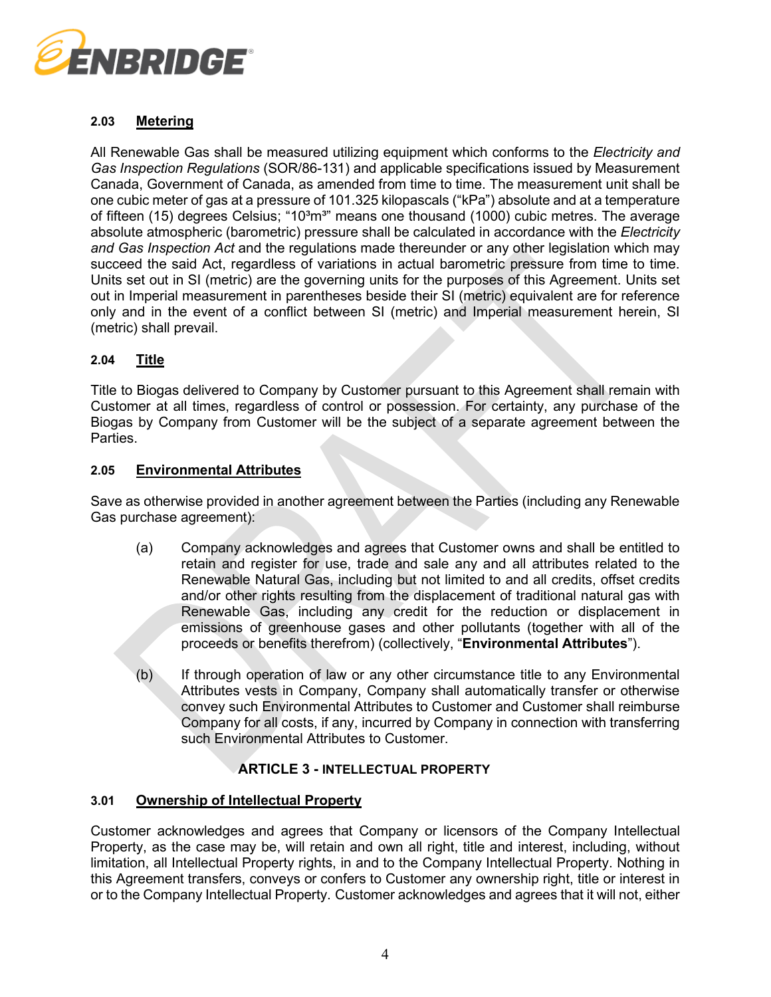

# <span id="page-3-0"></span>**2.03 Metering**

All Renewable Gas shall be measured utilizing equipment which conforms to the *Electricity and Gas Inspection Regulations* (SOR/86-131) and applicable specifications issued by Measurement Canada, Government of Canada, as amended from time to time. The measurement unit shall be one cubic meter of gas at a pressure of 101.325 kilopascals ("kPa") absolute and at a temperature of fifteen (15) degrees Celsius; "10 $\degree$ m<sup>3</sup>" means one thousand (1000) cubic metres. The average absolute atmospheric (barometric) pressure shall be calculated in accordance with the *Electricity and Gas Inspection Act* and the regulations made thereunder or any other legislation which may succeed the said Act, regardless of variations in actual barometric pressure from time to time. Units set out in SI (metric) are the governing units for the purposes of this Agreement. Units set out in Imperial measurement in parentheses beside their SI (metric) equivalent are for reference only and in the event of a conflict between SI (metric) and Imperial measurement herein, SI (metric) shall prevail.

# **2.04 Title**

Title to Biogas delivered to Company by Customer pursuant to this Agreement shall remain with Customer at all times, regardless of control or possession. For certainty, any purchase of the Biogas by Company from Customer will be the subject of a separate agreement between the Parties.

### <span id="page-3-1"></span>**2.05 Environmental Attributes**

<span id="page-3-2"></span>Save as otherwise provided in another agreement between the Parties (including any Renewable Gas purchase agreement):

- (a) Company acknowledges and agrees that Customer owns and shall be entitled to retain and register for use, trade and sale any and all attributes related to the Renewable Natural Gas, including but not limited to and all credits, offset credits and/or other rights resulting from the displacement of traditional natural gas with Renewable Gas, including any credit for the reduction or displacement in emissions of greenhouse gases and other pollutants (together with all of the proceeds or benefits therefrom) (collectively, "**Environmental Attributes**").
- (b) If through operation of law or any other circumstance title to any Environmental Attributes vests in Company, Company shall automatically transfer or otherwise convey such Environmental Attributes to Customer and Customer shall reimburse Company for all costs, if any, incurred by Company in connection with transferring such Environmental Attributes to Customer.

# **ARTICLE 3 - INTELLECTUAL PROPERTY**

#### **3.01 Ownership of Intellectual Property**

Customer acknowledges and agrees that Company or licensors of the Company Intellectual Property, as the case may be, will retain and own all right, title and interest, including, without limitation, all Intellectual Property rights, in and to the Company Intellectual Property. Nothing in this Agreement transfers, conveys or confers to Customer any ownership right, title or interest in or to the Company Intellectual Property. Customer acknowledges and agrees that it will not, either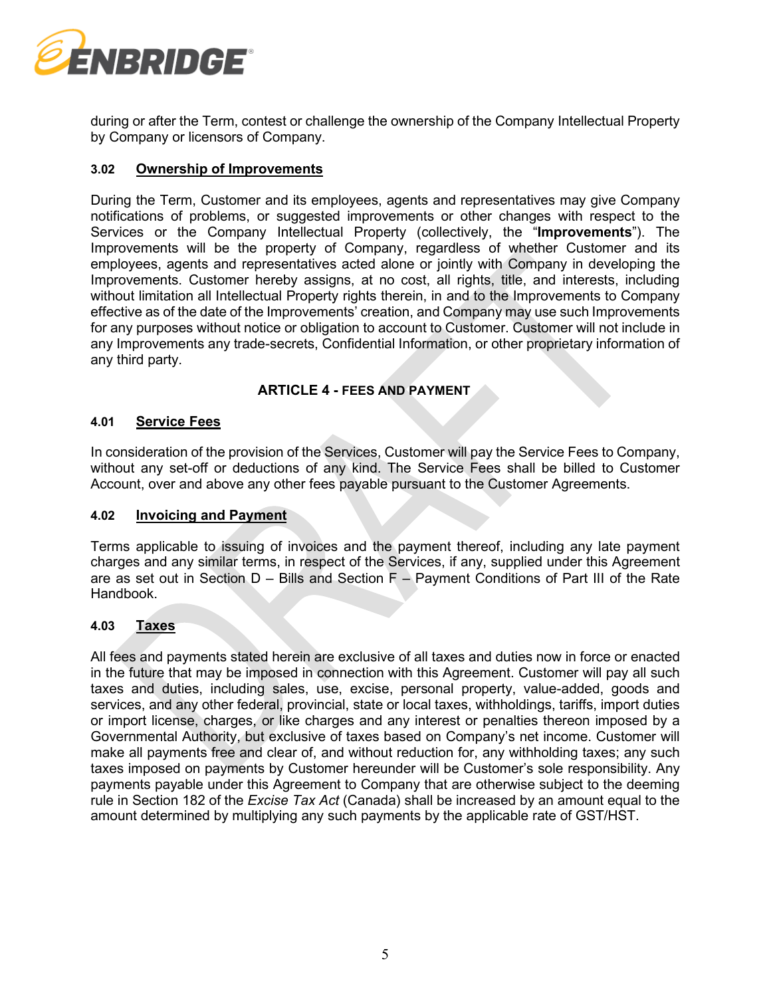

during or after the Term, contest or challenge the ownership of the Company Intellectual Property by Company or licensors of Company.

### <span id="page-4-0"></span>**3.02 Ownership of Improvements**

During the Term, Customer and its employees, agents and representatives may give Company notifications of problems, or suggested improvements or other changes with respect to the Services or the Company Intellectual Property (collectively, the "**Improvements**"). The Improvements will be the property of Company, regardless of whether Customer and its employees, agents and representatives acted alone or jointly with Company in developing the Improvements. Customer hereby assigns, at no cost, all rights, title, and interests, including without limitation all Intellectual Property rights therein, in and to the Improvements to Company effective as of the date of the Improvements' creation, and Company may use such Improvements for any purposes without notice or obligation to account to Customer. Customer will not include in any Improvements any trade-secrets, Confidential Information, or other proprietary information of any third party.

### **ARTICLE 4 - FEES AND PAYMENT**

#### **4.01 Service Fees**

In consideration of the provision of the Services, Customer will pay the Service Fees to Company, without any set-off or deductions of any kind. The Service Fees shall be billed to Customer Account, over and above any other fees payable pursuant to the Customer Agreements.

#### <span id="page-4-1"></span>**4.02 Invoicing and Payment**

Terms applicable to issuing of invoices and the payment thereof, including any late payment charges and any similar terms, in respect of the Services, if any, supplied under this Agreement are as set out in Section D – Bills and Section F – Payment Conditions of Part III of the Rate Handbook.

### **4.03 Taxes**

All fees and payments stated herein are exclusive of all taxes and duties now in force or enacted in the future that may be imposed in connection with this Agreement. Customer will pay all such taxes and duties, including sales, use, excise, personal property, value-added, goods and services, and any other federal, provincial, state or local taxes, withholdings, tariffs, import duties or import license, charges, or like charges and any interest or penalties thereon imposed by a Governmental Authority, but exclusive of taxes based on Company's net income. Customer will make all payments free and clear of, and without reduction for, any withholding taxes; any such taxes imposed on payments by Customer hereunder will be Customer's sole responsibility. Any payments payable under this Agreement to Company that are otherwise subject to the deeming rule in Section 182 of the *Excise Tax Act* (Canada) shall be increased by an amount equal to the amount determined by multiplying any such payments by the applicable rate of GST/HST.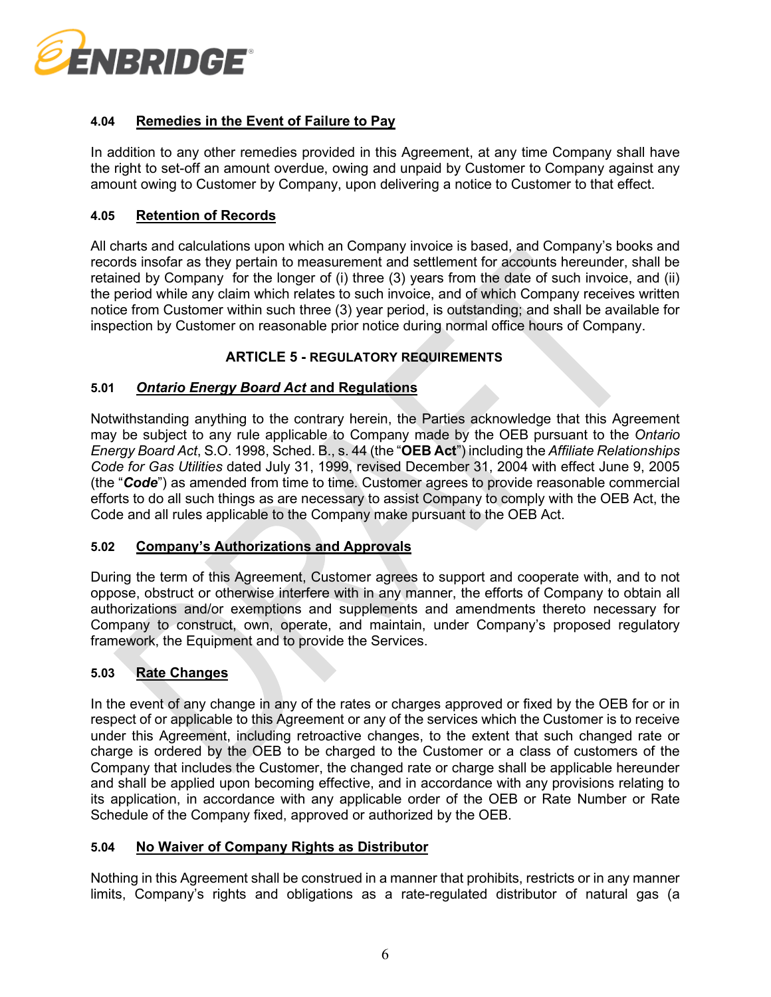

# **4.04 Remedies in the Event of Failure to Pay**

In addition to any other remedies provided in this Agreement, at any time Company shall have the right to set-off an amount overdue, owing and unpaid by Customer to Company against any amount owing to Customer by Company, upon delivering a notice to Customer to that effect.

### **4.05 Retention of Records**

All charts and calculations upon which an Company invoice is based, and Company's books and records insofar as they pertain to measurement and settlement for accounts hereunder, shall be retained by Company for the longer of (i) three (3) years from the date of such invoice, and (ii) the period while any claim which relates to such invoice, and of which Company receives written notice from Customer within such three (3) year period, is outstanding; and shall be available for inspection by Customer on reasonable prior notice during normal office hours of Company.

# **ARTICLE 5 - REGULATORY REQUIREMENTS**

# <span id="page-5-1"></span>**5.01** *Ontario Energy Board Act* **and Regulations**

Notwithstanding anything to the contrary herein, the Parties acknowledge that this Agreement may be subject to any rule applicable to Company made by the OEB pursuant to the *Ontario Energy Board Act*, S.O. 1998, Sched. B., s. 44 (the "**OEB Act**") including the *Affiliate Relationships Code for Gas Utilities* dated July 31, 1999, revised December 31, 2004 with effect June 9, 2005 (the "*Code*") as amended from time to time. Customer agrees to provide reasonable commercial efforts to do all such things as are necessary to assist Company to comply with the OEB Act, the Code and all rules applicable to the Company make pursuant to the OEB Act.

#### **5.02 Company's Authorizations and Approvals**

During the term of this Agreement, Customer agrees to support and cooperate with, and to not oppose, obstruct or otherwise interfere with in any manner, the efforts of Company to obtain all authorizations and/or exemptions and supplements and amendments thereto necessary for Company to construct, own, operate, and maintain, under Company's proposed regulatory framework, the Equipment and to provide the Services.

#### **5.03 Rate Changes**

In the event of any change in any of the rates or charges approved or fixed by the OEB for or in respect of or applicable to this Agreement or any of the services which the Customer is to receive under this Agreement, including retroactive changes, to the extent that such changed rate or charge is ordered by the OEB to be charged to the Customer or a class of customers of the Company that includes the Customer, the changed rate or charge shall be applicable hereunder and shall be applied upon becoming effective, and in accordance with any provisions relating to its application, in accordance with any applicable order of the OEB or Rate Number or Rate Schedule of the Company fixed, approved or authorized by the OEB.

#### <span id="page-5-0"></span>**5.04 No Waiver of Company Rights as Distributor**

Nothing in this Agreement shall be construed in a manner that prohibits, restricts or in any manner limits, Company's rights and obligations as a rate-regulated distributor of natural gas (a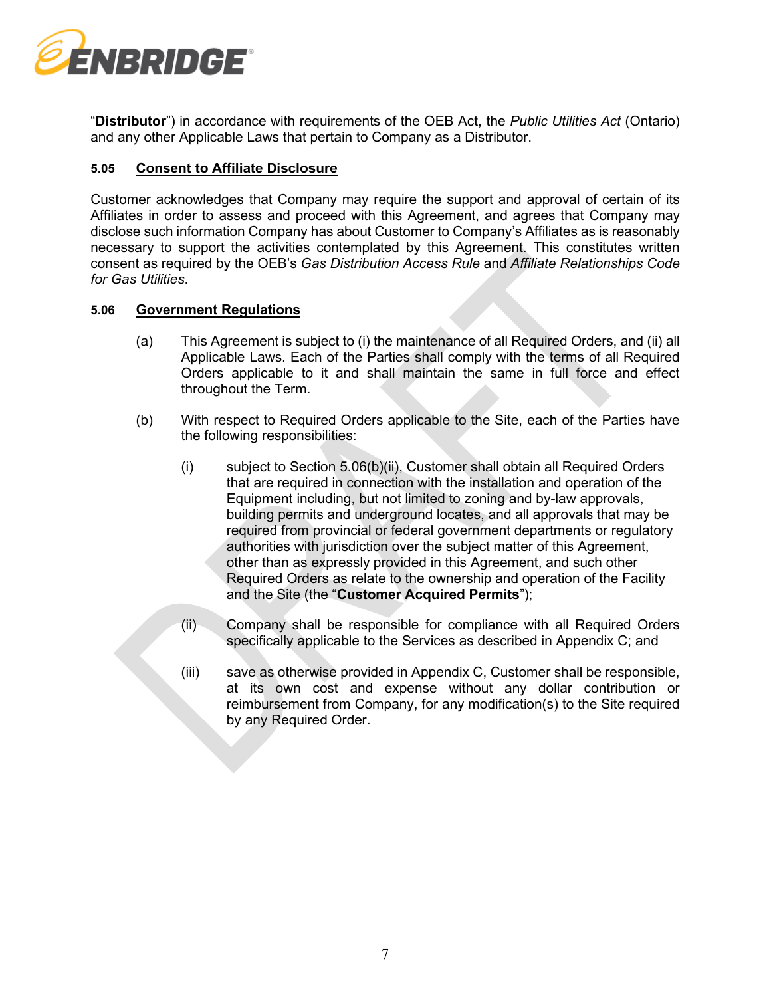

"**Distributor**") in accordance with requirements of the OEB Act, the *Public Utilities Act* (Ontario) and any other Applicable Laws that pertain to Company as a Distributor.

### <span id="page-6-1"></span>**5.05 Consent to Affiliate Disclosure**

Customer acknowledges that Company may require the support and approval of certain of its Affiliates in order to assess and proceed with this Agreement, and agrees that Company may disclose such information Company has about Customer to Company's Affiliates as is reasonably necessary to support the activities contemplated by this Agreement. This constitutes written consent as required by the OEB's *Gas Distribution Access Rule* and *Affiliate Relationships Code for Gas Utilities*.

### **5.06 Government Regulations**

- (a) This Agreement is subject to (i) the maintenance of all Required Orders, and (ii) all Applicable Laws. Each of the Parties shall comply with the terms of all Required Orders applicable to it and shall maintain the same in full force and effect throughout the Term.
- <span id="page-6-2"></span><span id="page-6-0"></span>(b) With respect to Required Orders applicable to the Site, each of the Parties have the following responsibilities:
	- (i) subject to Section [5.06\(b\)\(ii\),](#page-6-0) Customer shall obtain all Required Orders that are required in connection with the installation and operation of the Equipment including, but not limited to zoning and by-law approvals, building permits and underground locates, and all approvals that may be required from provincial or federal government departments or regulatory authorities with jurisdiction over the subject matter of this Agreement, other than as expressly provided in this Agreement, and such other Required Orders as relate to the ownership and operation of the Facility and the Site (the "**Customer Acquired Permits**");
	- (ii) Company shall be responsible for compliance with all Required Orders specifically applicable to the Services as described in Appendix C; and
	- (iii) save as otherwise provided in Appendix C, Customer shall be responsible, at its own cost and expense without any dollar contribution or reimbursement from Company, for any modification(s) to the Site required by any Required Order.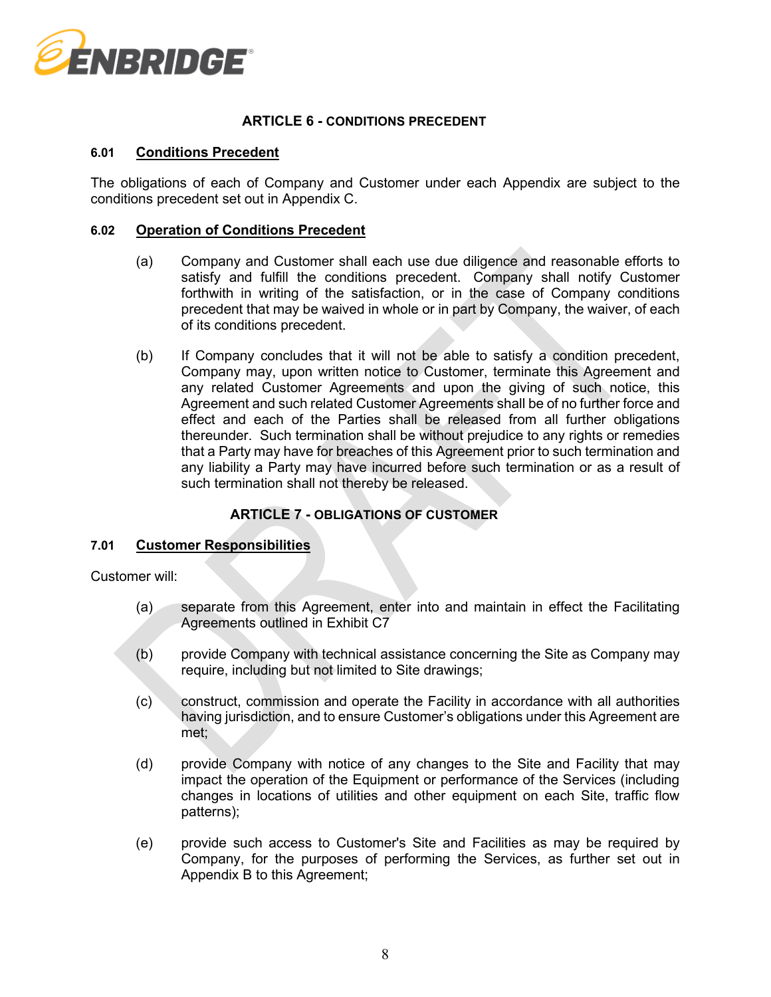

### **ARTICLE 6 - CONDITIONS PRECEDENT**

#### **6.01 Conditions Precedent**

The obligations of each of Company and Customer under each Appendix are subject to the conditions precedent set out in Appendix C.

#### <span id="page-7-1"></span>**6.02 Operation of Conditions Precedent**

- (a) Company and Customer shall each use due diligence and reasonable efforts to satisfy and fulfill the conditions precedent. Company shall notify Customer forthwith in writing of the satisfaction, or in the case of Company conditions precedent that may be waived in whole or in part by Company, the waiver, of each of its conditions precedent.
- <span id="page-7-2"></span>(b) If Company concludes that it will not be able to satisfy a condition precedent, Company may, upon written notice to Customer, terminate this Agreement and any related Customer Agreements and upon the giving of such notice, this Agreement and such related Customer Agreements shall be of no further force and effect and each of the Parties shall be released from all further obligations thereunder. Such termination shall be without prejudice to any rights or remedies that a Party may have for breaches of this Agreement prior to such termination and any liability a Party may have incurred before such termination or as a result of such termination shall not thereby be released.

# **ARTICLE 7 - OBLIGATIONS OF CUSTOMER**

#### **7.01 Customer Responsibilities**

Customer will:

- (a) separate from this Agreement, enter into and maintain in effect the Facilitating Agreements outlined in Exhibit C7
- (b) provide Company with technical assistance concerning the Site as Company may require, including but not limited to Site drawings;
- (c) construct, commission and operate the Facility in accordance with all authorities having jurisdiction, and to ensure Customer's obligations under this Agreement are met;
- <span id="page-7-0"></span>(d) provide Company with notice of any changes to the Site and Facility that may impact the operation of the Equipment or performance of the Services (including changes in locations of utilities and other equipment on each Site, traffic flow patterns);
- (e) provide such access to Customer's Site and Facilities as may be required by Company, for the purposes of performing the Services, as further set out in Appendix B to this Agreement;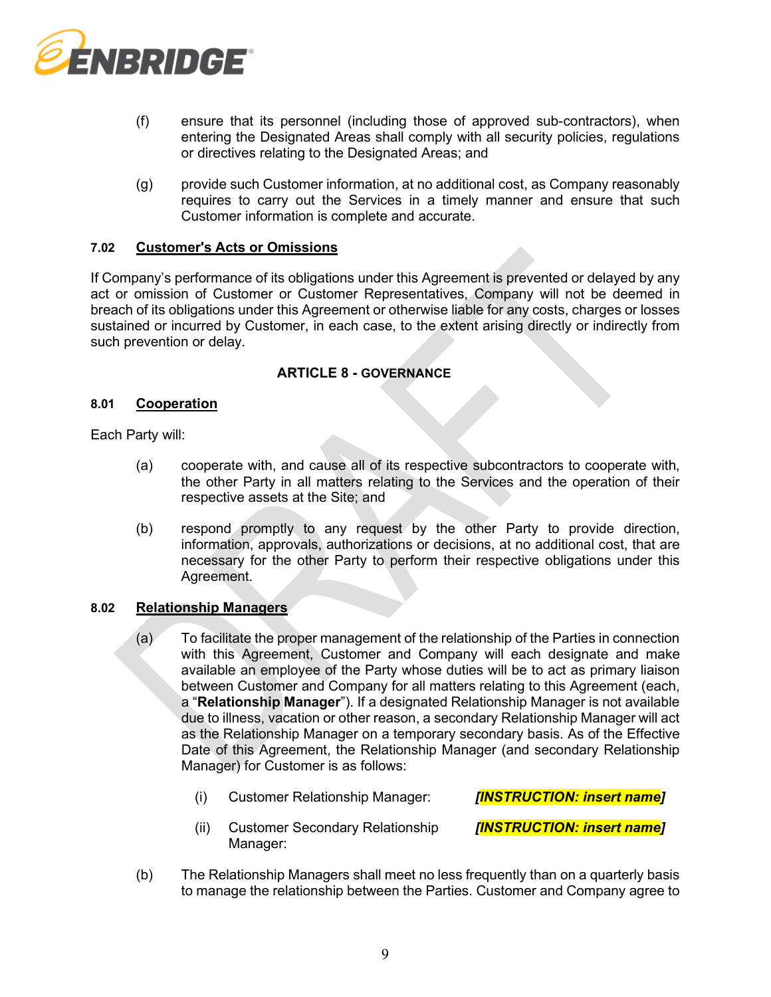

- (f) ensure that its personnel (including those of approved sub-contractors), when entering the Designated Areas shall comply with all security policies, regulations or directives relating to the Designated Areas; and
- (g) provide such Customer information, at no additional cost, as Company reasonably requires to carry out the Services in a timely manner and ensure that such Customer information is complete and accurate.

#### **7.02 Customer's Acts or Omissions**

If Company's performance of its obligations under this Agreement is prevented or delayed by any act or omission of Customer or Customer Representatives, Company will not be deemed in breach of its obligations under this Agreement or otherwise liable for any costs, charges or losses sustained or incurred by Customer, in each case, to the extent arising directly or indirectly from such prevention or delay.

### **ARTICLE 8 - GOVERNANCE**

#### **8.01 Cooperation**

Each Party will:

- (a) cooperate with, and cause all of its respective subcontractors to cooperate with, the other Party in all matters relating to the Services and the operation of their respective assets at the Site; and
- (b) respond promptly to any request by the other Party to provide direction, information, approvals, authorizations or decisions, at no additional cost, that are necessary for the other Party to perform their respective obligations under this Agreement.

#### <span id="page-8-0"></span>**8.02 Relationship Managers**

- (a) To facilitate the proper management of the relationship of the Parties in connection with this Agreement, Customer and Company will each designate and make available an employee of the Party whose duties will be to act as primary liaison between Customer and Company for all matters relating to this Agreement (each, a "**Relationship Manager**"). If a designated Relationship Manager is not available due to illness, vacation or other reason, a secondary Relationship Manager will act as the Relationship Manager on a temporary secondary basis. As of the Effective Date of this Agreement, the Relationship Manager (and secondary Relationship Manager) for Customer is as follows:
	- (i) Customer Relationship Manager: *[INSTRUCTION: insert name]*

*[INSTRUCTION: insert name]*

- (ii) Customer Secondary Relationship Manager:
- (b) The Relationship Managers shall meet no less frequently than on a quarterly basis to manage the relationship between the Parties. Customer and Company agree to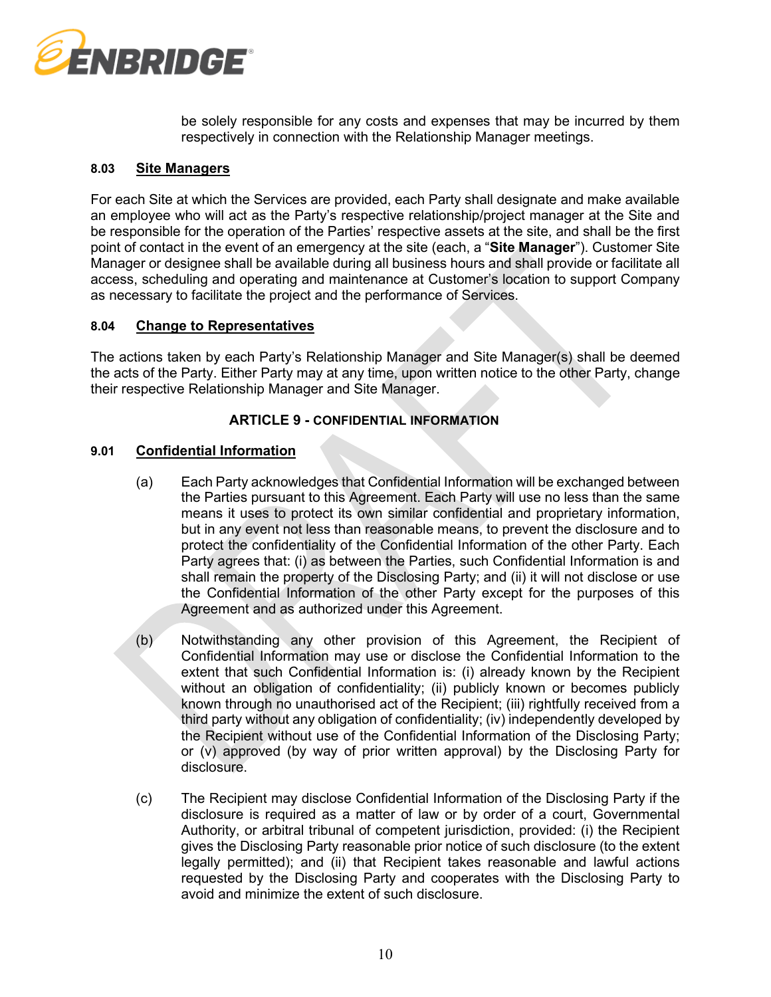

be solely responsible for any costs and expenses that may be incurred by them respectively in connection with the Relationship Manager meetings.

### <span id="page-9-1"></span>**8.03 Site Managers**

For each Site at which the Services are provided, each Party shall designate and make available an employee who will act as the Party's respective relationship/project manager at the Site and be responsible for the operation of the Parties' respective assets at the site, and shall be the first point of contact in the event of an emergency at the site (each, a "**Site Manager**"). Customer Site Manager or designee shall be available during all business hours and shall provide or facilitate all access, scheduling and operating and maintenance at Customer's location to support Company as necessary to facilitate the project and the performance of Services.

### **8.04 Change to Representatives**

The actions taken by each Party's Relationship Manager and Site Manager(s) shall be deemed the acts of the Party. Either Party may at any time, upon written notice to the other Party, change their respective Relationship Manager and Site Manager.

### **ARTICLE 9 - CONFIDENTIAL INFORMATION**

### <span id="page-9-0"></span>**9.01 Confidential Information**

- (a) Each Party acknowledges that Confidential Information will be exchanged between the Parties pursuant to this Agreement. Each Party will use no less than the same means it uses to protect its own similar confidential and proprietary information, but in any event not less than reasonable means, to prevent the disclosure and to protect the confidentiality of the Confidential Information of the other Party. Each Party agrees that: (i) as between the Parties, such Confidential Information is and shall remain the property of the Disclosing Party; and (ii) it will not disclose or use the Confidential Information of the other Party except for the purposes of this Agreement and as authorized under this Agreement.
- (b) Notwithstanding any other provision of this Agreement, the Recipient of Confidential Information may use or disclose the Confidential Information to the extent that such Confidential Information is: (i) already known by the Recipient without an obligation of confidentiality; (ii) publicly known or becomes publicly known through no unauthorised act of the Recipient; (iii) rightfully received from a third party without any obligation of confidentiality; (iv) independently developed by the Recipient without use of the Confidential Information of the Disclosing Party; or (v) approved (by way of prior written approval) by the Disclosing Party for disclosure.
- (c) The Recipient may disclose Confidential Information of the Disclosing Party if the disclosure is required as a matter of law or by order of a court, Governmental Authority, or arbitral tribunal of competent jurisdiction, provided: (i) the Recipient gives the Disclosing Party reasonable prior notice of such disclosure (to the extent legally permitted); and (ii) that Recipient takes reasonable and lawful actions requested by the Disclosing Party and cooperates with the Disclosing Party to avoid and minimize the extent of such disclosure.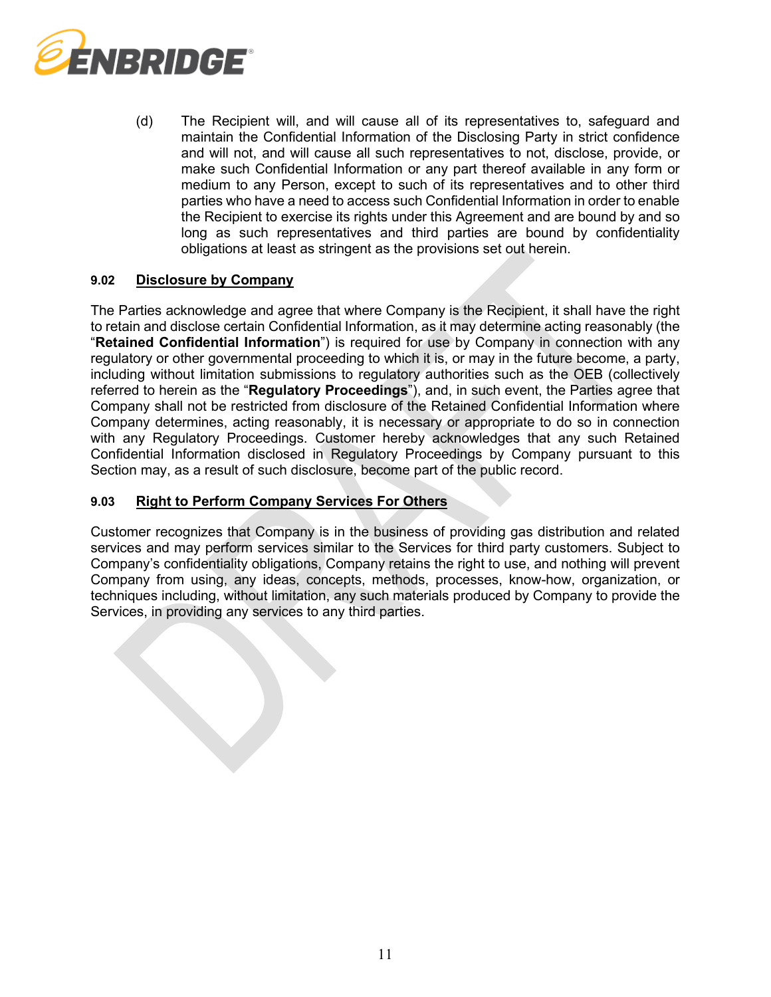

(d) The Recipient will, and will cause all of its representatives to, safeguard and maintain the Confidential Information of the Disclosing Party in strict confidence and will not, and will cause all such representatives to not, disclose, provide, or make such Confidential Information or any part thereof available in any form or medium to any Person, except to such of its representatives and to other third parties who have a need to access such Confidential Information in order to enable the Recipient to exercise its rights under this Agreement and are bound by and so long as such representatives and third parties are bound by confidentiality obligations at least as stringent as the provisions set out herein.

### <span id="page-10-0"></span>**9.02 Disclosure by Company**

The Parties acknowledge and agree that where Company is the Recipient, it shall have the right to retain and disclose certain Confidential Information, as it may determine acting reasonably (the "**Retained Confidential Information**") is required for use by Company in connection with any regulatory or other governmental proceeding to which it is, or may in the future become, a party, including without limitation submissions to regulatory authorities such as the OEB (collectively referred to herein as the "**Regulatory Proceedings**"), and, in such event, the Parties agree that Company shall not be restricted from disclosure of the Retained Confidential Information where Company determines, acting reasonably, it is necessary or appropriate to do so in connection with any Regulatory Proceedings. Customer hereby acknowledges that any such Retained Confidential Information disclosed in Regulatory Proceedings by Company pursuant to this Section may, as a result of such disclosure, become part of the public record.

### **9.03 Right to Perform Company Services For Others**

Customer recognizes that Company is in the business of providing gas distribution and related services and may perform services similar to the Services for third party customers. Subject to Company's confidentiality obligations, Company retains the right to use, and nothing will prevent Company from using, any ideas, concepts, methods, processes, know-how, organization, or techniques including, without limitation, any such materials produced by Company to provide the Services, in providing any services to any third parties.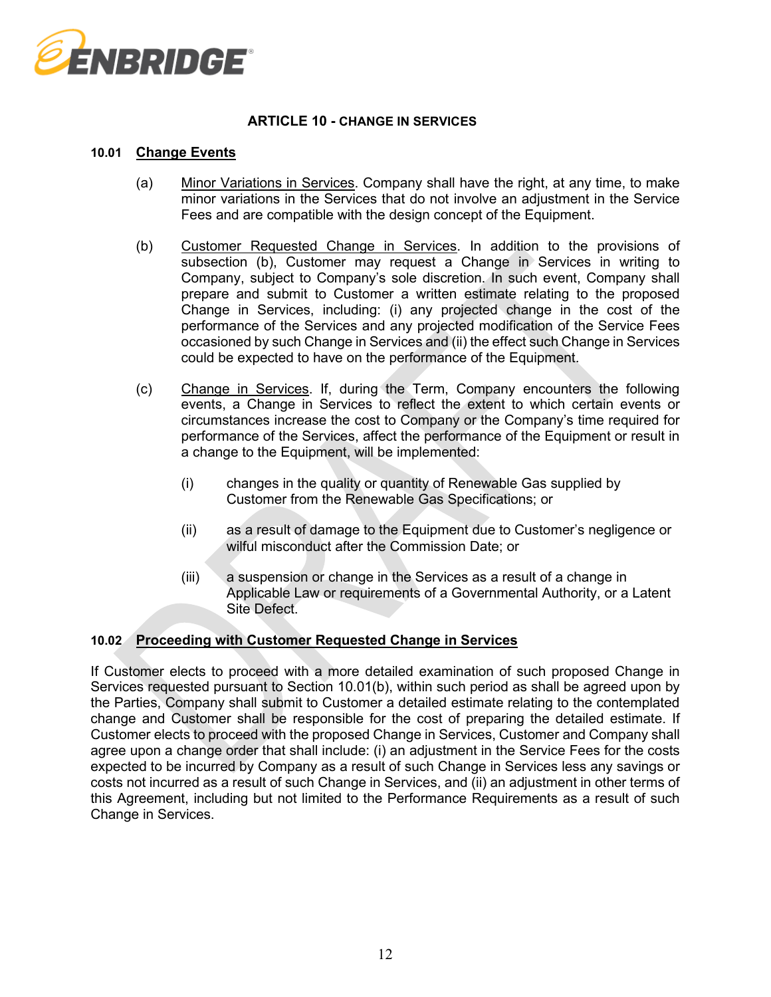

# **ARTICLE 10 - CHANGE IN SERVICES**

#### **10.01 Change Events**

- (a) Minor Variations in Services. Company shall have the right, at any time, to make minor variations in the Services that do not involve an adjustment in the Service Fees and are compatible with the design concept of the Equipment.
- <span id="page-11-1"></span>(b) Customer Requested Change in Services. In addition to the provisions of subsection [\(b\),](#page-11-0) Customer may request a Change in Services in writing to Company, subject to Company's sole discretion. In such event, Company shall prepare and submit to Customer a written estimate relating to the proposed Change in Services, including: (i) any projected change in the cost of the performance of the Services and any projected modification of the Service Fees occasioned by such Change in Services and (ii) the effect such Change in Services could be expected to have on the performance of the Equipment.
- <span id="page-11-0"></span>(c) Change in Services. If, during the Term, Company encounters the following events, a Change in Services to reflect the extent to which certain events or circumstances increase the cost to Company or the Company's time required for performance of the Services, affect the performance of the Equipment or result in a change to the Equipment, will be implemented:
	- (i) changes in the quality or quantity of Renewable Gas supplied by Customer from the Renewable Gas Specifications; or
	- (ii) as a result of damage to the Equipment due to Customer's negligence or wilful misconduct after the Commission Date; or
	- (iii) a suspension or change in the Services as a result of a change in Applicable Law or requirements of a Governmental Authority, or a Latent Site Defect.

#### **10.02 Proceeding with Customer Requested Change in Services**

If Customer elects to proceed with a more detailed examination of such proposed Change in Services requested pursuant to Section [10.01\(b\),](#page-11-1) within such period as shall be agreed upon by the Parties, Company shall submit to Customer a detailed estimate relating to the contemplated change and Customer shall be responsible for the cost of preparing the detailed estimate. If Customer elects to proceed with the proposed Change in Services, Customer and Company shall agree upon a change order that shall include: (i) an adjustment in the Service Fees for the costs expected to be incurred by Company as a result of such Change in Services less any savings or costs not incurred as a result of such Change in Services, and (ii) an adjustment in other terms of this Agreement, including but not limited to the Performance Requirements as a result of such Change in Services.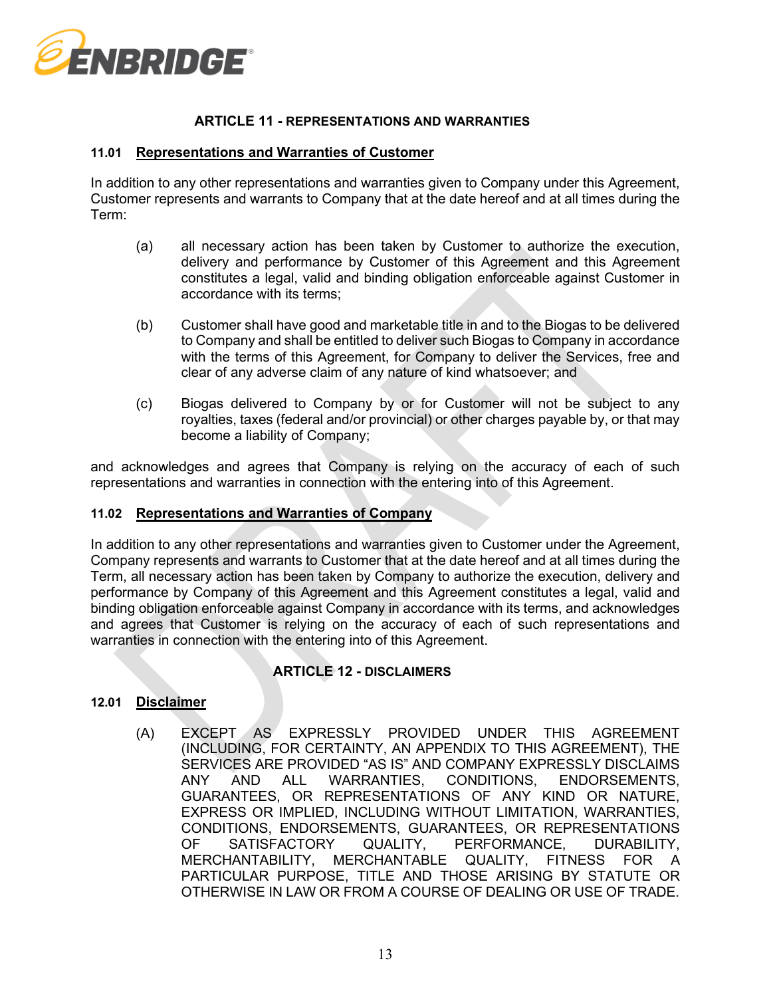

### **ARTICLE 11 - REPRESENTATIONS AND WARRANTIES**

#### **11.01 Representations and Warranties of Customer**

In addition to any other representations and warranties given to Company under this Agreement, Customer represents and warrants to Company that at the date hereof and at all times during the Term:

- (a) all necessary action has been taken by Customer to authorize the execution, delivery and performance by Customer of this Agreement and this Agreement constitutes a legal, valid and binding obligation enforceable against Customer in accordance with its terms;
- (b) Customer shall have good and marketable title in and to the Biogas to be delivered to Company and shall be entitled to deliver such Biogas to Company in accordance with the terms of this Agreement, for Company to deliver the Services, free and clear of any adverse claim of any nature of kind whatsoever; and
- (c) Biogas delivered to Company by or for Customer will not be subject to any royalties, taxes (federal and/or provincial) or other charges payable by, or that may become a liability of Company;

and acknowledges and agrees that Company is relying on the accuracy of each of such representations and warranties in connection with the entering into of this Agreement.

#### **11.02 Representations and Warranties of Company**

In addition to any other representations and warranties given to Customer under the Agreement, Company represents and warrants to Customer that at the date hereof and at all times during the Term, all necessary action has been taken by Company to authorize the execution, delivery and performance by Company of this Agreement and this Agreement constitutes a legal, valid and binding obligation enforceable against Company in accordance with its terms, and acknowledges and agrees that Customer is relying on the accuracy of each of such representations and warranties in connection with the entering into of this Agreement.

#### **ARTICLE 12 - DISCLAIMERS**

### **12.01 Disclaimer**

(A) EXCEPT AS EXPRESSLY PROVIDED UNDER THIS AGREEMENT (INCLUDING, FOR CERTAINTY, AN APPENDIX TO THIS AGREEMENT), THE SERVICES ARE PROVIDED "AS IS" AND COMPANY EXPRESSLY DISCLAIMS ANY AND ALL WARRANTIES, CONDITIONS, ENDORSEMENTS, GUARANTEES, OR REPRESENTATIONS OF ANY KIND OR NATURE, EXPRESS OR IMPLIED, INCLUDING WITHOUT LIMITATION, WARRANTIES, CONDITIONS, ENDORSEMENTS, GUARANTEES, OR REPRESENTATIONS<br>OF SATISFACTORY QUALITY, PERFORMANCE. DURABILITY. OF SATISFACTORY QUALITY, PERFORMANCE, DURABILITY, MERCHANTABILITY, MERCHANTABLE QUALITY, FITNESS FOR A PARTICULAR PURPOSE, TITLE AND THOSE ARISING BY STATUTE OR OTHERWISE IN LAW OR FROM A COURSE OF DEALING OR USE OF TRADE.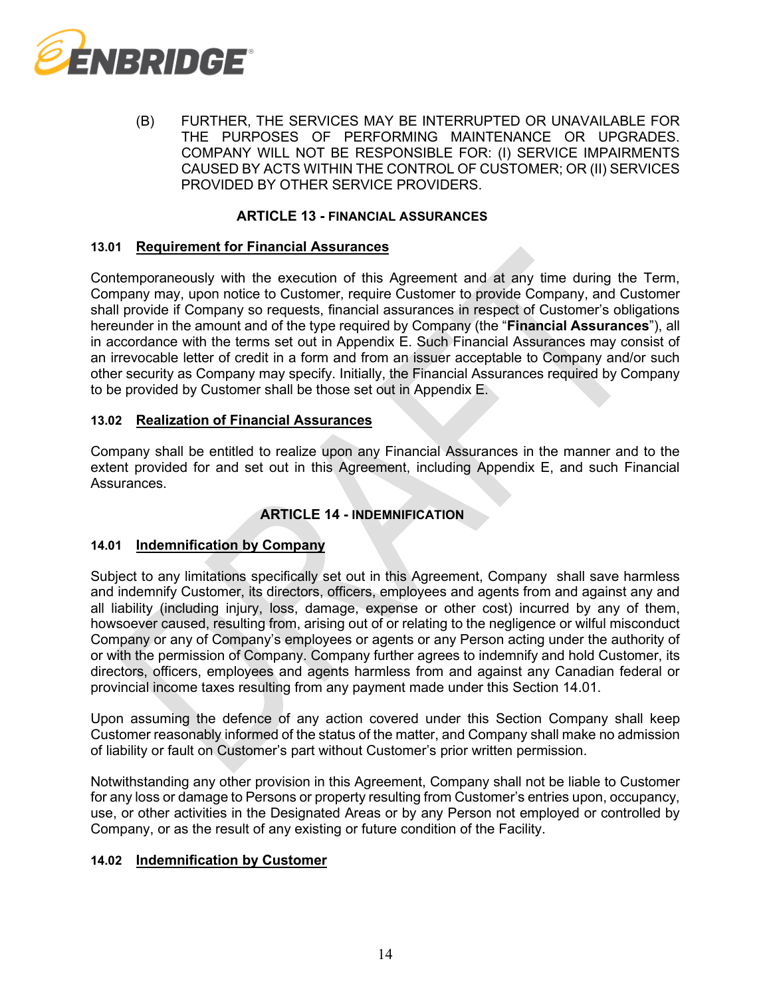

(B) FURTHER, THE SERVICES MAY BE INTERRUPTED OR UNAVAILABLE FOR THE PURPOSES OF PERFORMING MAINTENANCE OR UPGRADES. COMPANY WILL NOT BE RESPONSIBLE FOR: (I) SERVICE IMPAIRMENTS CAUSED BY ACTS WITHIN THE CONTROL OF CUSTOMER; OR (II) SERVICES PROVIDED BY OTHER SERVICE PROVIDERS.

#### **ARTICLE 13 - FINANCIAL ASSURANCES**

#### <span id="page-13-2"></span>**13.01 Requirement for Financial Assurances**

Contemporaneously with the execution of this Agreement and at any time during the Term, Company may, upon notice to Customer, require Customer to provide Company, and Customer shall provide if Company so requests, financial assurances in respect of Customer's obligations hereunder in the amount and of the type required by Company (the "**Financial Assurances**"), all in accordance with the terms set out in Appendix E. Such Financial Assurances may consist of an irrevocable letter of credit in a form and from an issuer acceptable to Company and/or such other security as Company may specify. Initially, the Financial Assurances required by Company to be provided by Customer shall be those set out in Appendix E.

#### **13.02 Realization of Financial Assurances**

Company shall be entitled to realize upon any Financial Assurances in the manner and to the extent provided for and set out in this Agreement, including Appendix E, and such Financial Assurances.

# **ARTICLE 14 - INDEMNIFICATION**

#### <span id="page-13-0"></span>**14.01 Indemnification by Company**

Subject to any limitations specifically set out in this Agreement, Company shall save harmless and indemnify Customer, its directors, officers, employees and agents from and against any and all liability (including injury, loss, damage, expense or other cost) incurred by any of them, howsoever caused, resulting from, arising out of or relating to the negligence or wilful misconduct Company or any of Company's employees or agents or any Person acting under the authority of or with the permission of Company. Company further agrees to indemnify and hold Customer, its directors, officers, employees and agents harmless from and against any Canadian federal or provincial income taxes resulting from any payment made under this Section [14.01.](#page-13-0)

Upon assuming the defence of any action covered under this Section Company shall keep Customer reasonably informed of the status of the matter, and Company shall make no admission of liability or fault on Customer's part without Customer's prior written permission.

Notwithstanding any other provision in this Agreement, Company shall not be liable to Customer for any loss or damage to Persons or property resulting from Customer's entries upon, occupancy, use, or other activities in the Designated Areas or by any Person not employed or controlled by Company, or as the result of any existing or future condition of the Facility.

#### <span id="page-13-1"></span>**14.02 Indemnification by Customer**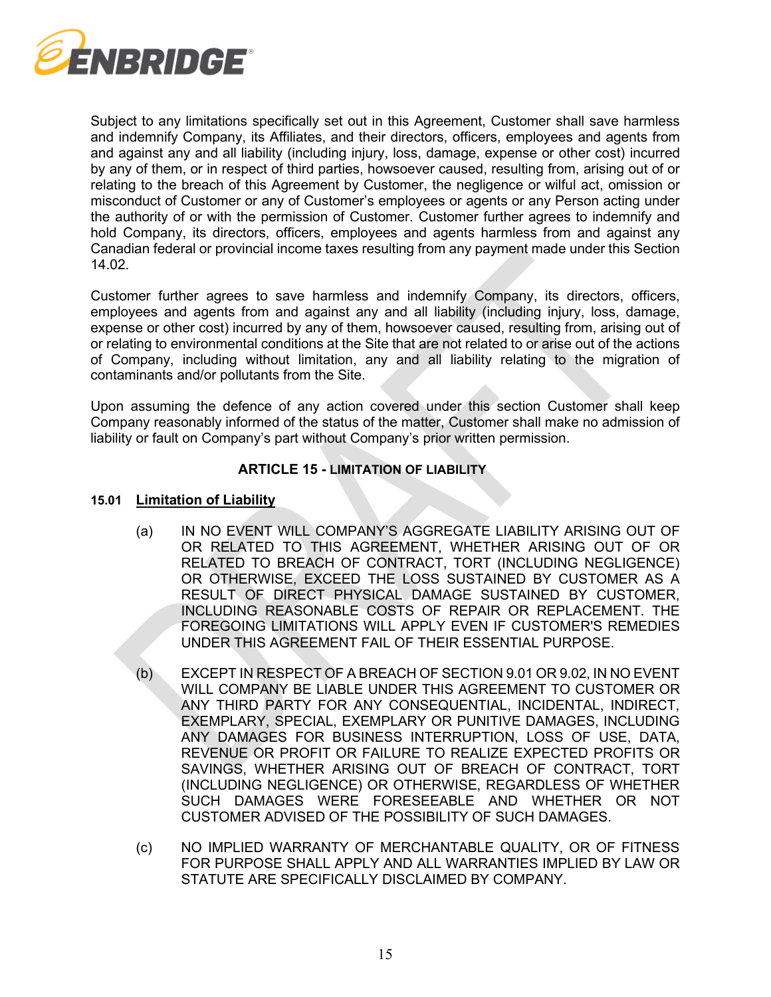

Subject to any limitations specifically set out in this Agreement, Customer shall save harmless and indemnify Company, its Affiliates, and their directors, officers, employees and agents from and against any and all liability (including injury, loss, damage, expense or other cost) incurred by any of them, or in respect of third parties, howsoever caused, resulting from, arising out of or relating to the breach of this Agreement by Customer, the negligence or wilful act, omission or misconduct of Customer or any of Customer's employees or agents or any Person acting under the authority of or with the permission of Customer. Customer further agrees to indemnify and hold Company, its directors, officers, employees and agents harmless from and against any Canadian federal or provincial income taxes resulting from any payment made under this Section [14.02.](#page-13-1)

Customer further agrees to save harmless and indemnify Company, its directors, officers, employees and agents from and against any and all liability (including injury, loss, damage, expense or other cost) incurred by any of them, howsoever caused, resulting from, arising out of or relating to environmental conditions at the Site that are not related to or arise out of the actions of Company, including without limitation, any and all liability relating to the migration of contaminants and/or pollutants from the Site.

Upon assuming the defence of any action covered under this section Customer shall keep Company reasonably informed of the status of the matter, Customer shall make no admission of liability or fault on Company's part without Company's prior written permission.

# **ARTICLE 15 - LIMITATION OF LIABILITY**

### **15.01 Limitation of Liability**

- (a) IN NO EVENT WILL COMPANY'S AGGREGATE LIABILITY ARISING OUT OF OR RELATED TO THIS AGREEMENT, WHETHER ARISING OUT OF OR RELATED TO BREACH OF CONTRACT, TORT (INCLUDING NEGLIGENCE) OR OTHERWISE, EXCEED THE LOSS SUSTAINED BY CUSTOMER AS A RESULT OF DIRECT PHYSICAL DAMAGE SUSTAINED BY CUSTOMER, INCLUDING REASONABLE COSTS OF REPAIR OR REPLACEMENT. THE FOREGOING LIMITATIONS WILL APPLY EVEN IF CUSTOMER'S REMEDIES UNDER THIS AGREEMENT FAIL OF THEIR ESSENTIAL PURPOSE.
- (b) EXCEPT IN RESPECT OF A BREACH OF SECTION [9.01](#page-9-0) O[R 9.02,](#page-10-0) IN NO EVENT WILL COMPANY BE LIABLE UNDER THIS AGREEMENT TO CUSTOMER OR ANY THIRD PARTY FOR ANY CONSEQUENTIAL, INCIDENTAL, INDIRECT, EXEMPLARY, SPECIAL, EXEMPLARY OR PUNITIVE DAMAGES, INCLUDING ANY DAMAGES FOR BUSINESS INTERRUPTION, LOSS OF USE, DATA, REVENUE OR PROFIT OR FAILURE TO REALIZE EXPECTED PROFITS OR SAVINGS, WHETHER ARISING OUT OF BREACH OF CONTRACT, TORT (INCLUDING NEGLIGENCE) OR OTHERWISE, REGARDLESS OF WHETHER SUCH DAMAGES WERE FORESEEABLE AND WHETHER OR NOT CUSTOMER ADVISED OF THE POSSIBILITY OF SUCH DAMAGES.
- (c) NO IMPLIED WARRANTY OF MERCHANTABLE QUALITY, OR OF FITNESS FOR PURPOSE SHALL APPLY AND ALL WARRANTIES IMPLIED BY LAW OR STATUTE ARE SPECIFICALLY DISCLAIMED BY COMPANY.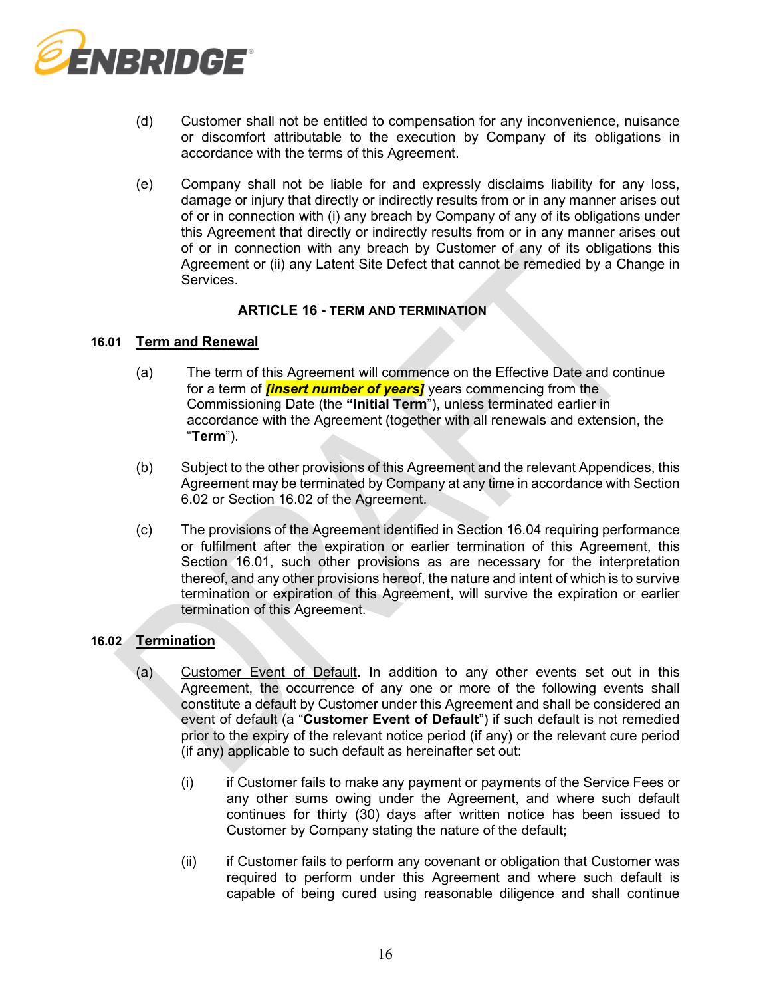

- (d) Customer shall not be entitled to compensation for any inconvenience, nuisance or discomfort attributable to the execution by Company of its obligations in accordance with the terms of this Agreement.
- (e) Company shall not be liable for and expressly disclaims liability for any loss, damage or injury that directly or indirectly results from or in any manner arises out of or in connection with (i) any breach by Company of any of its obligations under this Agreement that directly or indirectly results from or in any manner arises out of or in connection with any breach by Customer of any of its obligations this Agreement or (ii) any Latent Site Defect that cannot be remedied by a Change in Services.

# **ARTICLE 16 - TERM AND TERMINATION**

#### <span id="page-15-1"></span>**16.01 Term and Renewal**

- (a) The term of this Agreement will commence on the Effective Date and continue for a term of *[insert number of years]* years commencing from the Commissioning Date (the **"Initial Term**"), unless terminated earlier in accordance with the Agreement (together with all renewals and extension, the "**Term**").
- (b) Subject to the other provisions of this Agreement and the relevant Appendices, this Agreement may be terminated by Company at any time in accordance with Section [6.02](#page-7-1) or Section [16.02](#page-15-0) of the Agreement.
- (c) The provisions of the Agreement identified in Section [16.04](#page-18-0) requiring performance or fulfilment after the expiration or earlier termination of this Agreement, this Section [16.01,](#page-15-1) such other provisions as are necessary for the interpretation thereof, and any other provisions hereof, the nature and intent of which is to survive termination or expiration of this Agreement, will survive the expiration or earlier termination of this Agreement.

# <span id="page-15-0"></span>**16.02 Termination**

- (a) Customer Event of Default. In addition to any other events set out in this Agreement, the occurrence of any one or more of the following events shall constitute a default by Customer under this Agreement and shall be considered an event of default (a "**Customer Event of Default**") if such default is not remedied prior to the expiry of the relevant notice period (if any) or the relevant cure period (if any) applicable to such default as hereinafter set out:
	- (i) if Customer fails to make any payment or payments of the Service Fees or any other sums owing under the Agreement, and where such default continues for thirty (30) days after written notice has been issued to Customer by Company stating the nature of the default;
	- (ii) if Customer fails to perform any covenant or obligation that Customer was required to perform under this Agreement and where such default is capable of being cured using reasonable diligence and shall continue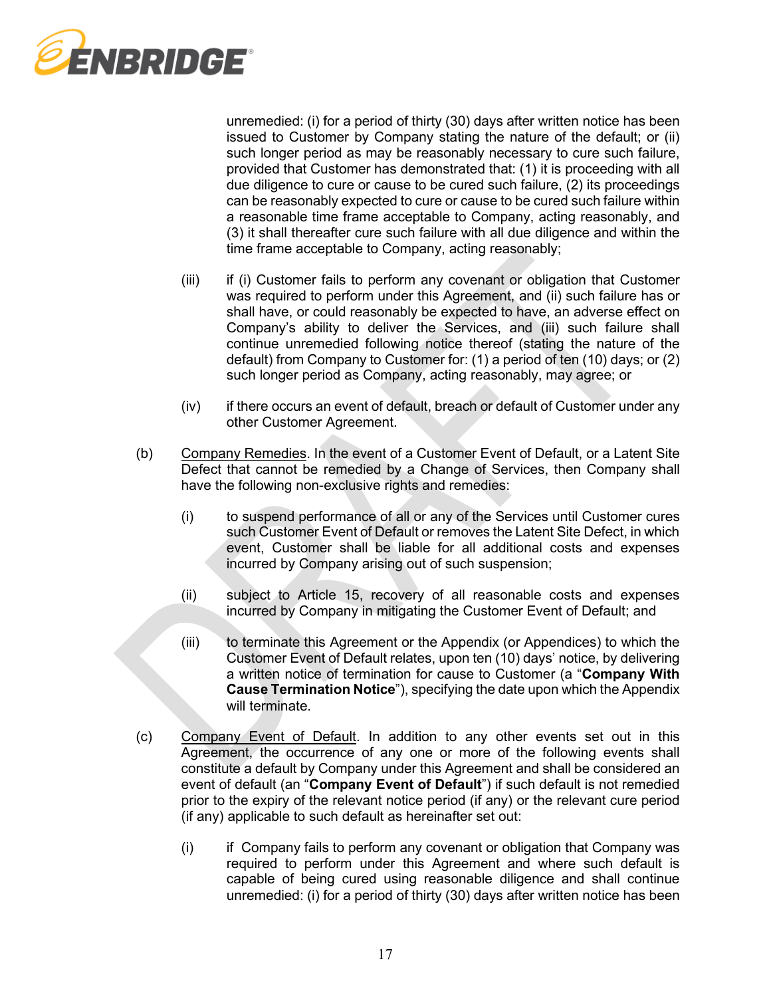

unremedied: (i) for a period of thirty (30) days after written notice has been issued to Customer by Company stating the nature of the default; or (ii) such longer period as may be reasonably necessary to cure such failure, provided that Customer has demonstrated that: (1) it is proceeding with all due diligence to cure or cause to be cured such failure, (2) its proceedings can be reasonably expected to cure or cause to be cured such failure within a reasonable time frame acceptable to Company, acting reasonably, and (3) it shall thereafter cure such failure with all due diligence and within the time frame acceptable to Company, acting reasonably;

- (iii) if (i) Customer fails to perform any covenant or obligation that Customer was required to perform under this Agreement, and (ii) such failure has or shall have, or could reasonably be expected to have, an adverse effect on Company's ability to deliver the Services, and (iii) such failure shall continue unremedied following notice thereof (stating the nature of the default) from Company to Customer for: (1) a period of ten (10) days; or (2) such longer period as Company, acting reasonably, may agree; or
- (iv) if there occurs an event of default, breach or default of Customer under any other Customer Agreement.
- (b) Company Remedies. In the event of a Customer Event of Default, or a Latent Site Defect that cannot be remedied by a Change of Services, then Company shall have the following non-exclusive rights and remedies:
	- (i) to suspend performance of all or any of the Services until Customer cures such Customer Event of Default or removes the Latent Site Defect, in which event, Customer shall be liable for all additional costs and expenses incurred by Company arising out of such suspension;
	- (ii) subject to Article 15, recovery of all reasonable costs and expenses incurred by Company in mitigating the Customer Event of Default; and
	- (iii) to terminate this Agreement or the Appendix (or Appendices) to which the Customer Event of Default relates, upon ten (10) days' notice, by delivering a written notice of termination for cause to Customer (a "**Company With Cause Termination Notice**"), specifying the date upon which the Appendix will terminate.
- <span id="page-16-0"></span>(c) Company Event of Default. In addition to any other events set out in this Agreement, the occurrence of any one or more of the following events shall constitute a default by Company under this Agreement and shall be considered an event of default (an "**Company Event of Default**") if such default is not remedied prior to the expiry of the relevant notice period (if any) or the relevant cure period (if any) applicable to such default as hereinafter set out:
	- (i) if Company fails to perform any covenant or obligation that Company was required to perform under this Agreement and where such default is capable of being cured using reasonable diligence and shall continue unremedied: (i) for a period of thirty (30) days after written notice has been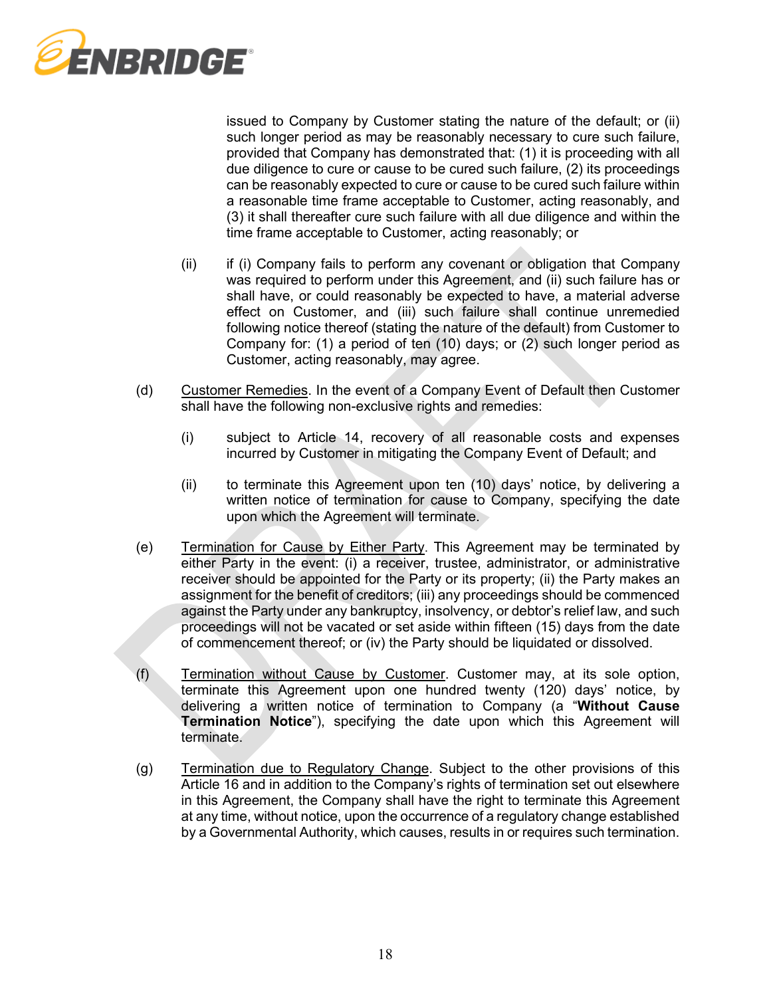

issued to Company by Customer stating the nature of the default; or (ii) such longer period as may be reasonably necessary to cure such failure, provided that Company has demonstrated that: (1) it is proceeding with all due diligence to cure or cause to be cured such failure, (2) its proceedings can be reasonably expected to cure or cause to be cured such failure within a reasonable time frame acceptable to Customer, acting reasonably, and (3) it shall thereafter cure such failure with all due diligence and within the time frame acceptable to Customer, acting reasonably; or

- (ii) if (i) Company fails to perform any covenant or obligation that Company was required to perform under this Agreement, and (ii) such failure has or shall have, or could reasonably be expected to have, a material adverse effect on Customer, and (iii) such failure shall continue unremedied following notice thereof (stating the nature of the default) from Customer to Company for: (1) a period of ten (10) days; or (2) such longer period as Customer, acting reasonably, may agree.
- (d) Customer Remedies. In the event of a Company Event of Default then Customer shall have the following non-exclusive rights and remedies:
	- (i) subject to Article 14, recovery of all reasonable costs and expenses incurred by Customer in mitigating the Company Event of Default; and
	- (ii) to terminate this Agreement upon ten (10) days' notice, by delivering a written notice of termination for cause to Company, specifying the date upon which the Agreement will terminate.
- (e) Termination for Cause by Either Party. This Agreement may be terminated by either Party in the event: (i) a receiver, trustee, administrator, or administrative receiver should be appointed for the Party or its property; (ii) the Party makes an assignment for the benefit of creditors; (iii) any proceedings should be commenced against the Party under any bankruptcy, insolvency, or debtor's relief law, and such proceedings will not be vacated or set aside within fifteen (15) days from the date of commencement thereof; or (iv) the Party should be liquidated or dissolved.
- <span id="page-17-0"></span>(f) Termination without Cause by Customer. Customer may, at its sole option, terminate this Agreement upon one hundred twenty (120) days' notice, by delivering a written notice of termination to Company (a "**Without Cause Termination Notice**"), specifying the date upon which this Agreement will terminate.
- <span id="page-17-1"></span>(g) Termination due to Regulatory Change. Subject to the other provisions of this Article 16 and in addition to the Company's rights of termination set out elsewhere in this Agreement, the Company shall have the right to terminate this Agreement at any time, without notice, upon the occurrence of a regulatory change established by a Governmental Authority, which causes, results in or requires such termination.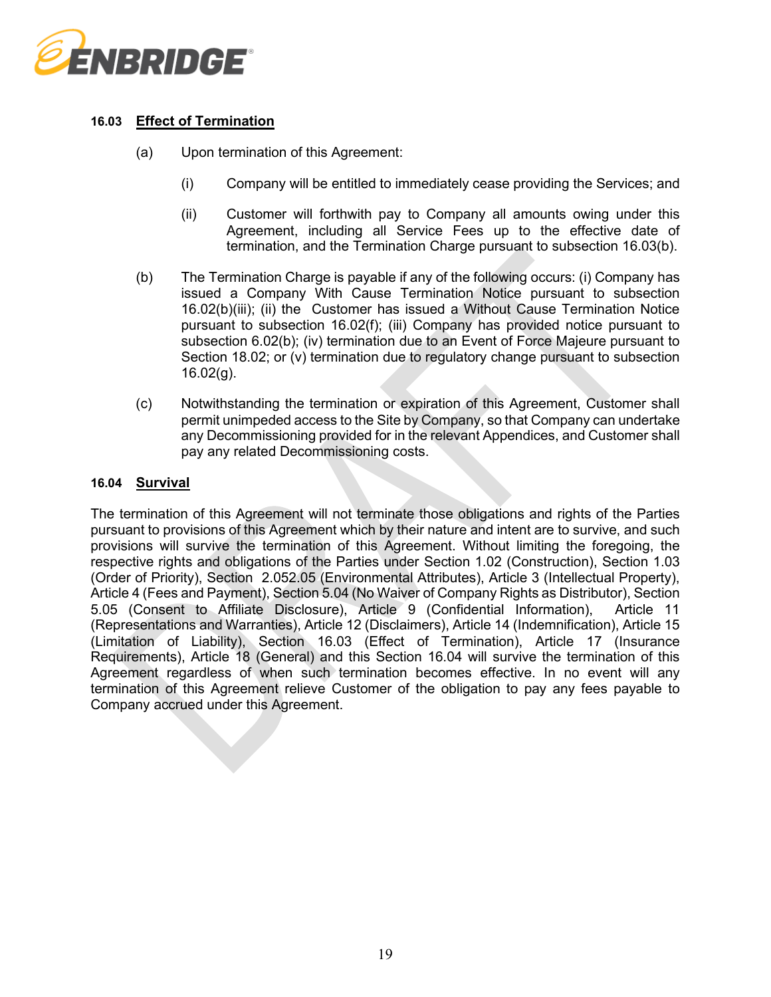

# <span id="page-18-2"></span>**16.03 Effect of Termination**

- (a) Upon termination of this Agreement:
	- (i) Company will be entitled to immediately cease providing the Services; and
	- (ii) Customer will forthwith pay to Company all amounts owing under this Agreement, including all Service Fees up to the effective date of termination, and the Termination Charge pursuant to subsection [16.03\(b\).](#page-18-1)
- <span id="page-18-3"></span><span id="page-18-1"></span>(b) The Termination Charge is payable if any of the following occurs: (i) Company has issued a Company With Cause Termination Notice pursuant to subsection [16.02\(b\)\(iii\);](#page-16-0) (ii) the Customer has issued a Without Cause Termination Notice pursuant to subsection [16.02\(f\);](#page-17-0) (iii) Company has provided notice pursuant to subsection [6.02\(b\);](#page-7-2) (iv) termination due to an Event of Force Majeure pursuant to Section [18.02;](#page-20-0) or (v) termination due to regulatory change pursuant to subsection [16.02\(g\).](#page-17-1)
- (c) Notwithstanding the termination or expiration of this Agreement, Customer shall permit unimpeded access to the Site by Company, so that Company can undertake any Decommissioning provided for in the relevant Appendices, and Customer shall pay any related Decommissioning costs.

# <span id="page-18-0"></span>**16.04 Survival**

The termination of this Agreement will not terminate those obligations and rights of the Parties pursuant to provisions of this Agreement which by their nature and intent are to survive, and such provisions will survive the termination of this Agreement. Without limiting the foregoing, the respective rights and obligations of the Parties under Section [1.02](#page-0-0) (Construction), Section [1.03](#page-1-1) (Order of Priority), Section [2.052.05](#page-3-1) (Environmental Attributes), Article 3 (Intellectual Property), Article 4 (Fees and Payment), Section [5.04](#page-5-0) (No Waiver of Company Rights as Distributor), Section [5.05](#page-6-1) (Consent to Affiliate Disclosure), Article 9 (Confidential Information), Article 11 (Representations and Warranties), Article 12 (Disclaimers), Article 14 (Indemnification), Article 15 (Limitation of Liability), Section [16.03](#page-18-2) (Effect of Termination), Article 17 (Insurance Requirements), Article 18 (General) and this Section [16.04](#page-18-0) will survive the termination of this Agreement regardless of when such termination becomes effective. In no event will any termination of this Agreement relieve Customer of the obligation to pay any fees payable to Company accrued under this Agreement.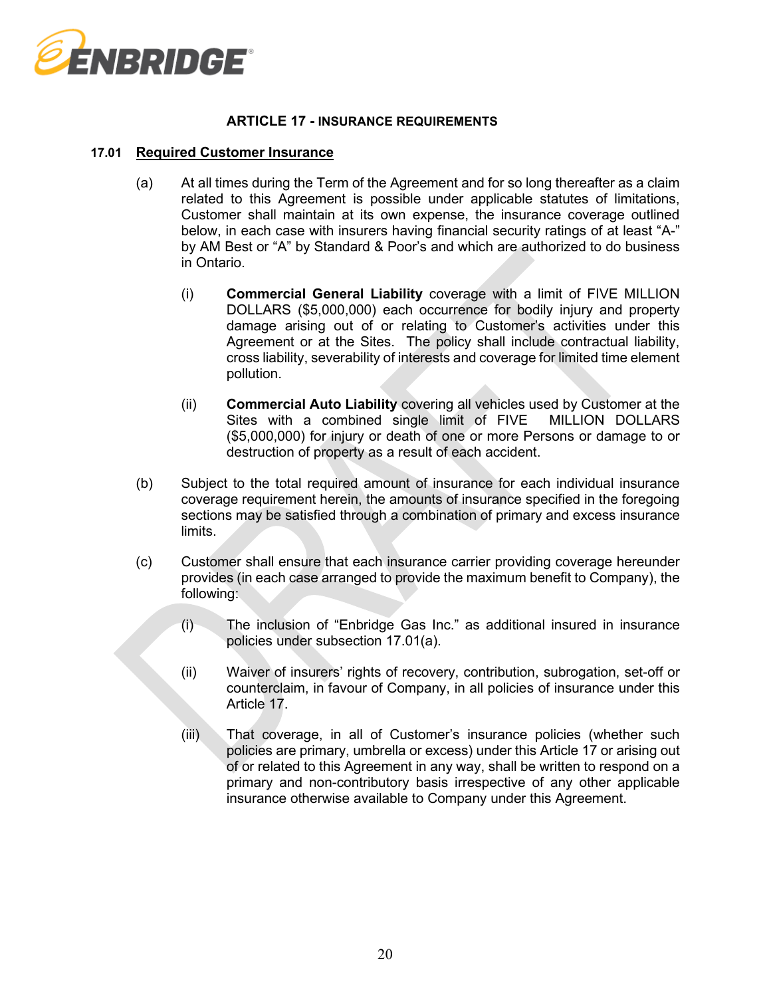

### **ARTICLE 17 - INSURANCE REQUIREMENTS**

#### <span id="page-19-0"></span>**17.01 Required Customer Insurance**

- (a) At all times during the Term of the Agreement and for so long thereafter as a claim related to this Agreement is possible under applicable statutes of limitations, Customer shall maintain at its own expense, the insurance coverage outlined below, in each case with insurers having financial security ratings of at least "A-" by AM Best or "A" by Standard & Poor's and which are authorized to do business in Ontario.
	- (i) **Commercial General Liability** coverage with a limit of FIVE MILLION DOLLARS (\$5,000,000) each occurrence for bodily injury and property damage arising out of or relating to Customer's activities under this Agreement or at the Sites. The policy shall include contractual liability, cross liability, severability of interests and coverage for limited time element pollution.
	- (ii) **Commercial Auto Liability** covering all vehicles used by Customer at the Sites with a combined single limit of FIVE MILLION DOLLARS (\$5,000,000) for injury or death of one or more Persons or damage to or destruction of property as a result of each accident.
- (b) Subject to the total required amount of insurance for each individual insurance coverage requirement herein, the amounts of insurance specified in the foregoing sections may be satisfied through a combination of primary and excess insurance limits.
- (c) Customer shall ensure that each insurance carrier providing coverage hereunder provides (in each case arranged to provide the maximum benefit to Company), the following:
	- (i) The inclusion of "Enbridge Gas Inc." as additional insured in insurance policies under subsection [17.01\(a\).](#page-19-0)
	- (ii) Waiver of insurers' rights of recovery, contribution, subrogation, set-off or counterclaim, in favour of Company, in all policies of insurance under this Article 17.
	- (iii) That coverage, in all of Customer's insurance policies (whether such policies are primary, umbrella or excess) under this Article 17 or arising out of or related to this Agreement in any way, shall be written to respond on a primary and non-contributory basis irrespective of any other applicable insurance otherwise available to Company under this Agreement.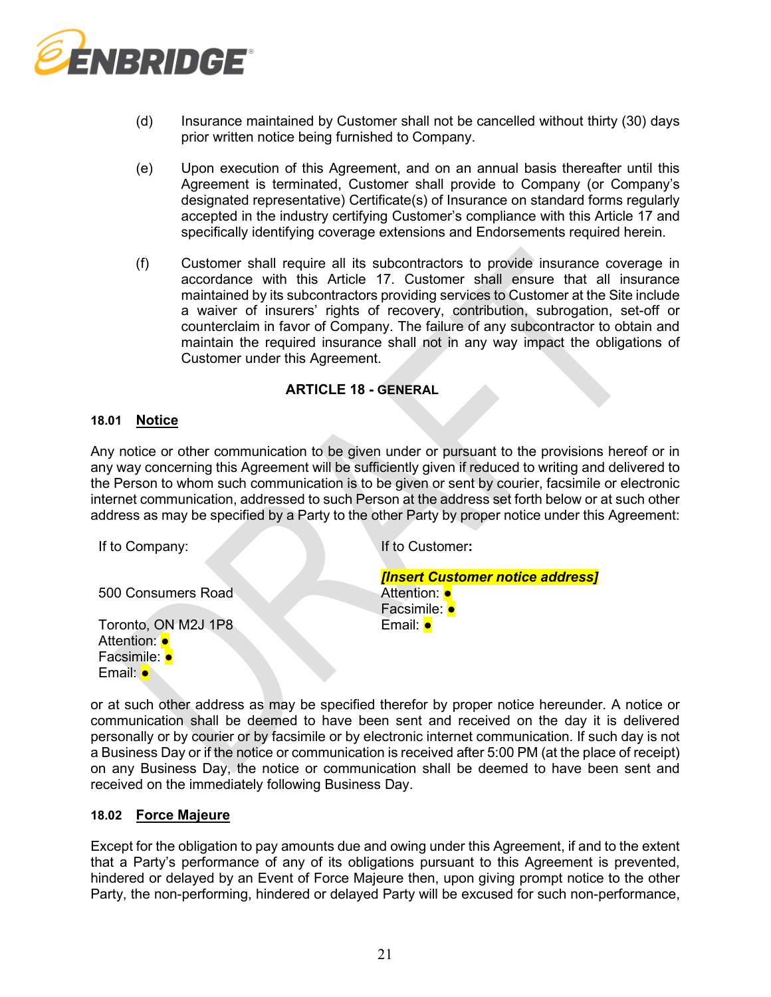

- (d) Insurance maintained by Customer shall not be cancelled without thirty (30) days prior written notice being furnished to Company.
- (e) Upon execution of this Agreement, and on an annual basis thereafter until this Agreement is terminated, Customer shall provide to Company (or Company's designated representative) Certificate(s) of Insurance on standard forms regularly accepted in the industry certifying Customer's compliance with this Article 17 and specifically identifying coverage extensions and Endorsements required herein.
- (f) Customer shall require all its subcontractors to provide insurance coverage in accordance with this Article 17. Customer shall ensure that all insurance maintained by its subcontractors providing services to Customer at the Site include a waiver of insurers' rights of recovery, contribution, subrogation, set-off or counterclaim in favor of Company. The failure of any subcontractor to obtain and maintain the required insurance shall not in any way impact the obligations of Customer under this Agreement.

# **ARTICLE 18 - GENERAL**

### **18.01 Notice**

Any notice or other communication to be given under or pursuant to the provisions hereof or in any way concerning this Agreement will be sufficiently given if reduced to writing and delivered to the Person to whom such communication is to be given or sent by courier, facsimile or electronic internet communication, addressed to such Person at the address set forth below or at such other address as may be specified by a Party to the other Party by proper notice under this Agreement:

| If to Company:      | If to Customer:                  |
|---------------------|----------------------------------|
|                     | [Insert Customer notice address] |
| 500 Consumers Road  | Attention: •                     |
|                     | Facsimile: <b>•</b>              |
| Toronto, ON M2J 1P8 | Email: <b>•</b>                  |
| Attention: •        |                                  |
| Facsimile: •        |                                  |
|                     |                                  |

or at such other address as may be specified therefor by proper notice hereunder. A notice or communication shall be deemed to have been sent and received on the day it is delivered personally or by courier or by facsimile or by electronic internet communication. If such day is not a Business Day or if the notice or communication is received after 5:00 PM (at the place of receipt) on any Business Day, the notice or communication shall be deemed to have been sent and received on the immediately following Business Day.

#### <span id="page-20-0"></span>**18.02 Force Majeure**

Except for the obligation to pay amounts due and owing under this Agreement, if and to the extent that a Party's performance of any of its obligations pursuant to this Agreement is prevented, hindered or delayed by an Event of Force Majeure then, upon giving prompt notice to the other Party, the non-performing, hindered or delayed Party will be excused for such non-performance,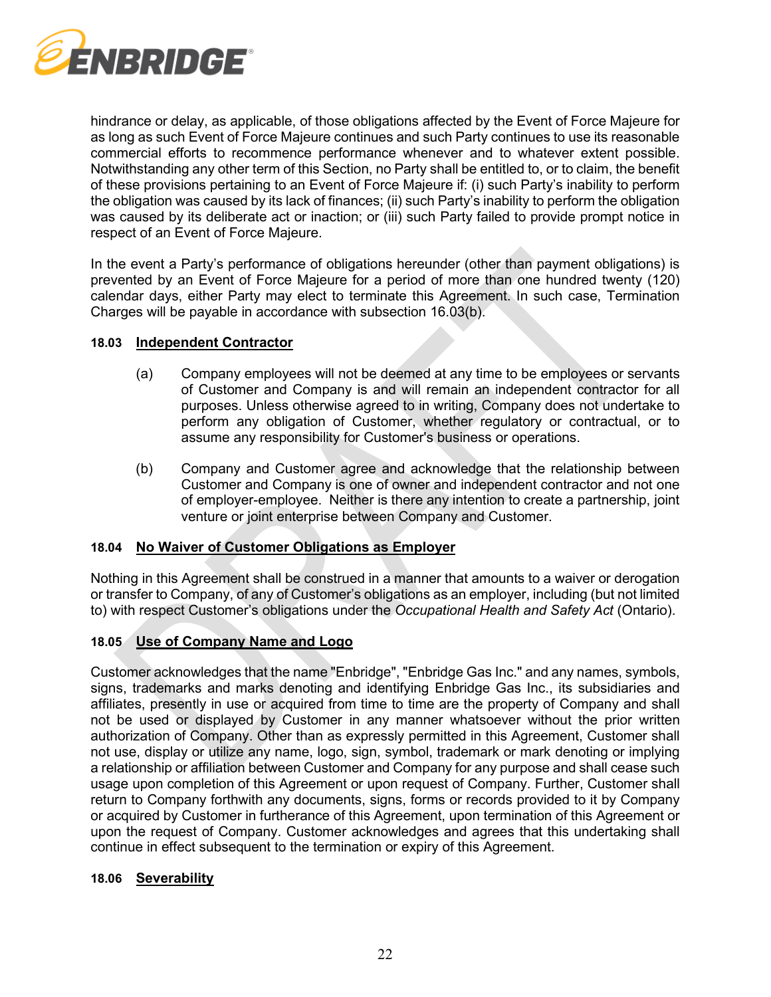

hindrance or delay, as applicable, of those obligations affected by the Event of Force Majeure for as long as such Event of Force Majeure continues and such Party continues to use its reasonable commercial efforts to recommence performance whenever and to whatever extent possible. Notwithstanding any other term of this Section, no Party shall be entitled to, or to claim, the benefit of these provisions pertaining to an Event of Force Majeure if: (i) such Party's inability to perform the obligation was caused by its lack of finances; (ii) such Party's inability to perform the obligation was caused by its deliberate act or inaction; or (iii) such Party failed to provide prompt notice in respect of an Event of Force Majeure.

In the event a Party's performance of obligations hereunder (other than payment obligations) is prevented by an Event of Force Majeure for a period of more than one hundred twenty (120) calendar days, either Party may elect to terminate this Agreement. In such case, Termination Charges will be payable in accordance with subsection [16.03\(b\).](#page-18-3)

### **18.03 Independent Contractor**

- (a) Company employees will not be deemed at any time to be employees or servants of Customer and Company is and will remain an independent contractor for all purposes. Unless otherwise agreed to in writing, Company does not undertake to perform any obligation of Customer, whether regulatory or contractual, or to assume any responsibility for Customer's business or operations.
- (b) Company and Customer agree and acknowledge that the relationship between Customer and Company is one of owner and independent contractor and not one of employer-employee. Neither is there any intention to create a partnership, joint venture or joint enterprise between Company and Customer.

### **18.04 No Waiver of Customer Obligations as Employer**

Nothing in this Agreement shall be construed in a manner that amounts to a waiver or derogation or transfer to Company, of any of Customer's obligations as an employer, including (but not limited to) with respect Customer's obligations under the *Occupational Health and Safety Act* (Ontario).

# **18.05 Use of Company Name and Logo**

Customer acknowledges that the name "Enbridge", "Enbridge Gas Inc." and any names, symbols, signs, trademarks and marks denoting and identifying Enbridge Gas Inc., its subsidiaries and affiliates, presently in use or acquired from time to time are the property of Company and shall not be used or displayed by Customer in any manner whatsoever without the prior written authorization of Company. Other than as expressly permitted in this Agreement, Customer shall not use, display or utilize any name, logo, sign, symbol, trademark or mark denoting or implying a relationship or affiliation between Customer and Company for any purpose and shall cease such usage upon completion of this Agreement or upon request of Company. Further, Customer shall return to Company forthwith any documents, signs, forms or records provided to it by Company or acquired by Customer in furtherance of this Agreement, upon termination of this Agreement or upon the request of Company. Customer acknowledges and agrees that this undertaking shall continue in effect subsequent to the termination or expiry of this Agreement.

#### **18.06 Severability**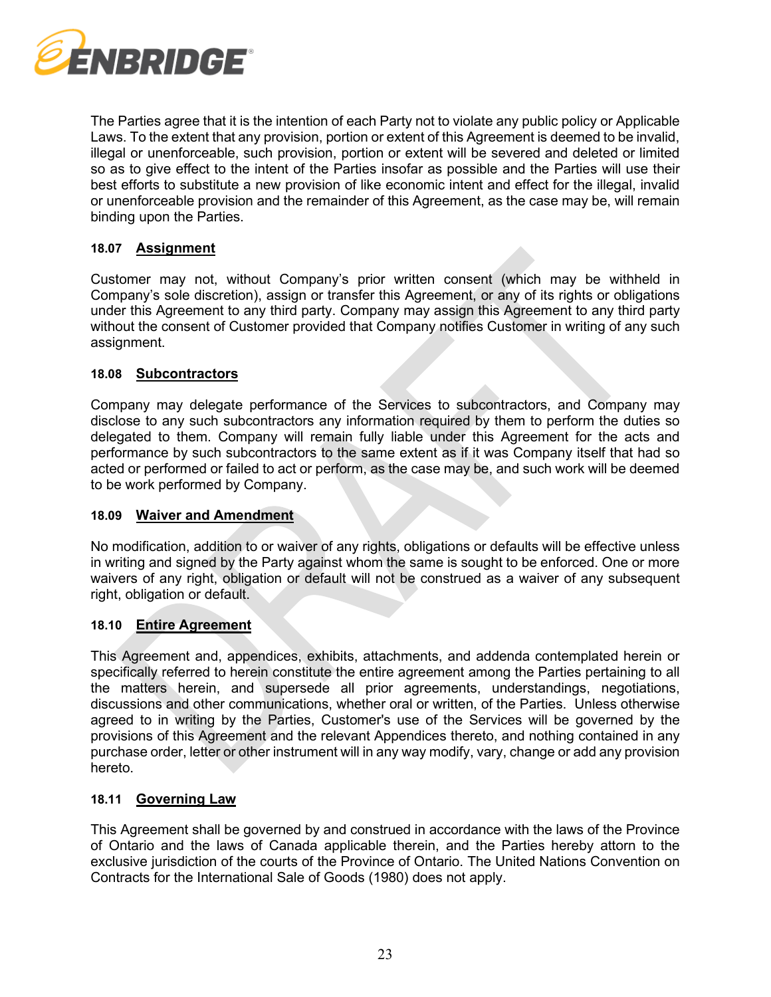

The Parties agree that it is the intention of each Party not to violate any public policy or Applicable Laws. To the extent that any provision, portion or extent of this Agreement is deemed to be invalid, illegal or unenforceable, such provision, portion or extent will be severed and deleted or limited so as to give effect to the intent of the Parties insofar as possible and the Parties will use their best efforts to substitute a new provision of like economic intent and effect for the illegal, invalid or unenforceable provision and the remainder of this Agreement, as the case may be, will remain binding upon the Parties.

### **18.07 Assignment**

Customer may not, without Company's prior written consent (which may be withheld in Company's sole discretion), assign or transfer this Agreement, or any of its rights or obligations under this Agreement to any third party. Company may assign this Agreement to any third party without the consent of Customer provided that Company notifies Customer in writing of any such assignment.

#### **18.08 Subcontractors**

Company may delegate performance of the Services to subcontractors, and Company may disclose to any such subcontractors any information required by them to perform the duties so delegated to them. Company will remain fully liable under this Agreement for the acts and performance by such subcontractors to the same extent as if it was Company itself that had so acted or performed or failed to act or perform, as the case may be, and such work will be deemed to be work performed by Company.

#### **18.09 Waiver and Amendment**

No modification, addition to or waiver of any rights, obligations or defaults will be effective unless in writing and signed by the Party against whom the same is sought to be enforced. One or more waivers of any right, obligation or default will not be construed as a waiver of any subsequent right, obligation or default.

### **18.10 Entire Agreement**

This Agreement and, appendices, exhibits, attachments, and addenda contemplated herein or specifically referred to herein constitute the entire agreement among the Parties pertaining to all the matters herein, and supersede all prior agreements, understandings, negotiations, discussions and other communications, whether oral or written, of the Parties. Unless otherwise agreed to in writing by the Parties, Customer's use of the Services will be governed by the provisions of this Agreement and the relevant Appendices thereto, and nothing contained in any purchase order, letter or other instrument will in any way modify, vary, change or add any provision hereto.

#### **18.11 Governing Law**

This Agreement shall be governed by and construed in accordance with the laws of the Province of Ontario and the laws of Canada applicable therein, and the Parties hereby attorn to the exclusive jurisdiction of the courts of the Province of Ontario. The United Nations Convention on Contracts for the International Sale of Goods (1980) does not apply.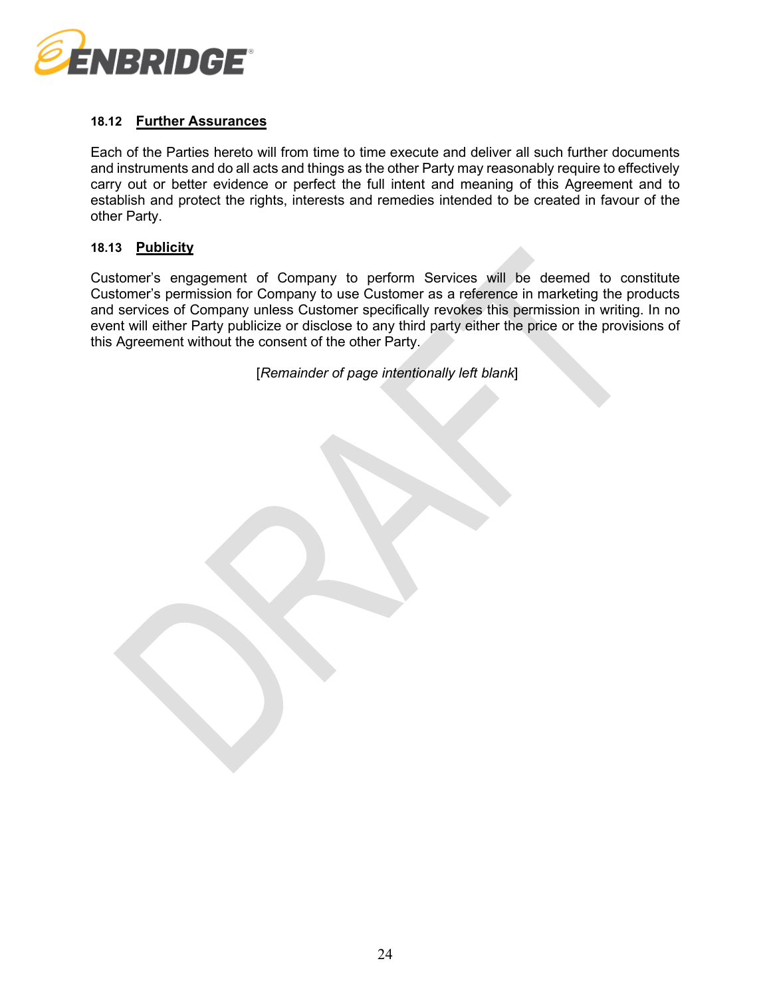

# **18.12 Further Assurances**

Each of the Parties hereto will from time to time execute and deliver all such further documents and instruments and do all acts and things as the other Party may reasonably require to effectively carry out or better evidence or perfect the full intent and meaning of this Agreement and to establish and protect the rights, interests and remedies intended to be created in favour of the other Party.

#### **18.13 Publicity**

Customer's engagement of Company to perform Services will be deemed to constitute Customer's permission for Company to use Customer as a reference in marketing the products and services of Company unless Customer specifically revokes this permission in writing. In no event will either Party publicize or disclose to any third party either the price or the provisions of this Agreement without the consent of the other Party.

[*Remainder of page intentionally left blank*]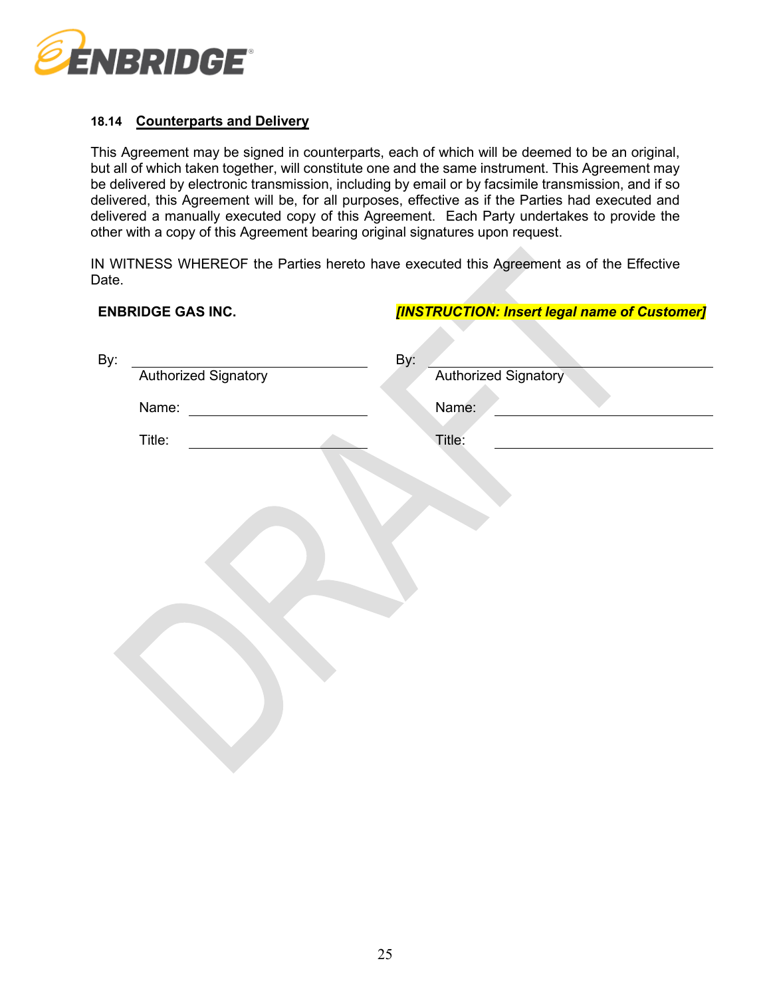

# **18.14 Counterparts and Delivery**

This Agreement may be signed in counterparts, each of which will be deemed to be an original, but all of which taken together, will constitute one and the same instrument. This Agreement may be delivered by electronic transmission, including by email or by facsimile transmission, and if so delivered, this Agreement will be, for all purposes, effective as if the Parties had executed and delivered a manually executed copy of this Agreement. Each Party undertakes to provide the other with a copy of this Agreement bearing original signatures upon request.

IN WITNESS WHEREOF the Parties hereto have executed this Agreement as of the Effective Date.

**ENBRIDGE GAS INC.** *[INSTRUCTION: Insert legal name of Customer]*

| יאיי איש שטאישיים                  | <u>INDINOUTON: MISCHILOGAI HAME OF CASTOMEIT</u> |
|------------------------------------|--------------------------------------------------|
| By:<br><b>Authorized Signatory</b> | By:<br>Authorized Signatory                      |
| Name:                              | Name:                                            |
| Title:                             | Title:                                           |
|                                    |                                                  |
|                                    |                                                  |
|                                    |                                                  |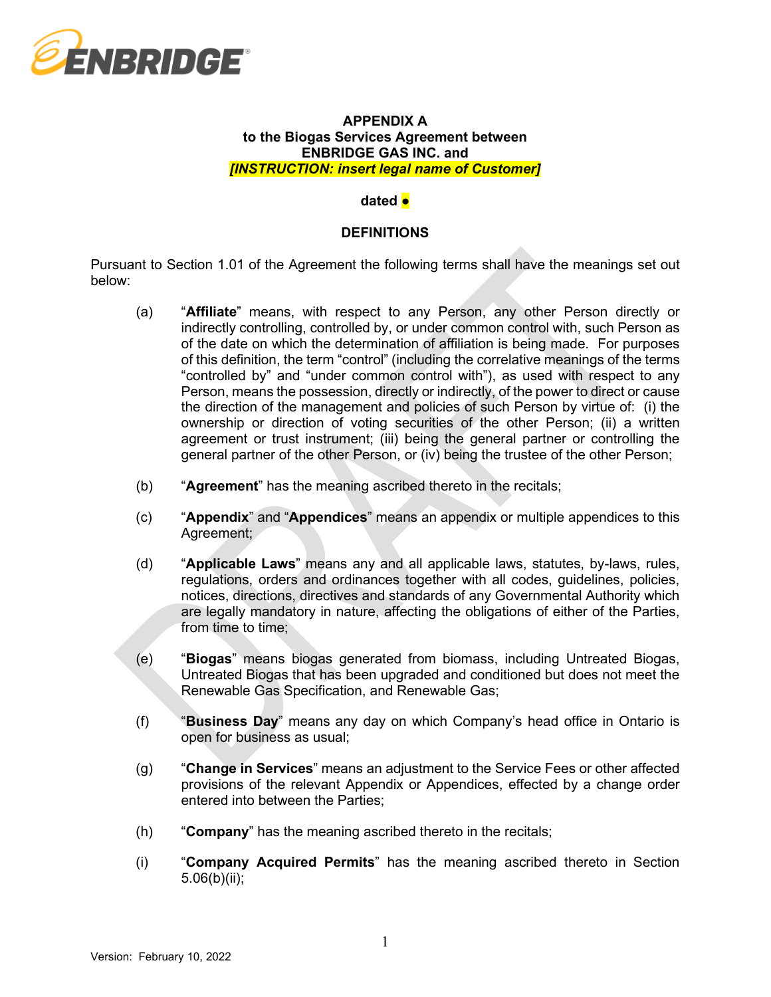

### **APPENDIX A to the Biogas Services Agreement between ENBRIDGE GAS INC. and**  *[INSTRUCTION: insert legal name of Customer]*

### **dated ●**

### **DEFINITIONS**

Pursuant to Section [1.01](#page-0-1) of the Agreement the following terms shall have the meanings set out below:

- (a) "**Affiliate**" means, with respect to any Person, any other Person directly or indirectly controlling, controlled by, or under common control with, such Person as of the date on which the determination of affiliation is being made. For purposes of this definition, the term "control" (including the correlative meanings of the terms "controlled by" and "under common control with"), as used with respect to any Person, means the possession, directly or indirectly, of the power to direct or cause the direction of the management and policies of such Person by virtue of: (i) the ownership or direction of voting securities of the other Person; (ii) a written agreement or trust instrument; (iii) being the general partner or controlling the general partner of the other Person, or (iv) being the trustee of the other Person;
- (b) "**Agreement**" has the meaning ascribed thereto in the recitals;
- (c) "**Appendix**" and "**Appendices**" means an appendix or multiple appendices to this Agreement;
- (d) "**Applicable Laws**" means any and all applicable laws, statutes, by-laws, rules, regulations, orders and ordinances together with all codes, guidelines, policies, notices, directions, directives and standards of any Governmental Authority which are legally mandatory in nature, affecting the obligations of either of the Parties, from time to time;
- (e) "**Biogas**" means biogas generated from biomass, including Untreated Biogas, Untreated Biogas that has been upgraded and conditioned but does not meet the Renewable Gas Specification, and Renewable Gas;
- (f) "**Business Day**" means any day on which Company's head office in Ontario is open for business as usual;
- (g) "**Change in Services**" means an adjustment to the Service Fees or other affected provisions of the relevant Appendix or Appendices, effected by a change order entered into between the Parties;
- (h) "**Company**" has the meaning ascribed thereto in the recitals;
- (i) "**Company Acquired Permits**" has the meaning ascribed thereto in Section [5.06\(b\)\(ii\);](#page-6-0)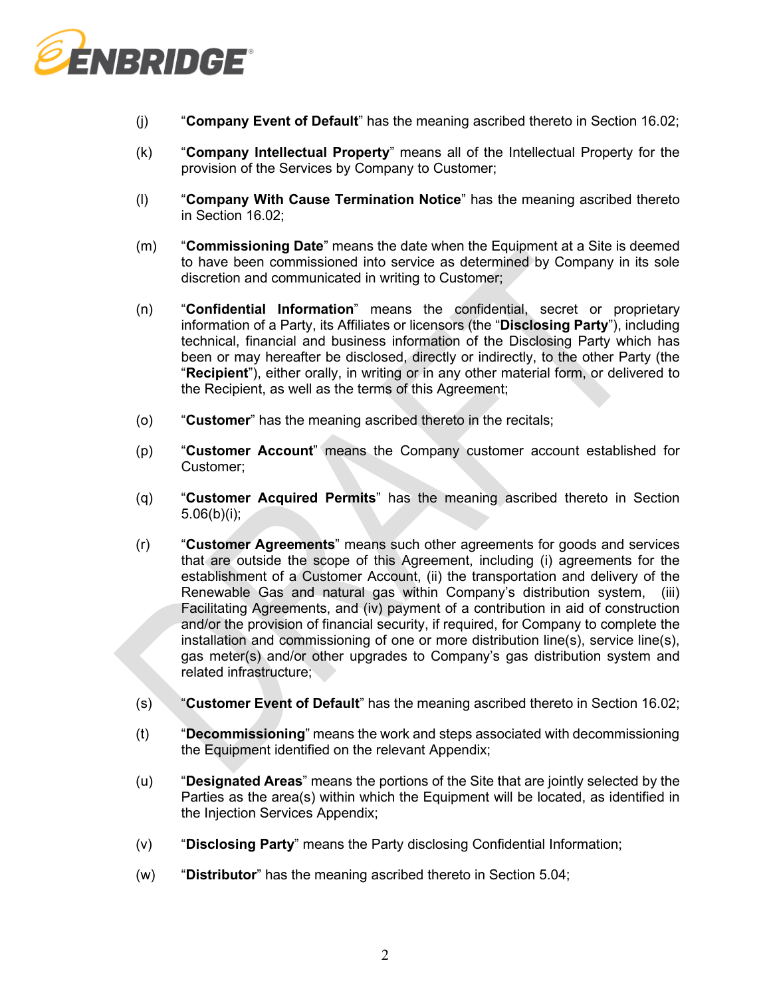

- (j) "**Company Event of Default**" has the meaning ascribed thereto in Section [16.02;](#page-15-0)
- (k) "**Company Intellectual Property**" means all of the Intellectual Property for the provision of the Services by Company to Customer;
- (l) "**Company With Cause Termination Notice**" has the meaning ascribed thereto in Section [16.02;](#page-15-0)
- (m) "**Commissioning Date**" means the date when the Equipment at a Site is deemed to have been commissioned into service as determined by Company in its sole discretion and communicated in writing to Customer;
- (n) "**Confidential Information**" means the confidential, secret or proprietary information of a Party, its Affiliates or licensors (the "**Disclosing Party**"), including technical, financial and business information of the Disclosing Party which has been or may hereafter be disclosed, directly or indirectly, to the other Party (the "**Recipient**"), either orally, in writing or in any other material form, or delivered to the Recipient, as well as the terms of this Agreement;
- (o) "**Customer**" has the meaning ascribed thereto in the recitals;
- (p) "**Customer Account**" means the Company customer account established for Customer;
- (q) "**Customer Acquired Permits**" has the meaning ascribed thereto in Section [5.06\(b\)\(i\);](#page-6-2)
- (r) "**Customer Agreements**" means such other agreements for goods and services that are outside the scope of this Agreement, including (i) agreements for the establishment of a Customer Account, (ii) the transportation and delivery of the Renewable Gas and natural gas within Company's distribution system, (iii) Facilitating Agreements, and (iv) payment of a contribution in aid of construction and/or the provision of financial security, if required, for Company to complete the installation and commissioning of one or more distribution line(s), service line(s), gas meter(s) and/or other upgrades to Company's gas distribution system and related infrastructure;
- (s) "**Customer Event of Default**" has the meaning ascribed thereto in Section [16.02;](#page-15-0)
- (t) "**Decommissioning**" means the work and steps associated with decommissioning the Equipment identified on the relevant Appendix;
- (u) "**Designated Areas**" means the portions of the Site that are jointly selected by the Parties as the area(s) within which the Equipment will be located, as identified in the Injection Services Appendix;
- (v) "**Disclosing Party**" means the Party disclosing Confidential Information;
- (w) "**Distributor**" has the meaning ascribed thereto in Section [5.04;](#page-5-0)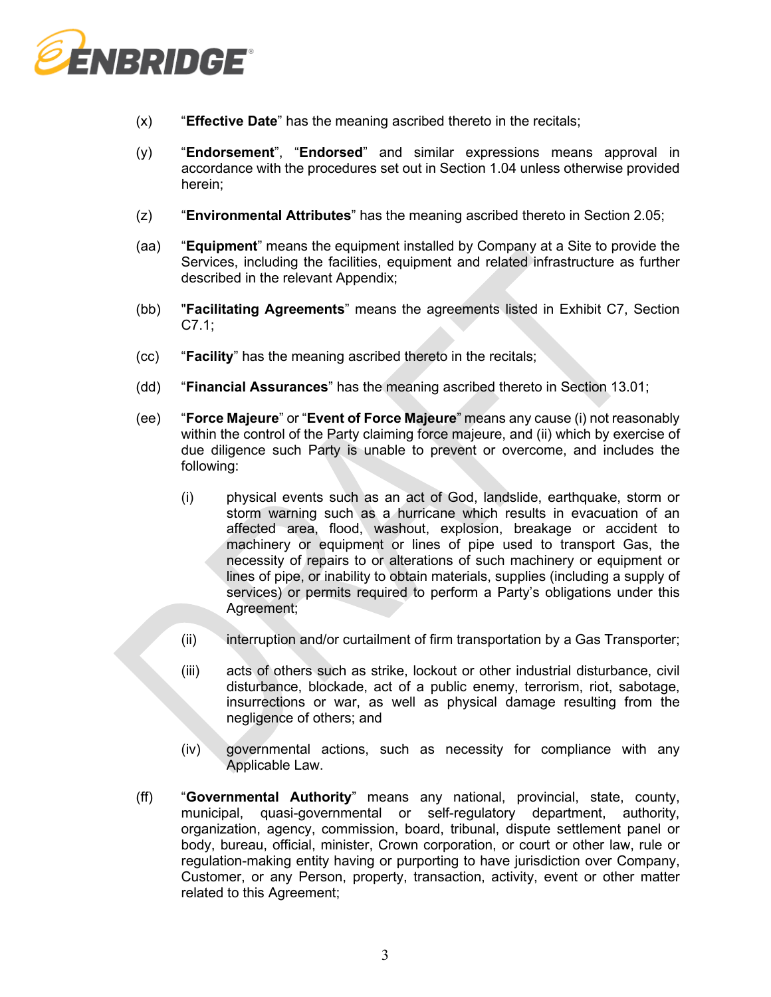

- (x) "**Effective Date**" has the meaning ascribed thereto in the recitals;
- (y) "**Endorsement**", "**Endorsed**" and similar expressions means approval in accordance with the procedures set out in Section [1.04](#page-1-2) unless otherwise provided herein;
- (z) "**Environmental Attributes**" has the meaning ascribed thereto in Section [2.05;](#page-3-2)
- (aa) "**Equipment**" means the equipment installed by Company at a Site to provide the Services, including the facilities, equipment and related infrastructure as further described in the relevant Appendix;
- (bb) "**Facilitating Agreements**" means the agreements listed in Exhibit C7, Section C7.1;
- (cc) "**Facility**" has the meaning ascribed thereto in the recitals;
- (dd) "**Financial Assurances**" has the meaning ascribed thereto in Section [13.01;](#page-13-2)
- (ee) "**Force Majeure**" or "**Event of Force Majeure**" means any cause (i) not reasonably within the control of the Party claiming force majeure, and (ii) which by exercise of due diligence such Party is unable to prevent or overcome, and includes the following:
	- (i) physical events such as an act of God, landslide, earthquake, storm or storm warning such as a hurricane which results in evacuation of an affected area, flood, washout, explosion, breakage or accident to machinery or equipment or lines of pipe used to transport Gas, the necessity of repairs to or alterations of such machinery or equipment or lines of pipe, or inability to obtain materials, supplies (including a supply of services) or permits required to perform a Party's obligations under this Agreement;
	- (ii) interruption and/or curtailment of firm transportation by a Gas Transporter;
	- (iii) acts of others such as strike, lockout or other industrial disturbance, civil disturbance, blockade, act of a public enemy, terrorism, riot, sabotage, insurrections or war, as well as physical damage resulting from the negligence of others; and
	- (iv) governmental actions, such as necessity for compliance with any Applicable Law.
- (ff) "**Governmental Authority**" means any national, provincial, state, county, municipal, quasi-governmental or self-regulatory department, authority, organization, agency, commission, board, tribunal, dispute settlement panel or body, bureau, official, minister, Crown corporation, or court or other law, rule or regulation-making entity having or purporting to have jurisdiction over Company, Customer, or any Person, property, transaction, activity, event or other matter related to this Agreement;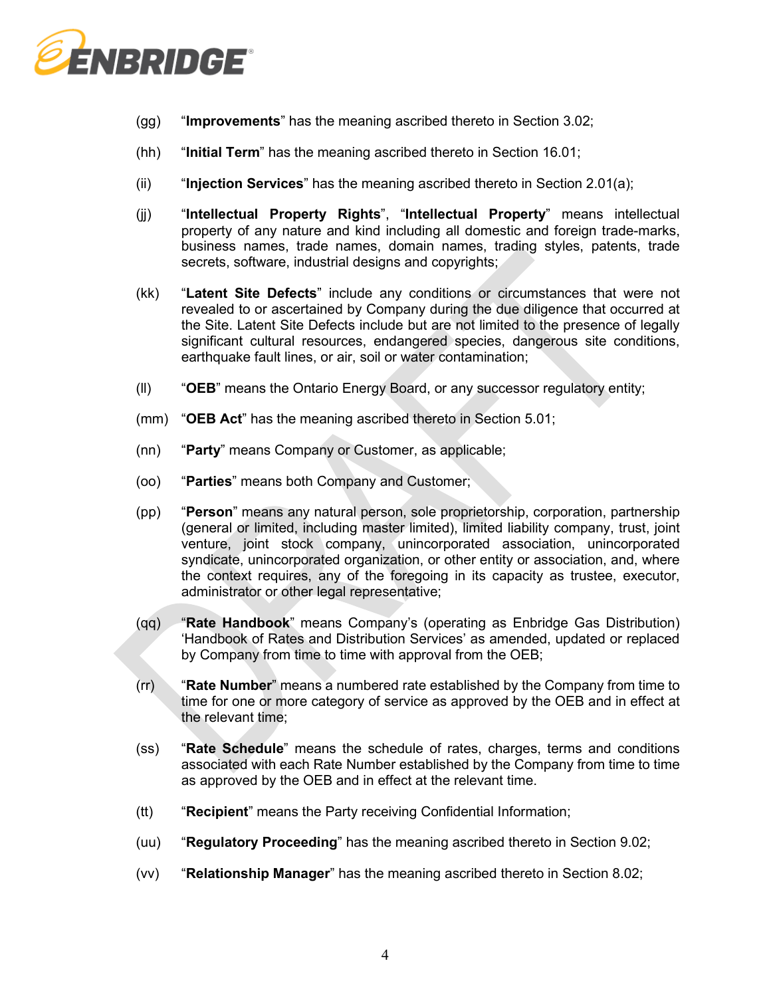

- (gg) "**Improvements**" has the meaning ascribed thereto in Section [3.02;](#page-4-0)
- (hh) "**Initial Term**" has the meaning ascribed thereto in Section [16.01;](#page-15-1)
- (ii) "**Injection Services**" has the meaning ascribed thereto in Section [2.01\(a\);](#page-2-0)
- (jj) "**Intellectual Property Rights**", "**Intellectual Property**" means intellectual property of any nature and kind including all domestic and foreign trade-marks, business names, trade names, domain names, trading styles, patents, trade secrets, software, industrial designs and copyrights;
- (kk) "**Latent Site Defects**" include any conditions or circumstances that were not revealed to or ascertained by Company during the due diligence that occurred at the Site. Latent Site Defects include but are not limited to the presence of legally significant cultural resources, endangered species, dangerous site conditions, earthquake fault lines, or air, soil or water contamination;
- (ll) "**OEB**" means the Ontario Energy Board, or any successor regulatory entity;
- (mm) "**OEB Act**" has the meaning ascribed thereto in Section [5.01;](#page-5-1)
- (nn) "**Party**" means Company or Customer, as applicable;
- (oo) "**Parties**" means both Company and Customer;
- (pp) "**Person**" means any natural person, sole proprietorship, corporation, partnership (general or limited, including master limited), limited liability company, trust, joint venture, joint stock company, unincorporated association, unincorporated syndicate, unincorporated organization, or other entity or association, and, where the context requires, any of the foregoing in its capacity as trustee, executor, administrator or other legal representative;
- (qq) "**Rate Handbook**" means Company's (operating as Enbridge Gas Distribution) 'Handbook of Rates and Distribution Services' as amended, updated or replaced by Company from time to time with approval from the OEB;
- (rr) "**Rate Number**" means a numbered rate established by the Company from time to time for one or more category of service as approved by the OEB and in effect at the relevant time;
- (ss) "**Rate Schedule**" means the schedule of rates, charges, terms and conditions associated with each Rate Number established by the Company from time to time as approved by the OEB and in effect at the relevant time.
- (tt) "**Recipient**" means the Party receiving Confidential Information;
- (uu) "**Regulatory Proceeding**" has the meaning ascribed thereto in Section [9.02;](#page-10-0)
- (vv) "**Relationship Manager**" has the meaning ascribed thereto in Section [8.02;](#page-8-0)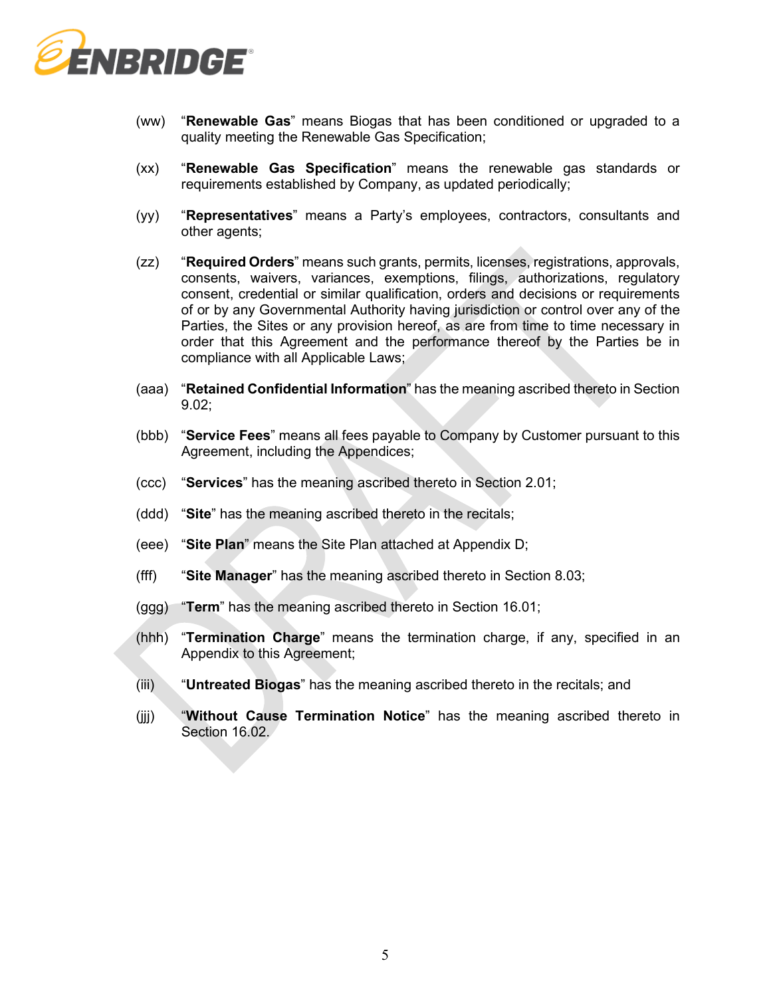

- (ww) "**Renewable Gas**" means Biogas that has been conditioned or upgraded to a quality meeting the Renewable Gas Specification;
- (xx) "**Renewable Gas Specification**" means the renewable gas standards or requirements established by Company, as updated periodically;
- (yy) "**Representatives**" means a Party's employees, contractors, consultants and other agents;
- (zz) "**Required Orders**" means such grants, permits, licenses, registrations, approvals, consents, waivers, variances, exemptions, filings, authorizations, regulatory consent, credential or similar qualification, orders and decisions or requirements of or by any Governmental Authority having jurisdiction or control over any of the Parties, the Sites or any provision hereof, as are from time to time necessary in order that this Agreement and the performance thereof by the Parties be in compliance with all Applicable Laws;
- (aaa) "**Retained Confidential Information**" has the meaning ascribed thereto in Section [9.02;](#page-10-0)
- (bbb) "**Service Fees**" means all fees payable to Company by Customer pursuant to this Agreement, including the Appendices;
- (ccc) "**Services**" has the meaning ascribed thereto in Section 2.01;
- (ddd) "**Site**" has the meaning ascribed thereto in the recitals;
- (eee) "**Site Plan**" means the Site Plan attached at Appendix D;
- (fff) "**Site Manager**" has the meaning ascribed thereto in Section [8.03;](#page-9-1)
- (ggg) "**Term**" has the meaning ascribed thereto in Section [16.01;](#page-15-1)
- (hhh) "**Termination Charge**" means the termination charge, if any, specified in an Appendix to this Agreement;
- (iii) "**Untreated Biogas**" has the meaning ascribed thereto in the recitals; and
- (jjj) "**Without Cause Termination Notice**" has the meaning ascribed thereto in Section [16.02.](#page-15-0)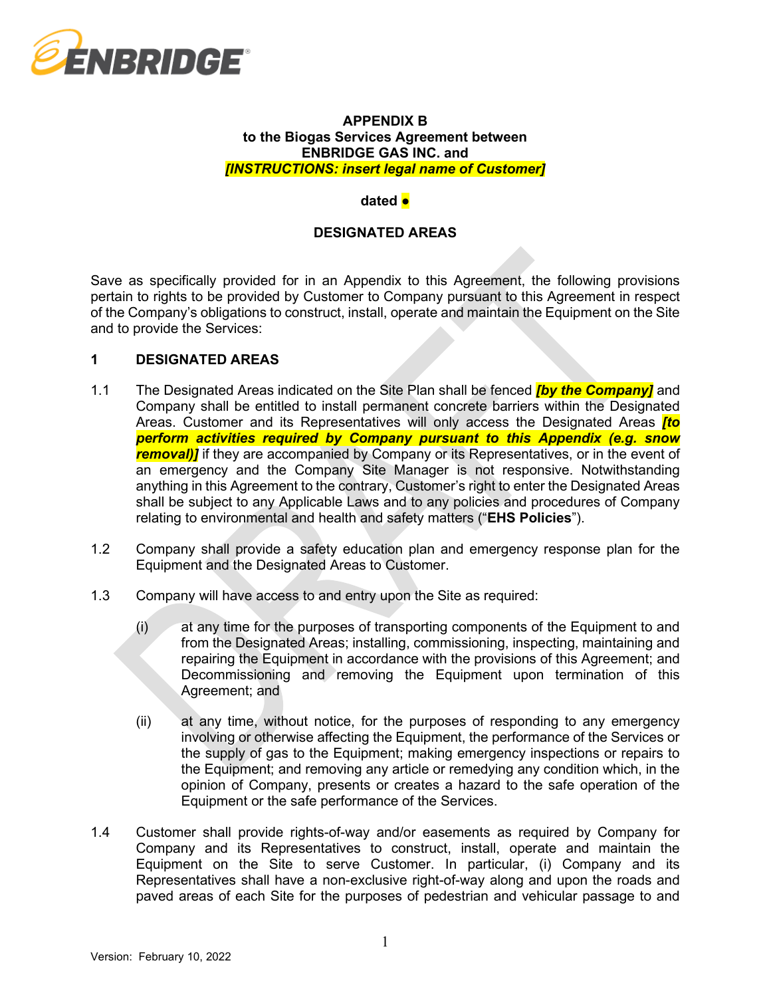

### **APPENDIX B to the Biogas Services Agreement between ENBRIDGE GAS INC. and**  *[INSTRUCTIONS: insert legal name of Customer]*

#### **dated ●**

### **DESIGNATED AREAS**

Save as specifically provided for in an Appendix to this Agreement, the following provisions pertain to rights to be provided by Customer to Company pursuant to this Agreement in respect of the Company's obligations to construct, install, operate and maintain the Equipment on the Site and to provide the Services:

### **1 DESIGNATED AREAS**

- 1.1 The Designated Areas indicated on the Site Plan shall be fenced *[by the Company]* and Company shall be entitled to install permanent concrete barriers within the Designated Areas. Customer and its Representatives will only access the Designated Areas *[to perform activities required by Company pursuant to this Appendix (e.g. snow*  **removal)** if they are accompanied by Company or its Representatives, or in the event of an emergency and the Company Site Manager is not responsive. Notwithstanding anything in this Agreement to the contrary, Customer's right to enter the Designated Areas shall be subject to any Applicable Laws and to any policies and procedures of Company relating to environmental and health and safety matters ("**EHS Policies**").
- 1.2 Company shall provide a safety education plan and emergency response plan for the Equipment and the Designated Areas to Customer.
- 1.3 Company will have access to and entry upon the Site as required:
	- (i) at any time for the purposes of transporting components of the Equipment to and from the Designated Areas; installing, commissioning, inspecting, maintaining and repairing the Equipment in accordance with the provisions of this Agreement; and Decommissioning and removing the Equipment upon termination of this Agreement; and
	- (ii) at any time, without notice, for the purposes of responding to any emergency involving or otherwise affecting the Equipment, the performance of the Services or the supply of gas to the Equipment; making emergency inspections or repairs to the Equipment; and removing any article or remedying any condition which, in the opinion of Company, presents or creates a hazard to the safe operation of the Equipment or the safe performance of the Services.
- 1.4 Customer shall provide rights-of-way and/or easements as required by Company for Company and its Representatives to construct, install, operate and maintain the Equipment on the Site to serve Customer. In particular, (i) Company and its Representatives shall have a non-exclusive right-of-way along and upon the roads and paved areas of each Site for the purposes of pedestrian and vehicular passage to and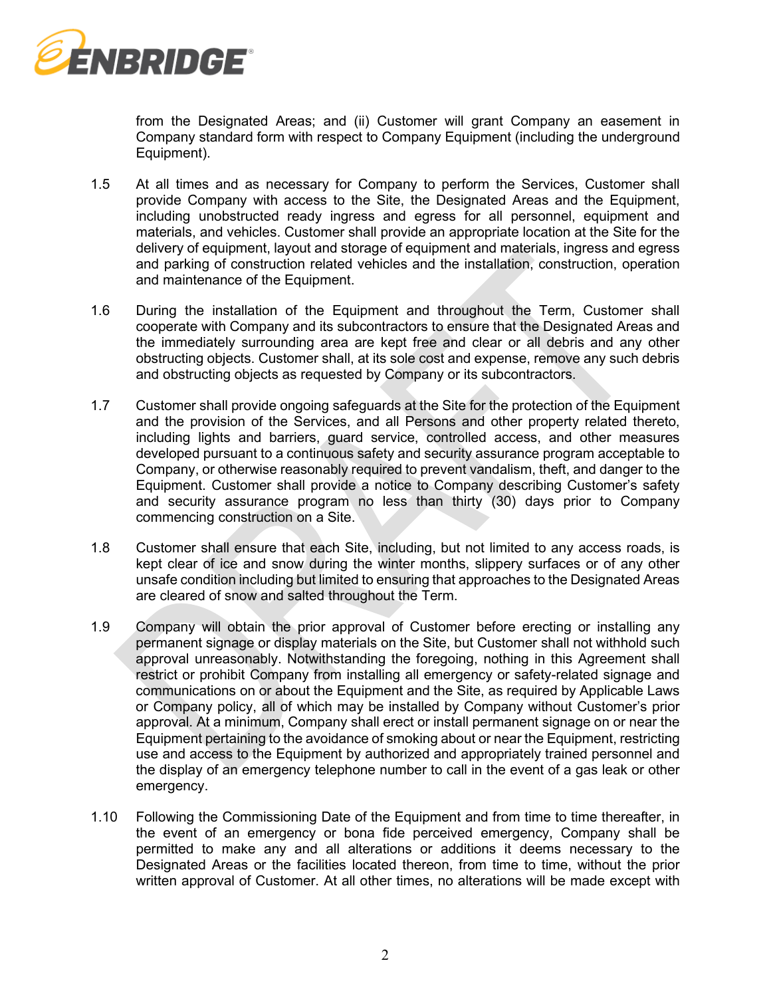

from the Designated Areas; and (ii) Customer will grant Company an easement in Company standard form with respect to Company Equipment (including the underground Equipment).

- 1.5 At all times and as necessary for Company to perform the Services, Customer shall provide Company with access to the Site, the Designated Areas and the Equipment, including unobstructed ready ingress and egress for all personnel, equipment and materials, and vehicles. Customer shall provide an appropriate location at the Site for the delivery of equipment, layout and storage of equipment and materials, ingress and egress and parking of construction related vehicles and the installation, construction, operation and maintenance of the Equipment.
- 1.6 During the installation of the Equipment and throughout the Term, Customer shall cooperate with Company and its subcontractors to ensure that the Designated Areas and the immediately surrounding area are kept free and clear or all debris and any other obstructing objects. Customer shall, at its sole cost and expense, remove any such debris and obstructing objects as requested by Company or its subcontractors.
- 1.7 Customer shall provide ongoing safeguards at the Site for the protection of the Equipment and the provision of the Services, and all Persons and other property related thereto, including lights and barriers, guard service, controlled access, and other measures developed pursuant to a continuous safety and security assurance program acceptable to Company, or otherwise reasonably required to prevent vandalism, theft, and danger to the Equipment. Customer shall provide a notice to Company describing Customer's safety and security assurance program no less than thirty (30) days prior to Company commencing construction on a Site.
- 1.8 Customer shall ensure that each Site, including, but not limited to any access roads, is kept clear of ice and snow during the winter months, slippery surfaces or of any other unsafe condition including but limited to ensuring that approaches to the Designated Areas are cleared of snow and salted throughout the Term.
- 1.9 Company will obtain the prior approval of Customer before erecting or installing any permanent signage or display materials on the Site, but Customer shall not withhold such approval unreasonably. Notwithstanding the foregoing, nothing in this Agreement shall restrict or prohibit Company from installing all emergency or safety-related signage and communications on or about the Equipment and the Site, as required by Applicable Laws or Company policy, all of which may be installed by Company without Customer's prior approval. At a minimum, Company shall erect or install permanent signage on or near the Equipment pertaining to the avoidance of smoking about or near the Equipment, restricting use and access to the Equipment by authorized and appropriately trained personnel and the display of an emergency telephone number to call in the event of a gas leak or other emergency.
- 1.10 Following the Commissioning Date of the Equipment and from time to time thereafter, in the event of an emergency or bona fide perceived emergency, Company shall be permitted to make any and all alterations or additions it deems necessary to the Designated Areas or the facilities located thereon, from time to time, without the prior written approval of Customer. At all other times, no alterations will be made except with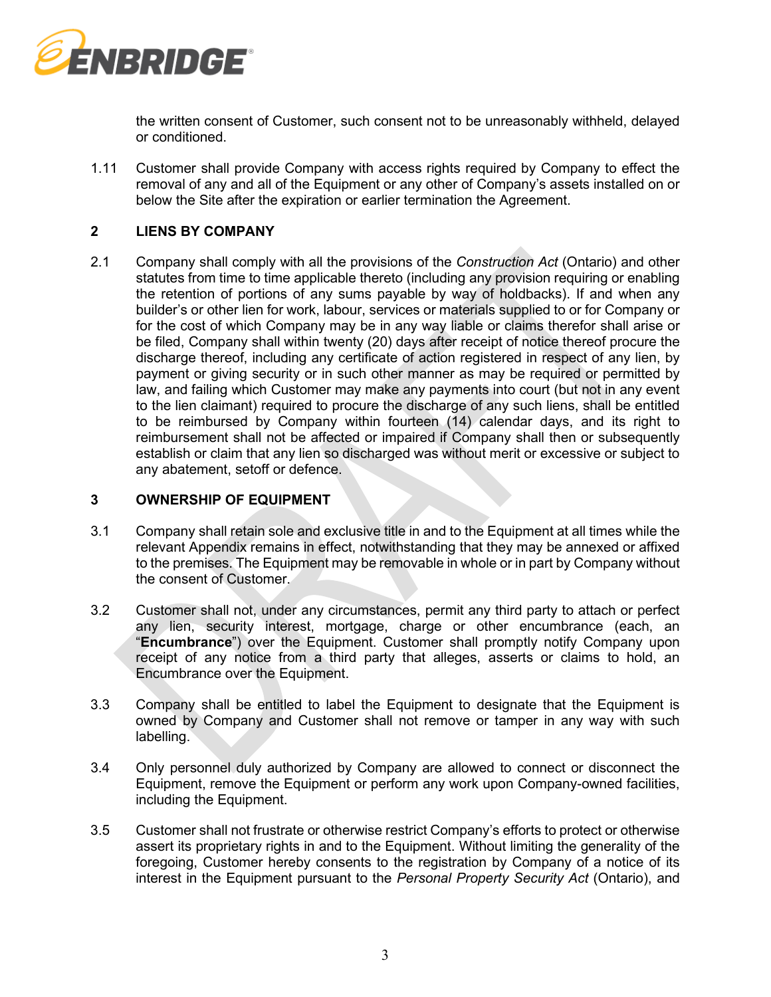

the written consent of Customer, such consent not to be unreasonably withheld, delayed or conditioned.

1.11 Customer shall provide Company with access rights required by Company to effect the removal of any and all of the Equipment or any other of Company's assets installed on or below the Site after the expiration or earlier termination the Agreement.

### **2 LIENS BY COMPANY**

2.1 Company shall comply with all the provisions of the *Construction Act* (Ontario) and other statutes from time to time applicable thereto (including any provision requiring or enabling the retention of portions of any sums payable by way of holdbacks). If and when any builder's or other lien for work, labour, services or materials supplied to or for Company or for the cost of which Company may be in any way liable or claims therefor shall arise or be filed, Company shall within twenty (20) days after receipt of notice thereof procure the discharge thereof, including any certificate of action registered in respect of any lien, by payment or giving security or in such other manner as may be required or permitted by law, and failing which Customer may make any payments into court (but not in any event to the lien claimant) required to procure the discharge of any such liens, shall be entitled to be reimbursed by Company within fourteen (14) calendar days, and its right to reimbursement shall not be affected or impaired if Company shall then or subsequently establish or claim that any lien so discharged was without merit or excessive or subject to any abatement, setoff or defence.

### **3 OWNERSHIP OF EQUIPMENT**

- 3.1 Company shall retain sole and exclusive title in and to the Equipment at all times while the relevant Appendix remains in effect, notwithstanding that they may be annexed or affixed to the premises. The Equipment may be removable in whole or in part by Company without the consent of Customer.
- 3.2 Customer shall not, under any circumstances, permit any third party to attach or perfect any lien, security interest, mortgage, charge or other encumbrance (each, an "**Encumbrance**") over the Equipment. Customer shall promptly notify Company upon receipt of any notice from a third party that alleges, asserts or claims to hold, an Encumbrance over the Equipment.
- 3.3 Company shall be entitled to label the Equipment to designate that the Equipment is owned by Company and Customer shall not remove or tamper in any way with such labelling.
- 3.4 Only personnel duly authorized by Company are allowed to connect or disconnect the Equipment, remove the Equipment or perform any work upon Company-owned facilities, including the Equipment.
- 3.5 Customer shall not frustrate or otherwise restrict Company's efforts to protect or otherwise assert its proprietary rights in and to the Equipment. Without limiting the generality of the foregoing, Customer hereby consents to the registration by Company of a notice of its interest in the Equipment pursuant to the *Personal Property Security Act* (Ontario), and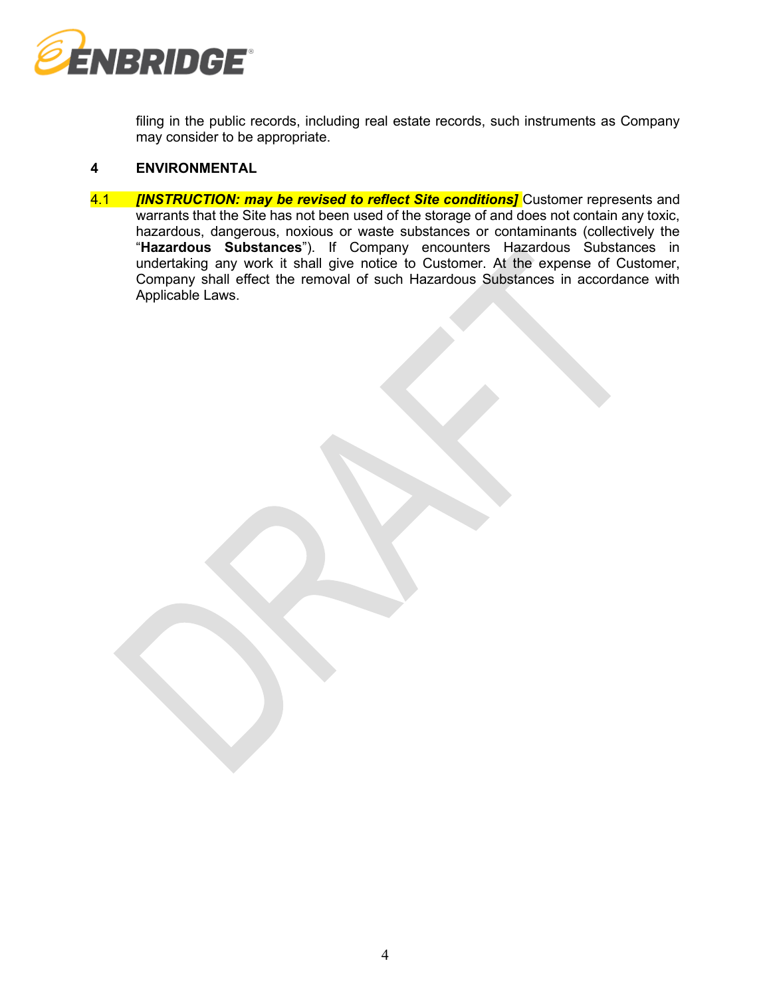

filing in the public records, including real estate records, such instruments as Company may consider to be appropriate.

### **4 ENVIRONMENTAL**

4.1 *IINSTRUCTION: may be revised to reflect Site conditions]* **Customer represents and** warrants that the Site has not been used of the storage of and does not contain any toxic, hazardous, dangerous, noxious or waste substances or contaminants (collectively the "**Hazardous Substances**"). If Company encounters Hazardous Substances in undertaking any work it shall give notice to Customer. At the expense of Customer, Company shall effect the removal of such Hazardous Substances in accordance with Applicable Laws.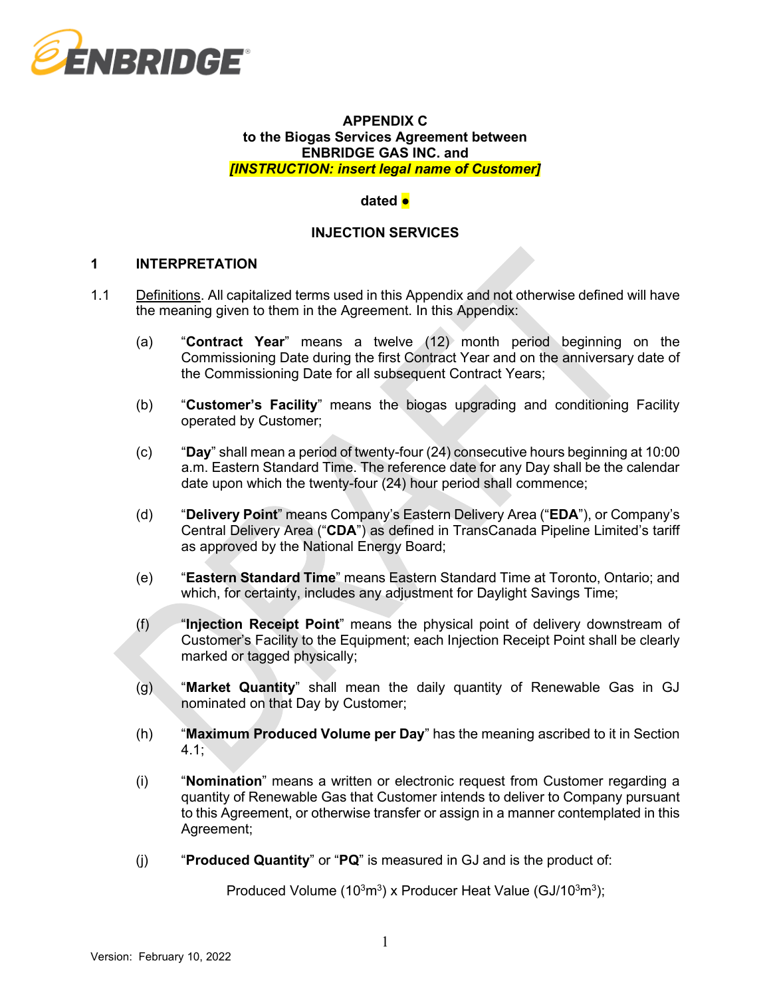

### **APPENDIX C to the Biogas Services Agreement between ENBRIDGE GAS INC. and**  *[INSTRUCTION: insert legal name of Customer]*

### **dated ●**

# **INJECTION SERVICES**

### **1 INTERPRETATION**

- 1.1 Definitions. All capitalized terms used in this Appendix and not otherwise defined will have the meaning given to them in the Agreement. In this Appendix:
	- (a) "**Contract Year**" means a twelve (12) month period beginning on the Commissioning Date during the first Contract Year and on the anniversary date of the Commissioning Date for all subsequent Contract Years;
	- (b) "**Customer's Facility**" means the biogas upgrading and conditioning Facility operated by Customer;
	- (c) "**Day**" shall mean a period of twenty-four (24) consecutive hours beginning at 10:00 a.m. Eastern Standard Time. The reference date for any Day shall be the calendar date upon which the twenty-four (24) hour period shall commence;
	- (d) "**Delivery Point**" means Company's Eastern Delivery Area ("**EDA**"), or Company's Central Delivery Area ("**CDA**") as defined in TransCanada Pipeline Limited's tariff as approved by the National Energy Board;
	- (e) "**Eastern Standard Time**" means Eastern Standard Time at Toronto, Ontario; and which, for certainty, includes any adjustment for Daylight Savings Time;
	- (f) "**Injection Receipt Point**" means the physical point of delivery downstream of Customer's Facility to the Equipment; each Injection Receipt Point shall be clearly marked or tagged physically;
	- (g) "**Market Quantity**" shall mean the daily quantity of Renewable Gas in GJ nominated on that Day by Customer;
	- (h) "**Maximum Produced Volume per Day**" has the meaning ascribed to it in Section 4.1;
	- (i) "**Nomination**" means a written or electronic request from Customer regarding a quantity of Renewable Gas that Customer intends to deliver to Company pursuant to this Agreement, or otherwise transfer or assign in a manner contemplated in this Agreement;
	- (j) "**Produced Quantity**" or "**PQ**" is measured in GJ and is the product of:

Produced Volume (10 $3\,\mathrm{m}^3$ ) x Producer Heat Value (GJ/10 $3\,\mathrm{m}^3$ );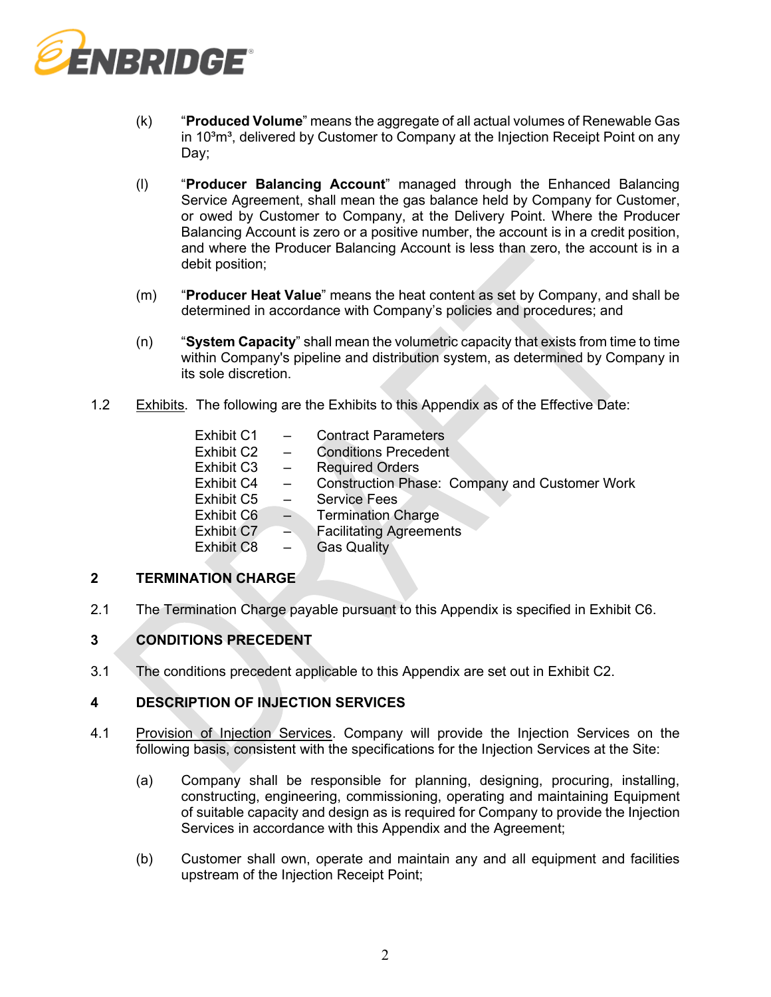

- (k) "**Produced Volume**" means the aggregate of all actual volumes of Renewable Gas in 10<sup>3</sup>m<sup>3</sup>, delivered by Customer to Company at the Injection Receipt Point on any Day;
- (l) "**Producer Balancing Account**" managed through the Enhanced Balancing Service Agreement, shall mean the gas balance held by Company for Customer, or owed by Customer to Company, at the Delivery Point. Where the Producer Balancing Account is zero or a positive number, the account is in a credit position, and where the Producer Balancing Account is less than zero, the account is in a debit position;
- (m) "**Producer Heat Value**" means the heat content as set by Company, and shall be determined in accordance with Company's policies and procedures; and
- (n) "**System Capacity**" shall mean the volumetric capacity that exists from time to time within Company's pipeline and distribution system, as determined by Company in its sole discretion.
- 1.2 Exhibits. The following are the Exhibits to this Appendix as of the Effective Date:

| Exhibit C1 |                          | <b>Contract Parameters</b>                           |
|------------|--------------------------|------------------------------------------------------|
| Exhibit C2 | $\equiv$                 | <b>Conditions Precedent</b>                          |
| Exhibit C3 | $\frac{1}{2}$            | <b>Required Orders</b>                               |
| Exhibit C4 | $\overline{\phantom{m}}$ | <b>Construction Phase: Company and Customer Work</b> |
| Exhibit C5 | $\overline{\phantom{a}}$ | <b>Service Fees</b>                                  |
| Exhibit C6 | $\Rightarrow$            | <b>Termination Charge</b>                            |
| Exhibit C7 | $\rightarrow$            | <b>Facilitating Agreements</b>                       |
| Exhibit C8 | $\overline{\phantom{a}}$ | <b>Gas Quality</b>                                   |
|            |                          |                                                      |

# **2 TERMINATION CHARGE**

2.1 The Termination Charge payable pursuant to this Appendix is specified in Exhibit C6.

# **3 CONDITIONS PRECEDENT**

3.1 The conditions precedent applicable to this Appendix are set out in Exhibit C2.

# **4 DESCRIPTION OF INJECTION SERVICES**

- 4.1 Provision of Injection Services. Company will provide the Injection Services on the following basis, consistent with the specifications for the Injection Services at the Site:
	- (a) Company shall be responsible for planning, designing, procuring, installing, constructing, engineering, commissioning, operating and maintaining Equipment of suitable capacity and design as is required for Company to provide the Injection Services in accordance with this Appendix and the Agreement;
	- (b) Customer shall own, operate and maintain any and all equipment and facilities upstream of the Injection Receipt Point;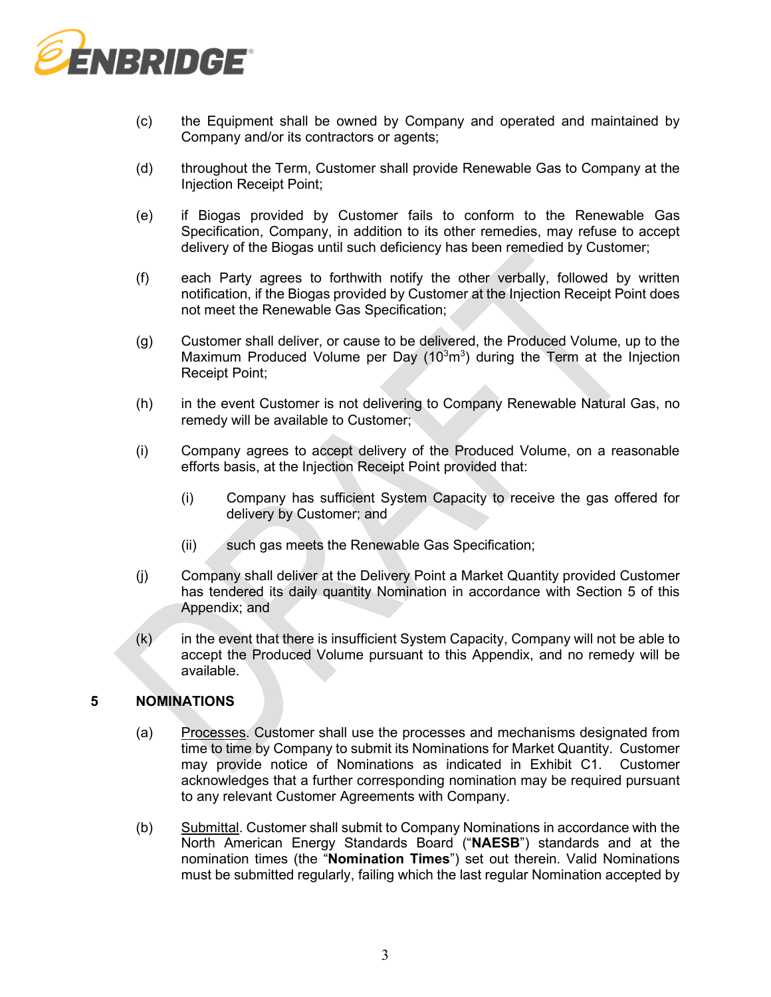

- (c) the Equipment shall be owned by Company and operated and maintained by Company and/or its contractors or agents;
- (d) throughout the Term, Customer shall provide Renewable Gas to Company at the Injection Receipt Point;
- (e) if Biogas provided by Customer fails to conform to the Renewable Gas Specification, Company, in addition to its other remedies, may refuse to accept delivery of the Biogas until such deficiency has been remedied by Customer;
- (f) each Party agrees to forthwith notify the other verbally, followed by written notification, if the Biogas provided by Customer at the Injection Receipt Point does not meet the Renewable Gas Specification;
- (g) Customer shall deliver, or cause to be delivered, the Produced Volume, up to the Maximum Produced Volume per Day  $(10<sup>3</sup>m<sup>3</sup>)$  during the Term at the Injection Receipt Point;
- (h) in the event Customer is not delivering to Company Renewable Natural Gas, no remedy will be available to Customer;
- (i) Company agrees to accept delivery of the Produced Volume, on a reasonable efforts basis, at the Injection Receipt Point provided that:
	- (i) Company has sufficient System Capacity to receive the gas offered for delivery by Customer; and
	- (ii) such gas meets the Renewable Gas Specification;
- (j) Company shall deliver at the Delivery Point a Market Quantity provided Customer has tendered its daily quantity Nomination in accordance with Section 5 of this Appendix; and
- $(k)$  in the event that there is insufficient System Capacity, Company will not be able to accept the Produced Volume pursuant to this Appendix, and no remedy will be available.

# **5 NOMINATIONS**

- (a) Processes. Customer shall use the processes and mechanisms designated from time to time by Company to submit its Nominations for Market Quantity. Customer may provide notice of Nominations as indicated in Exhibit C1. Customer acknowledges that a further corresponding nomination may be required pursuant to any relevant Customer Agreements with Company.
- (b) Submittal. Customer shall submit to Company Nominations in accordance with the North American Energy Standards Board ("**NAESB**") standards and at the nomination times (the "**Nomination Times**") set out therein. Valid Nominations must be submitted regularly, failing which the last regular Nomination accepted by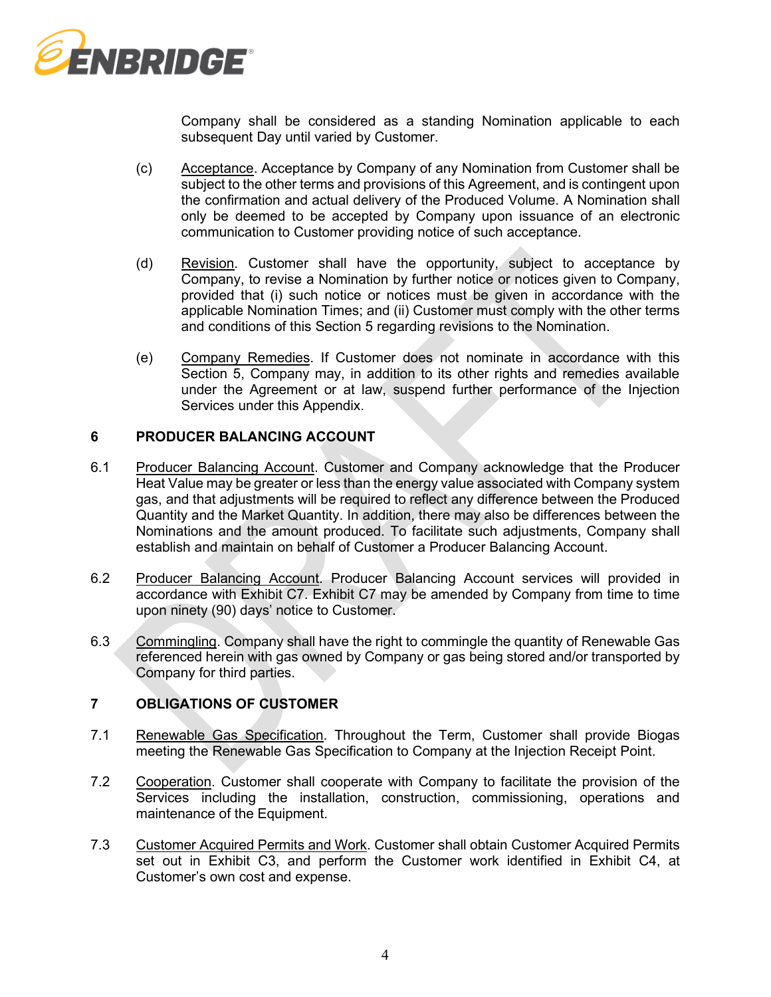

Company shall be considered as a standing Nomination applicable to each subsequent Day until varied by Customer.

- (c) Acceptance. Acceptance by Company of any Nomination from Customer shall be subject to the other terms and provisions of this Agreement, and is contingent upon the confirmation and actual delivery of the Produced Volume. A Nomination shall only be deemed to be accepted by Company upon issuance of an electronic communication to Customer providing notice of such acceptance.
- (d) Revision. Customer shall have the opportunity, subject to acceptance by Company, to revise a Nomination by further notice or notices given to Company, provided that (i) such notice or notices must be given in accordance with the applicable Nomination Times; and (ii) Customer must comply with the other terms and conditions of this Section 5 regarding revisions to the Nomination.
- (e) Company Remedies. If Customer does not nominate in accordance with this Section 5, Company may, in addition to its other rights and remedies available under the Agreement or at law, suspend further performance of the Injection Services under this Appendix.

### **6 PRODUCER BALANCING ACCOUNT**

- 6.1 Producer Balancing Account. Customer and Company acknowledge that the Producer Heat Value may be greater or less than the energy value associated with Company system gas, and that adjustments will be required to reflect any difference between the Produced Quantity and the Market Quantity. In addition, there may also be differences between the Nominations and the amount produced. To facilitate such adjustments, Company shall establish and maintain on behalf of Customer a Producer Balancing Account.
- 6.2 Producer Balancing Account. Producer Balancing Account services will provided in accordance with Exhibit C7. Exhibit C7 may be amended by Company from time to time upon ninety (90) days' notice to Customer.
- 6.3 Commingling. Company shall have the right to commingle the quantity of Renewable Gas referenced herein with gas owned by Company or gas being stored and/or transported by Company for third parties.

# **7 OBLIGATIONS OF CUSTOMER**

- 7.1 Renewable Gas Specification. Throughout the Term, Customer shall provide Biogas meeting the Renewable Gas Specification to Company at the Injection Receipt Point.
- 7.2 Cooperation. Customer shall cooperate with Company to facilitate the provision of the Services including the installation, construction, commissioning, operations and maintenance of the Equipment.
- 7.3 Customer Acquired Permits and Work. Customer shall obtain Customer Acquired Permits set out in Exhibit C3, and perform the Customer work identified in Exhibit C4, at Customer's own cost and expense.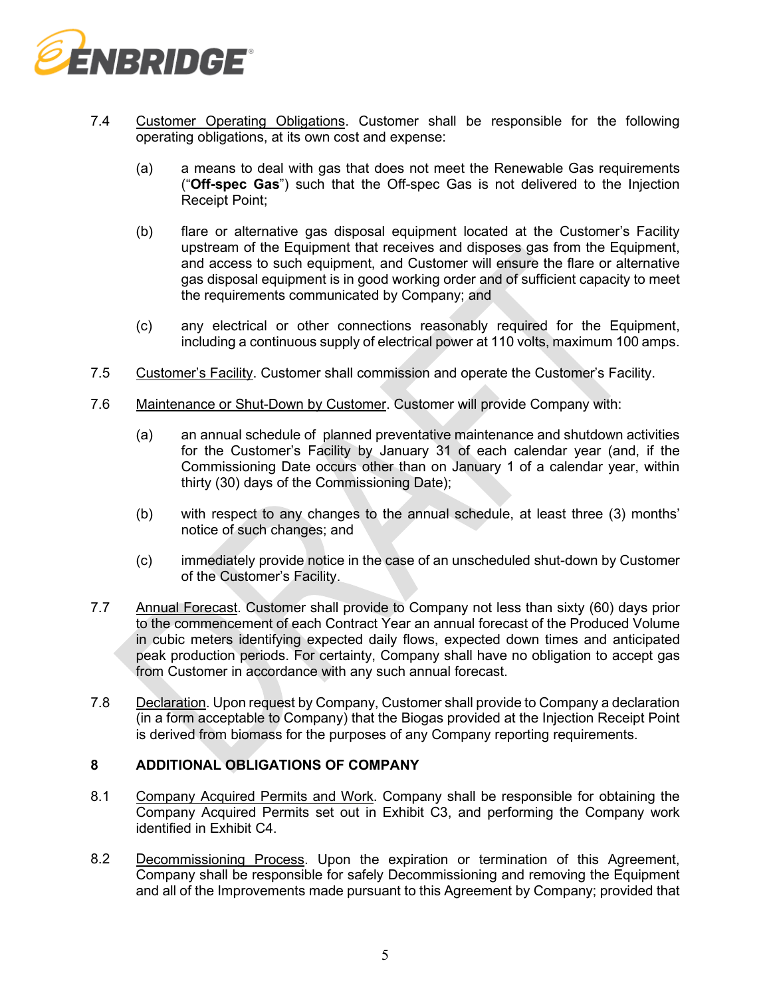

- 7.4 Customer Operating Obligations. Customer shall be responsible for the following operating obligations, at its own cost and expense:
	- (a) a means to deal with gas that does not meet the Renewable Gas requirements ("**Off-spec Gas**") such that the Off-spec Gas is not delivered to the Injection Receipt Point;
	- (b) flare or alternative gas disposal equipment located at the Customer's Facility upstream of the Equipment that receives and disposes gas from the Equipment, and access to such equipment, and Customer will ensure the flare or alternative gas disposal equipment is in good working order and of sufficient capacity to meet the requirements communicated by Company; and
	- (c) any electrical or other connections reasonably required for the Equipment, including a continuous supply of electrical power at 110 volts, maximum 100 amps.
- 7.5 Customer's Facility. Customer shall commission and operate the Customer's Facility.
- 7.6 Maintenance or Shut-Down by Customer. Customer will provide Company with:
	- (a) an annual schedule of planned preventative maintenance and shutdown activities for the Customer's Facility by January 31 of each calendar year (and, if the Commissioning Date occurs other than on January 1 of a calendar year, within thirty (30) days of the Commissioning Date);
	- (b) with respect to any changes to the annual schedule, at least three (3) months' notice of such changes; and
	- (c) immediately provide notice in the case of an unscheduled shut-down by Customer of the Customer's Facility.
- 7.7 Annual Forecast. Customer shall provide to Company not less than sixty (60) days prior to the commencement of each Contract Year an annual forecast of the Produced Volume in cubic meters identifying expected daily flows, expected down times and anticipated peak production periods. For certainty, Company shall have no obligation to accept gas from Customer in accordance with any such annual forecast.
- 7.8 Declaration. Upon request by Company, Customer shall provide to Company a declaration (in a form acceptable to Company) that the Biogas provided at the Injection Receipt Point is derived from biomass for the purposes of any Company reporting requirements.

# **8 ADDITIONAL OBLIGATIONS OF COMPANY**

- 8.1 Company Acquired Permits and Work. Company shall be responsible for obtaining the Company Acquired Permits set out in Exhibit C3, and performing the Company work identified in Exhibit C4.
- 8.2 Decommissioning Process. Upon the expiration or termination of this Agreement, Company shall be responsible for safely Decommissioning and removing the Equipment and all of the Improvements made pursuant to this Agreement by Company; provided that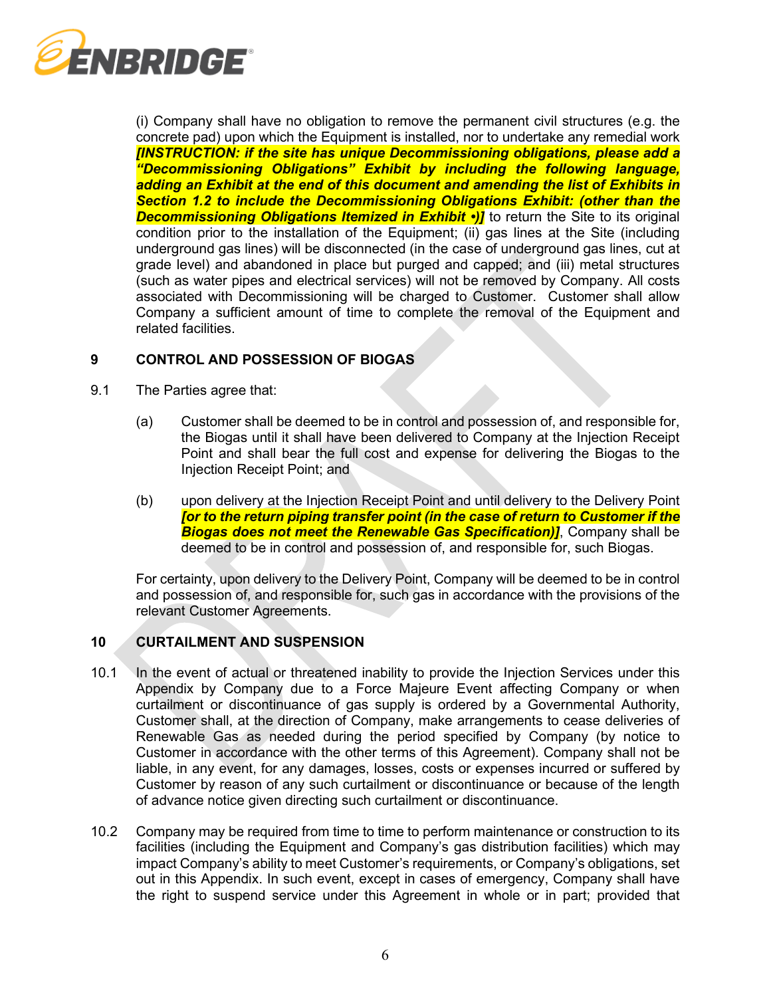

(i) Company shall have no obligation to remove the permanent civil structures (e.g. the concrete pad) upon which the Equipment is installed, nor to undertake any remedial work *[INSTRUCTION: if the site has unique Decommissioning obligations, please add a "Decommissioning Obligations" Exhibit by including the following language, adding an Exhibit at the end of this document and amending the list of Exhibits in Section 1.2 to include the Decommissioning Obligations Exhibit: (other than the*  **Decommissioning Obligations Itemized in Exhibit •)** to return the Site to its original condition prior to the installation of the Equipment; (ii) gas lines at the Site (including underground gas lines) will be disconnected (in the case of underground gas lines, cut at grade level) and abandoned in place but purged and capped; and (iii) metal structures (such as water pipes and electrical services) will not be removed by Company. All costs associated with Decommissioning will be charged to Customer. Customer shall allow Company a sufficient amount of time to complete the removal of the Equipment and related facilities.

# **9 CONTROL AND POSSESSION OF BIOGAS**

- 9.1 The Parties agree that:
	- (a) Customer shall be deemed to be in control and possession of, and responsible for, the Biogas until it shall have been delivered to Company at the Injection Receipt Point and shall bear the full cost and expense for delivering the Biogas to the Injection Receipt Point; and
	- (b) upon delivery at the Injection Receipt Point and until delivery to the Delivery Point *[or to the return piping transfer point (in the case of return to Customer if the Biogas does not meet the Renewable Gas Specification)]*, Company shall be deemed to be in control and possession of, and responsible for, such Biogas.

For certainty, upon delivery to the Delivery Point, Company will be deemed to be in control and possession of, and responsible for, such gas in accordance with the provisions of the relevant Customer Agreements.

# **10 CURTAILMENT AND SUSPENSION**

- 10.1 In the event of actual or threatened inability to provide the Injection Services under this Appendix by Company due to a Force Majeure Event affecting Company or when curtailment or discontinuance of gas supply is ordered by a Governmental Authority, Customer shall, at the direction of Company, make arrangements to cease deliveries of Renewable Gas as needed during the period specified by Company (by notice to Customer in accordance with the other terms of this Agreement). Company shall not be liable, in any event, for any damages, losses, costs or expenses incurred or suffered by Customer by reason of any such curtailment or discontinuance or because of the length of advance notice given directing such curtailment or discontinuance.
- 10.2 Company may be required from time to time to perform maintenance or construction to its facilities (including the Equipment and Company's gas distribution facilities) which may impact Company's ability to meet Customer's requirements, or Company's obligations, set out in this Appendix. In such event, except in cases of emergency, Company shall have the right to suspend service under this Agreement in whole or in part; provided that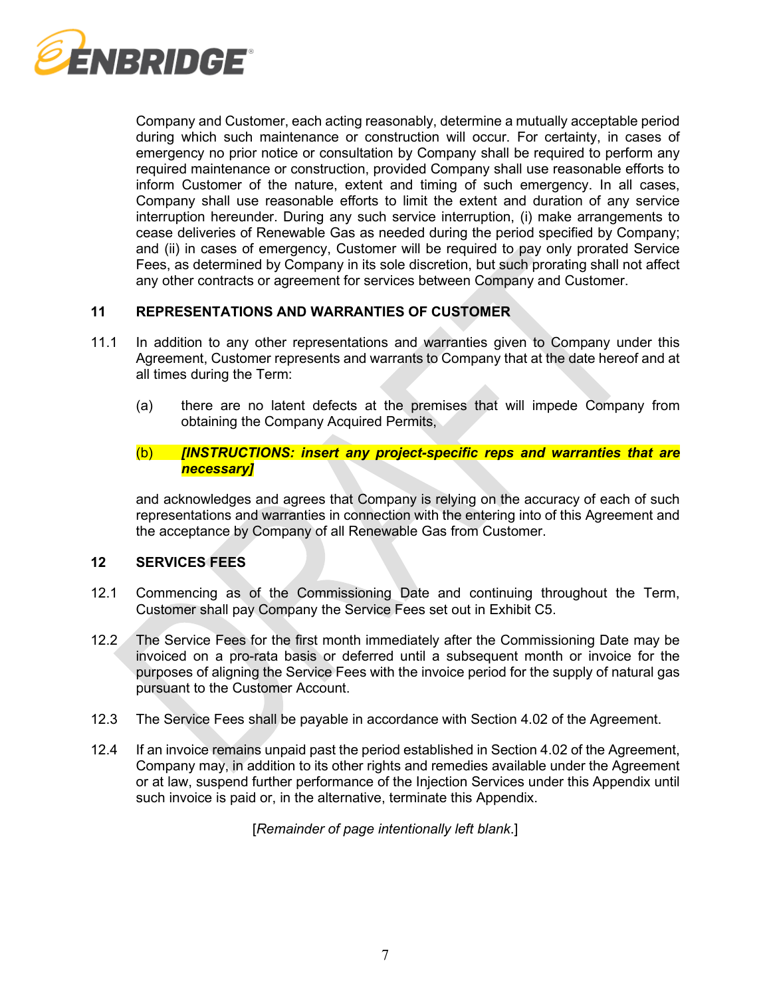

Company and Customer, each acting reasonably, determine a mutually acceptable period during which such maintenance or construction will occur. For certainty, in cases of emergency no prior notice or consultation by Company shall be required to perform any required maintenance or construction, provided Company shall use reasonable efforts to inform Customer of the nature, extent and timing of such emergency. In all cases, Company shall use reasonable efforts to limit the extent and duration of any service interruption hereunder. During any such service interruption, (i) make arrangements to cease deliveries of Renewable Gas as needed during the period specified by Company; and (ii) in cases of emergency, Customer will be required to pay only prorated Service Fees, as determined by Company in its sole discretion, but such prorating shall not affect any other contracts or agreement for services between Company and Customer.

# **11 REPRESENTATIONS AND WARRANTIES OF CUSTOMER**

- 11.1 In addition to any other representations and warranties given to Company under this Agreement, Customer represents and warrants to Company that at the date hereof and at all times during the Term:
	- (a) there are no latent defects at the premises that will impede Company from obtaining the Company Acquired Permits,

# (b) *[INSTRUCTIONS: insert any project-specific reps and warranties that are necessary]*

and acknowledges and agrees that Company is relying on the accuracy of each of such representations and warranties in connection with the entering into of this Agreement and the acceptance by Company of all Renewable Gas from Customer.

# **12 SERVICES FEES**

- 12.1 Commencing as of the Commissioning Date and continuing throughout the Term, Customer shall pay Company the Service Fees set out in Exhibit C5.
- 12.2 The Service Fees for the first month immediately after the Commissioning Date may be invoiced on a pro-rata basis or deferred until a subsequent month or invoice for the purposes of aligning the Service Fees with the invoice period for the supply of natural gas pursuant to the Customer Account.
- 12.3 The Service Fees shall be payable in accordance with Section [4.02](#page-4-1) of the Agreement.
- 12.4 If an invoice remains unpaid past the period established in Section [4.02](#page-4-1) of the Agreement, Company may, in addition to its other rights and remedies available under the Agreement or at law, suspend further performance of the Injection Services under this Appendix until such invoice is paid or, in the alternative, terminate this Appendix.

[*Remainder of page intentionally left blank*.]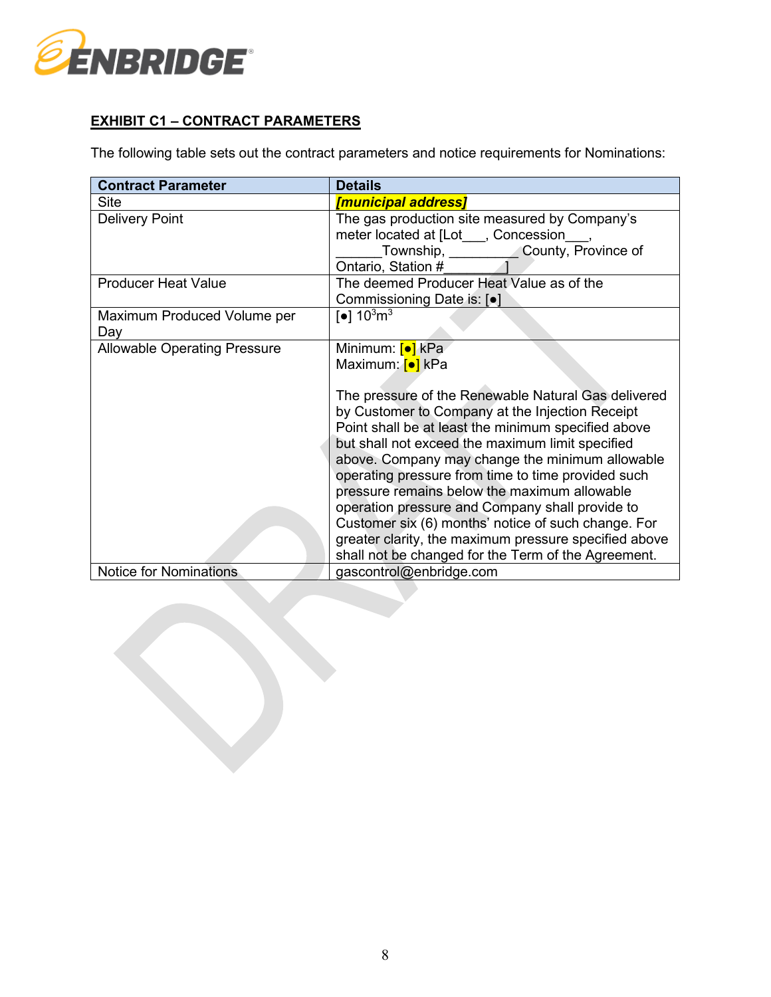

# **EXHIBIT C1 – CONTRACT PARAMETERS**

The following table sets out the contract parameters and notice requirements for Nominations:

| <b>Contract Parameter</b>           | <b>Details</b>                                                                                                                                                                                                                                                                                                                                                                                                                                                                                                                                                                                                                                                         |
|-------------------------------------|------------------------------------------------------------------------------------------------------------------------------------------------------------------------------------------------------------------------------------------------------------------------------------------------------------------------------------------------------------------------------------------------------------------------------------------------------------------------------------------------------------------------------------------------------------------------------------------------------------------------------------------------------------------------|
| <b>Site</b>                         | <u>[municipal address]</u>                                                                                                                                                                                                                                                                                                                                                                                                                                                                                                                                                                                                                                             |
| <b>Delivery Point</b>               | The gas production site measured by Company's<br>meter located at [Lot___, Concession_<br>Township, County, Province of<br>Ontario, Station #                                                                                                                                                                                                                                                                                                                                                                                                                                                                                                                          |
| <b>Producer Heat Value</b>          | The deemed Producer Heat Value as of the<br>Commissioning Date is: [.]                                                                                                                                                                                                                                                                                                                                                                                                                                                                                                                                                                                                 |
| Maximum Produced Volume per<br>Day  | $\lceil \bullet \rceil 10^3 \text{m}^3$                                                                                                                                                                                                                                                                                                                                                                                                                                                                                                                                                                                                                                |
| <b>Allowable Operating Pressure</b> | Minimum: <mark>[●]</mark> kPa<br>Maximum: <mark>[●]</mark> kPa<br>The pressure of the Renewable Natural Gas delivered<br>by Customer to Company at the Injection Receipt<br>Point shall be at least the minimum specified above<br>but shall not exceed the maximum limit specified<br>above. Company may change the minimum allowable<br>operating pressure from time to time provided such<br>pressure remains below the maximum allowable<br>operation pressure and Company shall provide to<br>Customer six (6) months' notice of such change. For<br>greater clarity, the maximum pressure specified above<br>shall not be changed for the Term of the Agreement. |
| <b>Notice for Nominations</b>       | gascontrol@enbridge.com                                                                                                                                                                                                                                                                                                                                                                                                                                                                                                                                                                                                                                                |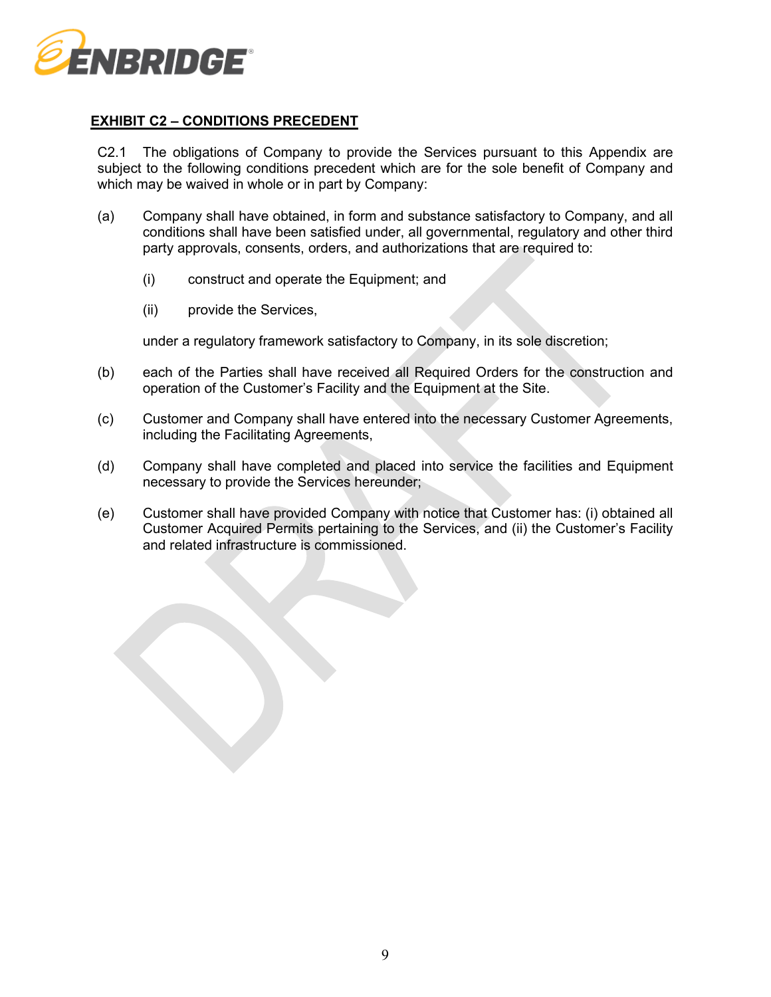

# **EXHIBIT C2 – CONDITIONS PRECEDENT**

C2.1 The obligations of Company to provide the Services pursuant to this Appendix are subject to the following conditions precedent which are for the sole benefit of Company and which may be waived in whole or in part by Company:

- (a) Company shall have obtained, in form and substance satisfactory to Company, and all conditions shall have been satisfied under, all governmental, regulatory and other third party approvals, consents, orders, and authorizations that are required to:
	- (i) construct and operate the Equipment; and
	- (ii) provide the Services,

under a regulatory framework satisfactory to Company, in its sole discretion;

- (b) each of the Parties shall have received all Required Orders for the construction and operation of the Customer's Facility and the Equipment at the Site.
- (c) Customer and Company shall have entered into the necessary Customer Agreements, including the Facilitating Agreements,
- (d) Company shall have completed and placed into service the facilities and Equipment necessary to provide the Services hereunder;
- (e) Customer shall have provided Company with notice that Customer has: (i) obtained all Customer Acquired Permits pertaining to the Services, and (ii) the Customer's Facility and related infrastructure is commissioned.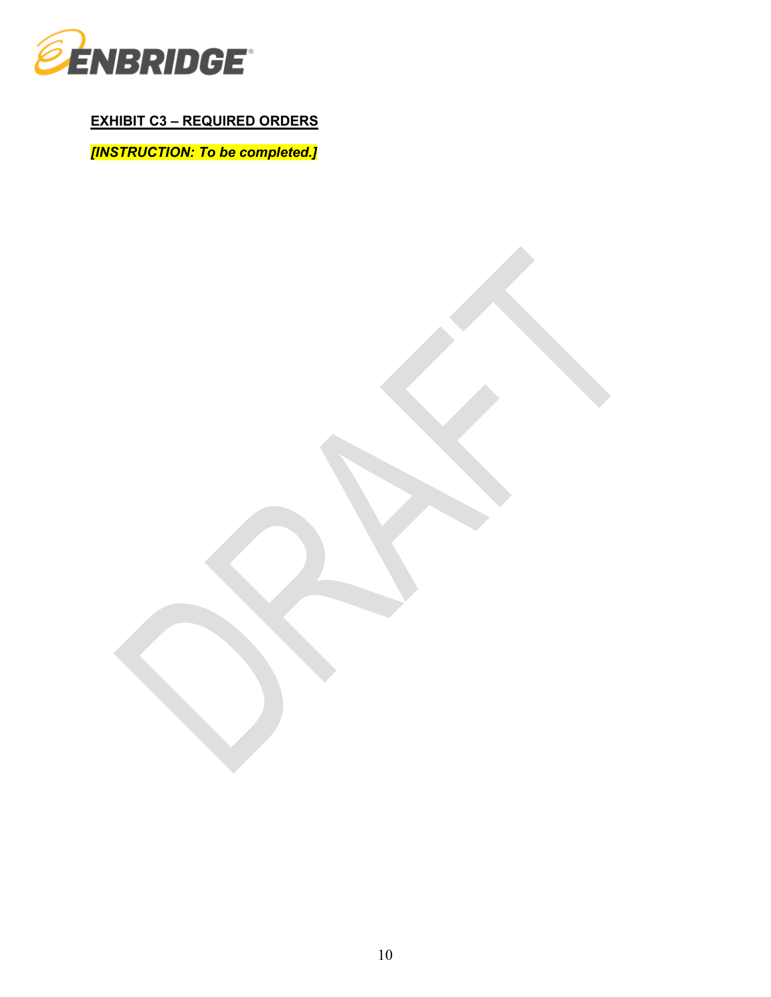

**EXHIBIT C3 – REQUIRED ORDERS**

*[INSTRUCTION: To be completed.]*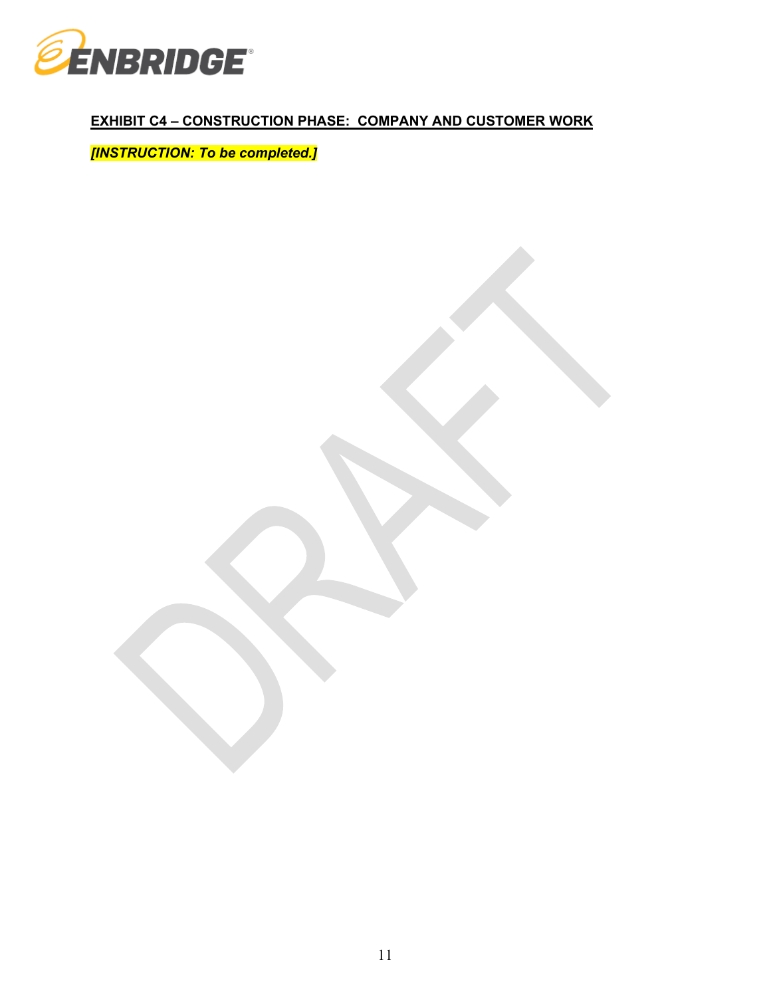

# **EXHIBIT C4 – CONSTRUCTION PHASE: COMPANY AND CUSTOMER WORK**

*[INSTRUCTION: To be completed.]*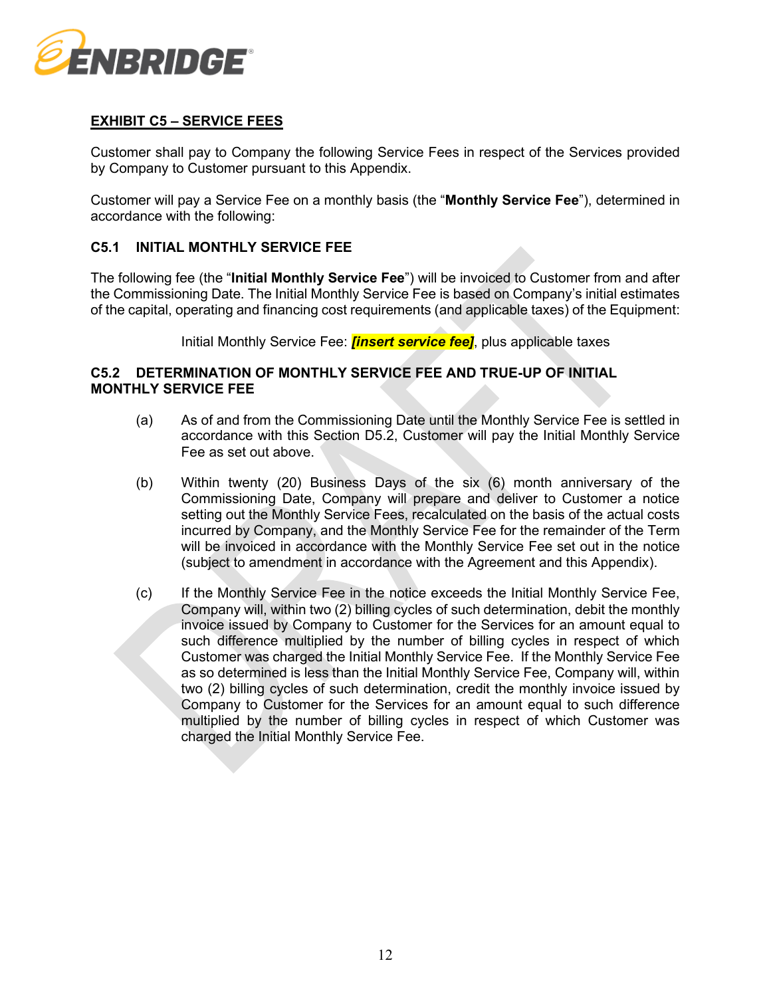

# **EXHIBIT C5 – SERVICE FEES**

Customer shall pay to Company the following Service Fees in respect of the Services provided by Company to Customer pursuant to this Appendix.

Customer will pay a Service Fee on a monthly basis (the "**Monthly Service Fee**"), determined in accordance with the following:

# **C5.1 INITIAL MONTHLY SERVICE FEE**

The following fee (the "**Initial Monthly Service Fee**") will be invoiced to Customer from and after the Commissioning Date. The Initial Monthly Service Fee is based on Company's initial estimates of the capital, operating and financing cost requirements (and applicable taxes) of the Equipment:

Initial Monthly Service Fee: *[insert service fee]*, plus applicable taxes

### **C5.2 DETERMINATION OF MONTHLY SERVICE FEE AND TRUE-UP OF INITIAL MONTHLY SERVICE FEE**

- (a) As of and from the Commissioning Date until the Monthly Service Fee is settled in accordance with this Section D5.2, Customer will pay the Initial Monthly Service Fee as set out above.
- (b) Within twenty (20) Business Days of the six (6) month anniversary of the Commissioning Date, Company will prepare and deliver to Customer a notice setting out the Monthly Service Fees, recalculated on the basis of the actual costs incurred by Company, and the Monthly Service Fee for the remainder of the Term will be invoiced in accordance with the Monthly Service Fee set out in the notice (subject to amendment in accordance with the Agreement and this Appendix).
- (c) If the Monthly Service Fee in the notice exceeds the Initial Monthly Service Fee, Company will, within two (2) billing cycles of such determination, debit the monthly invoice issued by Company to Customer for the Services for an amount equal to such difference multiplied by the number of billing cycles in respect of which Customer was charged the Initial Monthly Service Fee. If the Monthly Service Fee as so determined is less than the Initial Monthly Service Fee, Company will, within two (2) billing cycles of such determination, credit the monthly invoice issued by Company to Customer for the Services for an amount equal to such difference multiplied by the number of billing cycles in respect of which Customer was charged the Initial Monthly Service Fee.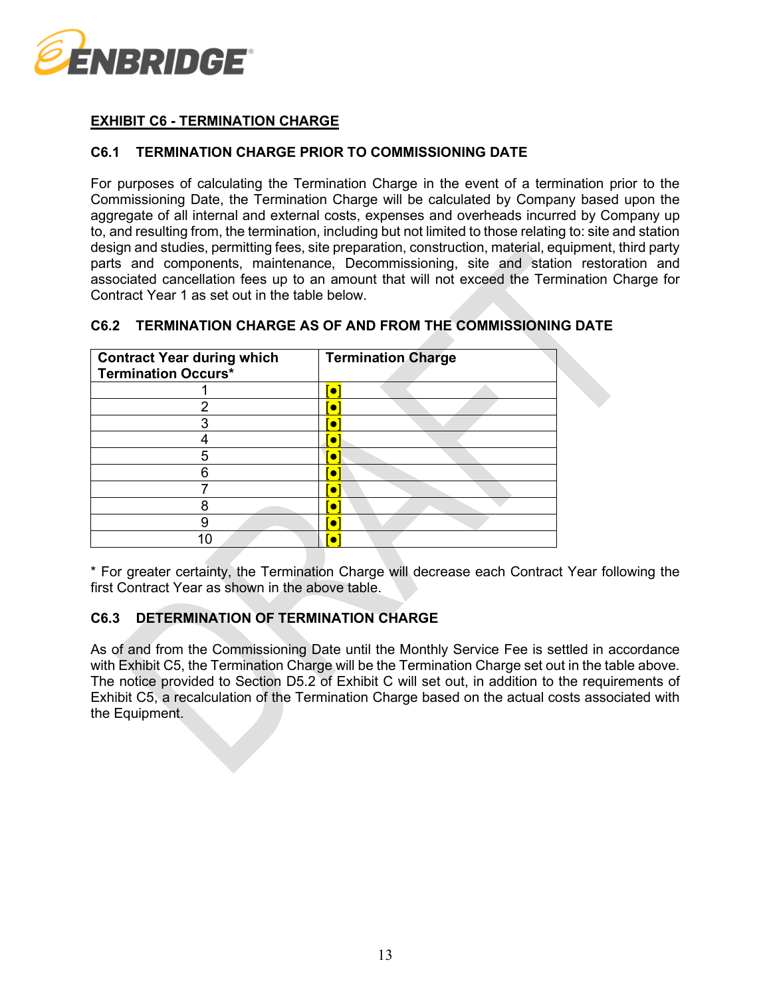

# **EXHIBIT C6 - TERMINATION CHARGE**

# **C6.1 TERMINATION CHARGE PRIOR TO COMMISSIONING DATE**

For purposes of calculating the Termination Charge in the event of a termination prior to the Commissioning Date, the Termination Charge will be calculated by Company based upon the aggregate of all internal and external costs, expenses and overheads incurred by Company up to, and resulting from, the termination, including but not limited to those relating to: site and station design and studies, permitting fees, site preparation, construction, material, equipment, third party parts and components, maintenance, Decommissioning, site and station restoration and associated cancellation fees up to an amount that will not exceed the Termination Charge for Contract Year 1 as set out in the table below.

| C6.2 TERMINATION CHARGE AS OF AND FROM THE COMMISSIONING DATE |  |  |  |
|---------------------------------------------------------------|--|--|--|
|                                                               |  |  |  |

| <b>Contract Year during which</b><br><b>Termination Occurs*</b> | <b>Termination Charge</b> |  |  |  |  |  |
|-----------------------------------------------------------------|---------------------------|--|--|--|--|--|
|                                                                 |                           |  |  |  |  |  |
|                                                                 |                           |  |  |  |  |  |
|                                                                 |                           |  |  |  |  |  |
|                                                                 |                           |  |  |  |  |  |
|                                                                 |                           |  |  |  |  |  |
|                                                                 |                           |  |  |  |  |  |
|                                                                 |                           |  |  |  |  |  |
|                                                                 |                           |  |  |  |  |  |
|                                                                 |                           |  |  |  |  |  |
|                                                                 |                           |  |  |  |  |  |

\* For greater certainty, the Termination Charge will decrease each Contract Year following the first Contract Year as shown in the above table.

# **C6.3 DETERMINATION OF TERMINATION CHARGE**

As of and from the Commissioning Date until the Monthly Service Fee is settled in accordance with Exhibit C5, the Termination Charge will be the Termination Charge set out in the table above. The notice provided to Section D5.2 of Exhibit C will set out, in addition to the requirements of Exhibit C5, a recalculation of the Termination Charge based on the actual costs associated with the Equipment.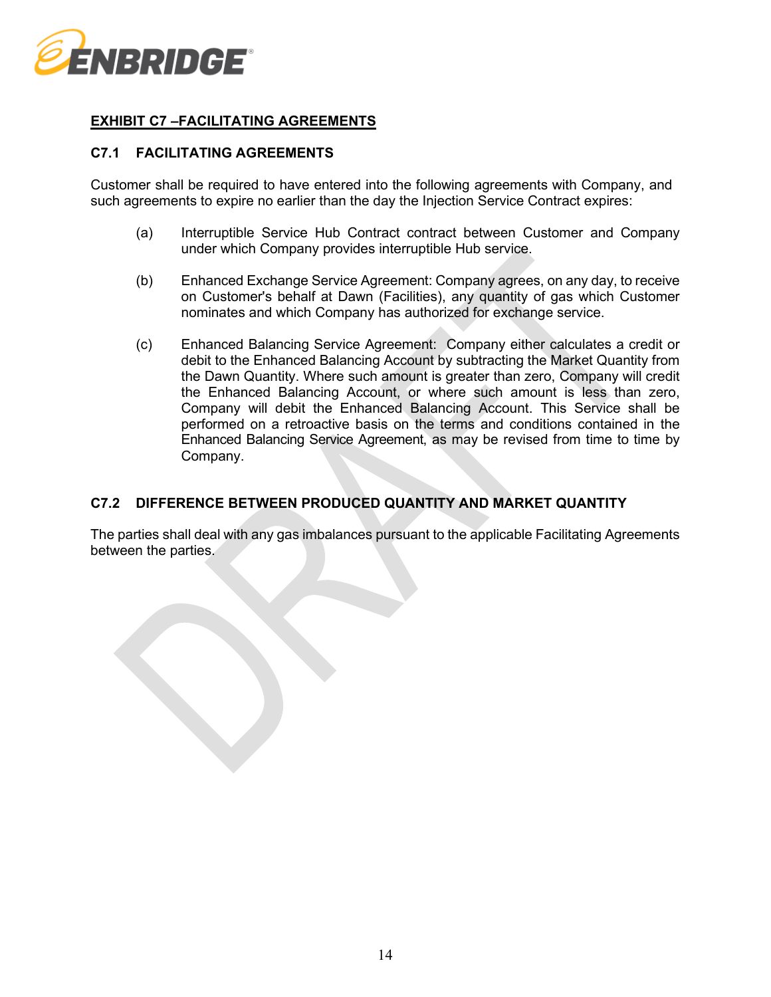

# **EXHIBIT C7 –FACILITATING AGREEMENTS**

### **C7.1 FACILITATING AGREEMENTS**

Customer shall be required to have entered into the following agreements with Company, and such agreements to expire no earlier than the day the Injection Service Contract expires:

- (a) Interruptible Service Hub Contract contract between Customer and Company under which Company provides interruptible Hub service.
- (b) Enhanced Exchange Service Agreement: Company agrees, on any day, to receive on Customer's behalf at Dawn (Facilities), any quantity of gas which Customer nominates and which Company has authorized for exchange service.
- (c) Enhanced Balancing Service Agreement: Company either calculates a credit or debit to the Enhanced Balancing Account by subtracting the Market Quantity from the Dawn Quantity. Where such amount is greater than zero, Company will credit the Enhanced Balancing Account, or where such amount is less than zero, Company will debit the Enhanced Balancing Account. This Service shall be performed on a retroactive basis on the terms and conditions contained in the Enhanced Balancing Service Agreement, as may be revised from time to time by Company.

# **C7.2 DIFFERENCE BETWEEN PRODUCED QUANTITY AND MARKET QUANTITY**

The parties shall deal with any gas imbalances pursuant to the applicable Facilitating Agreements between the parties.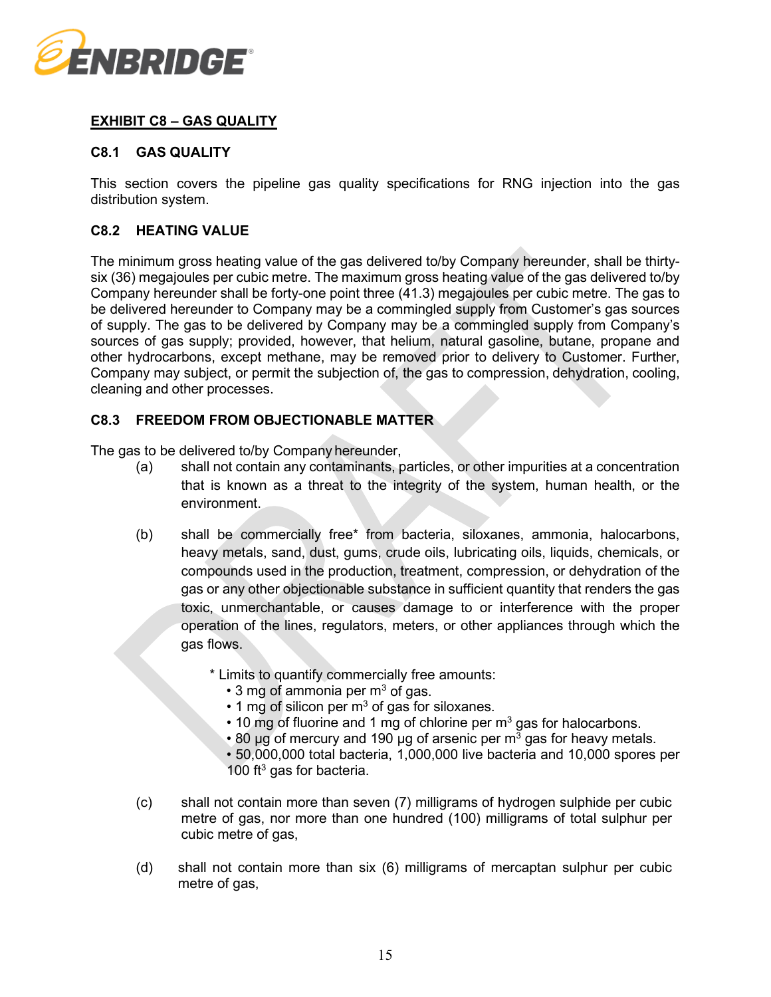

# **EXHIBIT C8 – GAS QUALITY**

# **C8.1 GAS QUALITY**

This section covers the pipeline gas quality specifications for RNG injection into the gas distribution system.

# **C8.2 HEATING VALUE**

The minimum gross heating value of the gas delivered to/by Company hereunder, shall be thirtysix (36) megajoules per cubic metre. The maximum gross heating value of the gas delivered to/by Company hereunder shall be forty-one point three (41.3) megajoules per cubic metre. The gas to be delivered hereunder to Company may be a commingled supply from Customer's gas sources of supply. The gas to be delivered by Company may be a commingled supply from Company's sources of gas supply; provided, however, that helium, natural gasoline, butane, propane and other hydrocarbons, except methane, may be removed prior to delivery to Customer. Further, Company may subject, or permit the subjection of, the gas to compression, dehydration, cooling, cleaning and other processes.

### **C8.3 FREEDOM FROM OBJECTIONABLE MATTER**

The gas to be delivered to/by Company hereunder,

- (a) shall not contain any contaminants, particles, or other impurities at a concentration that is known as a threat to the integrity of the system, human health, or the environment.
- (b) shall be commercially free\* from bacteria, siloxanes, ammonia, halocarbons, heavy metals, sand, dust, gums, crude oils, lubricating oils, liquids, chemicals, or compounds used in the production, treatment, compression, or dehydration of the gas or any other objectionable substance in sufficient quantity that renders the gas toxic, unmerchantable, or causes damage to or interference with the proper operation of the lines, regulators, meters, or other appliances through which the gas flows.
	- \* Limits to quantify commercially free amounts:
		- $\cdot$  3 mg of ammonia per m<sup>3</sup> of gas.
		- $\cdot$  1 mg of silicon per m<sup>3</sup> of gas for siloxanes.
		- $\cdot$  10 mg of fluorine and 1 mg of chlorine per m<sup>3</sup> gas for halocarbons.
		- 80 µg of mercury and 190 µg of arsenic per  $m<sup>3</sup>$  gas for heavy metals.
		- 50,000,000 total bacteria, 1,000,000 live bacteria and 10,000 spores per 100  $ft^3$  gas for bacteria.
- (c) shall not contain more than seven (7) milligrams of hydrogen sulphide per cubic metre of gas, nor more than one hundred (100) milligrams of total sulphur per cubic metre of gas,
- (d) shall not contain more than six (6) milligrams of mercaptan sulphur per cubic metre of gas,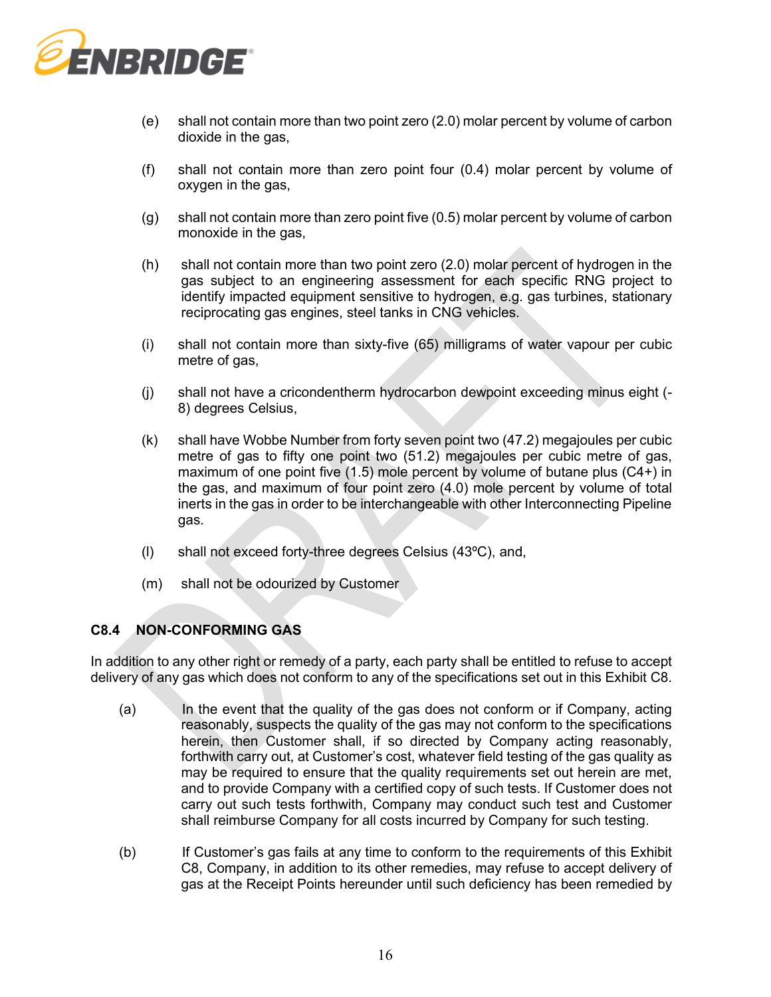

- (e) shall not contain more than two point zero (2.0) molar percent by volume of carbon dioxide in the gas,
- (f) shall not contain more than zero point four (0.4) molar percent by volume of oxygen in the gas,
- (g) shall not contain more than zero point five (0.5) molar percent by volume of carbon monoxide in the gas,
- (h) shall not contain more than two point zero (2.0) molar percent of hydrogen in the gas subject to an engineering assessment for each specific RNG project to identify impacted equipment sensitive to hydrogen, e.g. gas turbines, stationary reciprocating gas engines, steel tanks in CNG vehicles.
- (i) shall not contain more than sixty-five (65) milligrams of water vapour per cubic metre of gas,
- (j) shall not have a cricondentherm hydrocarbon dewpoint exceeding minus eight (- 8) degrees Celsius,
- (k) shall have Wobbe Number from forty seven point two (47.2) megajoules per cubic metre of gas to fifty one point two (51.2) megajoules per cubic metre of gas, maximum of one point five (1.5) mole percent by volume of butane plus (C4+) in the gas, and maximum of four point zero (4.0) mole percent by volume of total inerts in the gas in order to be interchangeable with other Interconnecting Pipeline gas.
- (l) shall not exceed forty-three degrees Celsius (43ºC), and,
- (m) shall not be odourized by Customer

# **C8.4 NON-CONFORMING GAS**

In addition to any other right or remedy of a party, each party shall be entitled to refuse to accept delivery of any gas which does not conform to any of the specifications set out in this Exhibit C8.

- (a) In the event that the quality of the gas does not conform or if Company, acting reasonably, suspects the quality of the gas may not conform to the specifications herein, then Customer shall, if so directed by Company acting reasonably, forthwith carry out, at Customer's cost, whatever field testing of the gas quality as may be required to ensure that the quality requirements set out herein are met, and to provide Company with a certified copy of such tests. If Customer does not carry out such tests forthwith, Company may conduct such test and Customer shall reimburse Company for all costs incurred by Company for such testing.
- (b) If Customer's gas fails at any time to conform to the requirements of this Exhibit C8, Company, in addition to its other remedies, may refuse to accept delivery of gas at the Receipt Points hereunder until such deficiency has been remedied by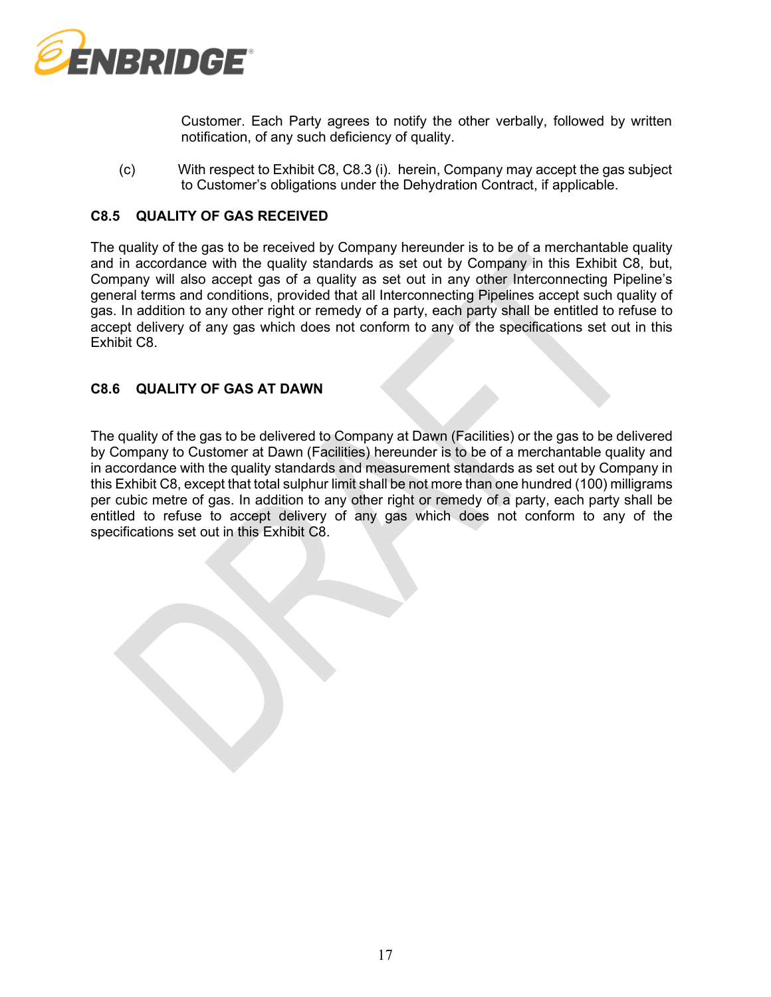

Customer. Each Party agrees to notify the other verbally, followed by written notification, of any such deficiency of quality.

(c) With respect to Exhibit C8, C8.3 (i). herein, Company may accept the gas subject to Customer's obligations under the Dehydration Contract, if applicable.

# **C8.5 QUALITY OF GAS RECEIVED**

The quality of the gas to be received by Company hereunder is to be of a merchantable quality and in accordance with the quality standards as set out by Company in this Exhibit C8, but, Company will also accept gas of a quality as set out in any other Interconnecting Pipeline's general terms and conditions, provided that all Interconnecting Pipelines accept such quality of gas. In addition to any other right or remedy of a party, each party shall be entitled to refuse to accept delivery of any gas which does not conform to any of the specifications set out in this Exhibit C8.

### **C8.6 QUALITY OF GAS AT DAWN**

The quality of the gas to be delivered to Company at Dawn (Facilities) or the gas to be delivered by Company to Customer at Dawn (Facilities) hereunder is to be of a merchantable quality and in accordance with the quality standards and measurement standards as set out by Company in this Exhibit C8, except that total sulphur limit shall be not more than one hundred (100) milligrams per cubic metre of gas. In addition to any other right or remedy of a party, each party shall be entitled to refuse to accept delivery of any gas which does not conform to any of the specifications set out in this Exhibit C8.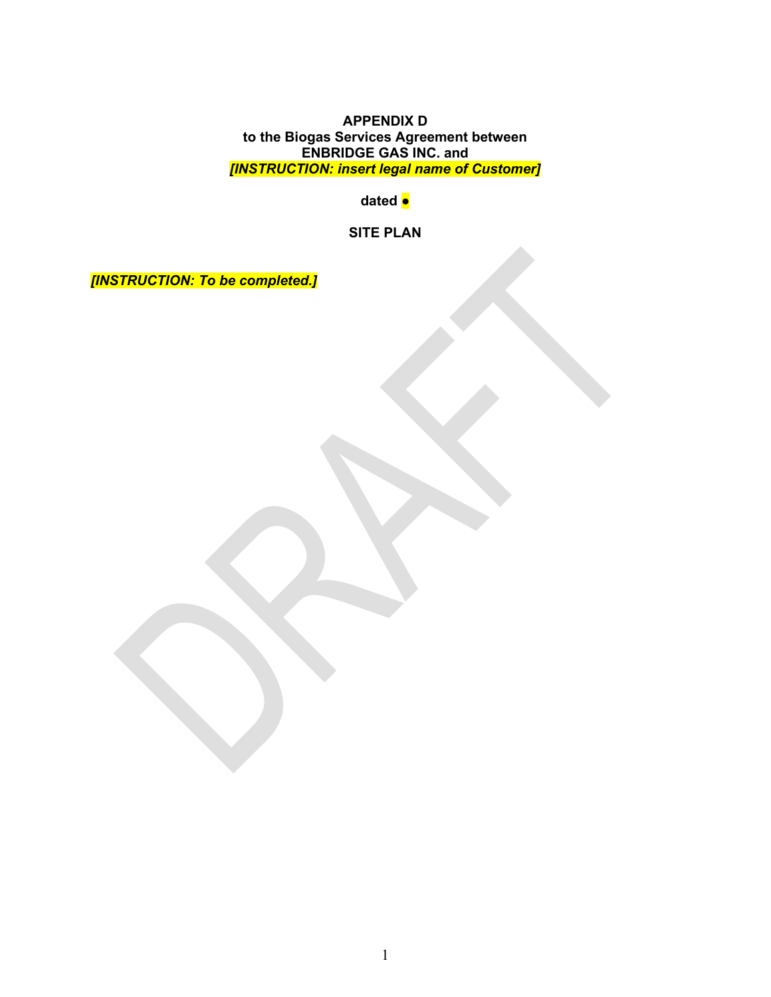**APPENDIX D to the Biogas Services Agreement between ENBRIDGE GAS INC. and**  *[INSTRUCTION: insert legal name of Customer]*

**dated ●**

**SITE PLAN**

*[INSTRUCTION: To be completed.]*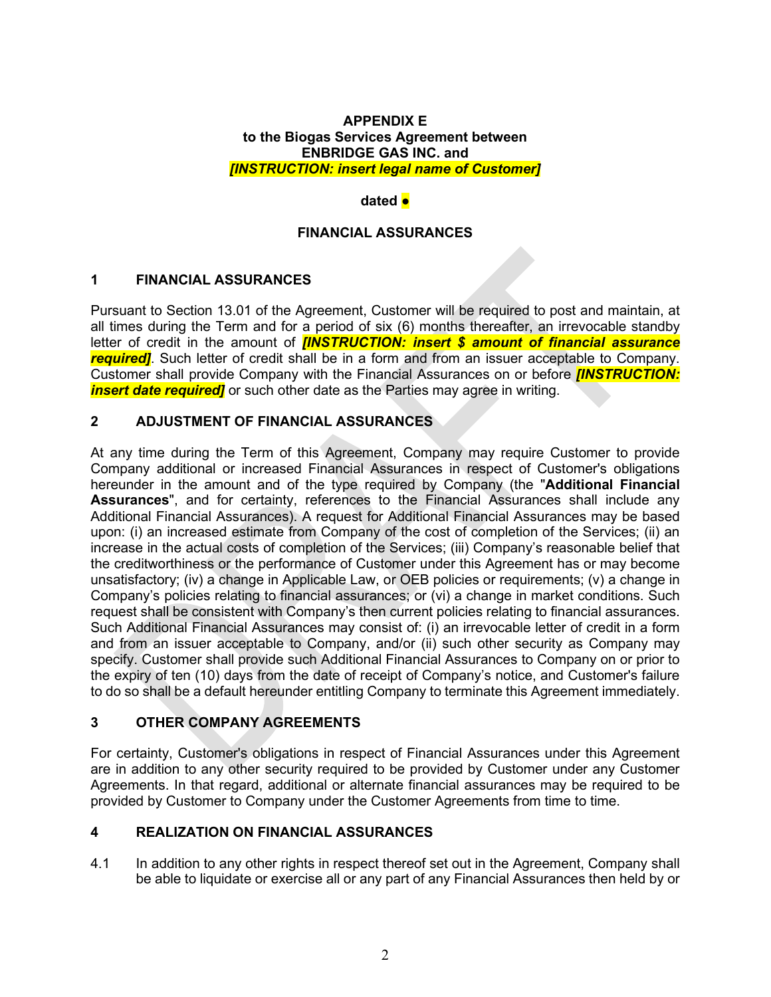### **APPENDIX E to the Biogas Services Agreement between ENBRIDGE GAS INC. and**  *[INSTRUCTION: insert legal name of Customer]*

### **dated ●**

# **FINANCIAL ASSURANCES**

# **1 FINANCIAL ASSURANCES**

Pursuant to Section [13.01](#page-13-2) of the Agreement, Customer will be required to post and maintain, at all times during the Term and for a period of six (6) months thereafter, an irrevocable standby letter of credit in the amount of *[INSTRUCTION: insert \$ amount of financial assurance required]*. Such letter of credit shall be in a form and from an issuer acceptable to Company. Customer shall provide Company with the Financial Assurances on or before *[INSTRUCTION: insert date required]* or such other date as the Parties may agree in writing.

# **2 ADJUSTMENT OF FINANCIAL ASSURANCES**

At any time during the Term of this Agreement, Company may require Customer to provide Company additional or increased Financial Assurances in respect of Customer's obligations hereunder in the amount and of the type required by Company (the "**Additional Financial Assurances**", and for certainty, references to the Financial Assurances shall include any Additional Financial Assurances). A request for Additional Financial Assurances may be based upon: (i) an increased estimate from Company of the cost of completion of the Services; (ii) an increase in the actual costs of completion of the Services; (iii) Company's reasonable belief that the creditworthiness or the performance of Customer under this Agreement has or may become unsatisfactory; (iv) a change in Applicable Law, or OEB policies or requirements; (v) a change in Company's policies relating to financial assurances; or (vi) a change in market conditions. Such request shall be consistent with Company's then current policies relating to financial assurances. Such Additional Financial Assurances may consist of: (i) an irrevocable letter of credit in a form and from an issuer acceptable to Company, and/or (ii) such other security as Company may specify. Customer shall provide such Additional Financial Assurances to Company on or prior to the expiry of ten (10) days from the date of receipt of Company's notice, and Customer's failure to do so shall be a default hereunder entitling Company to terminate this Agreement immediately.

# **3 OTHER COMPANY AGREEMENTS**

For certainty, Customer's obligations in respect of Financial Assurances under this Agreement are in addition to any other security required to be provided by Customer under any Customer Agreements. In that regard, additional or alternate financial assurances may be required to be provided by Customer to Company under the Customer Agreements from time to time.

# **4 REALIZATION ON FINANCIAL ASSURANCES**

4.1 In addition to any other rights in respect thereof set out in the Agreement, Company shall be able to liquidate or exercise all or any part of any Financial Assurances then held by or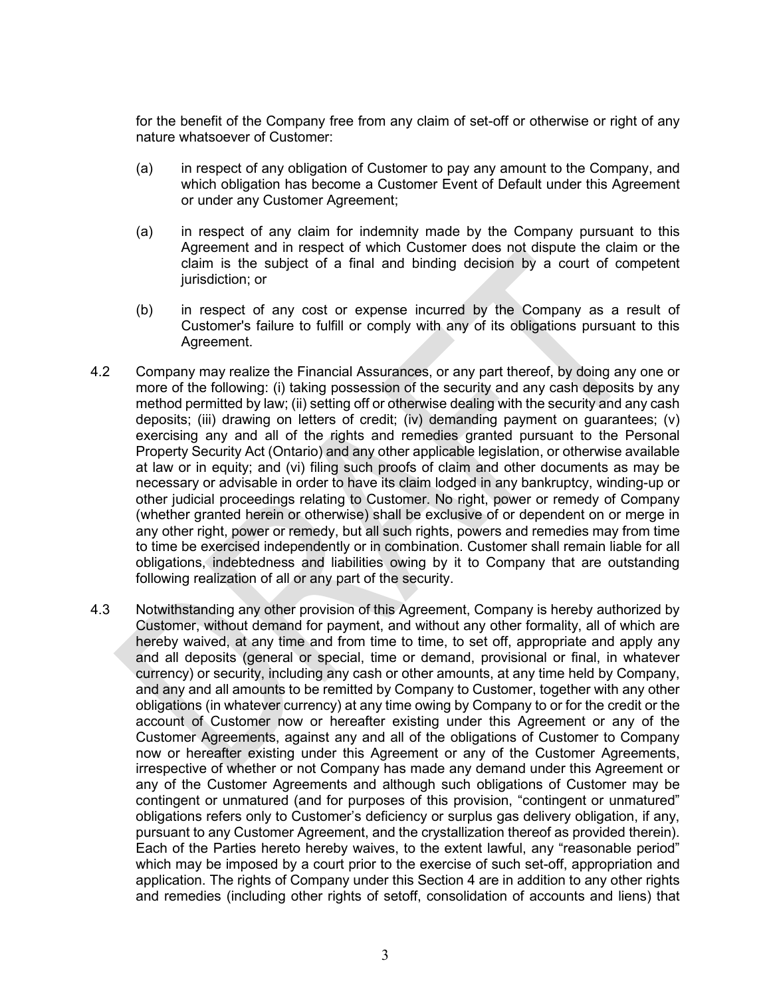for the benefit of the Company free from any claim of set-off or otherwise or right of any nature whatsoever of Customer:

- (a) in respect of any obligation of Customer to pay any amount to the Company, and which obligation has become a Customer Event of Default under this Agreement or under any Customer Agreement;
- (a) in respect of any claim for indemnity made by the Company pursuant to this Agreement and in respect of which Customer does not dispute the claim or the claim is the subject of a final and binding decision by a court of competent jurisdiction; or
- (b) in respect of any cost or expense incurred by the Company as a result of Customer's failure to fulfill or comply with any of its obligations pursuant to this Agreement.
- 4.2 Company may realize the Financial Assurances, or any part thereof, by doing any one or more of the following: (i) taking possession of the security and any cash deposits by any method permitted by law; (ii) setting off or otherwise dealing with the security and any cash deposits; (iii) drawing on letters of credit; (iv) demanding payment on guarantees; (v) exercising any and all of the rights and remedies granted pursuant to the Personal Property Security Act (Ontario) and any other applicable legislation, or otherwise available at law or in equity; and (vi) filing such proofs of claim and other documents as may be necessary or advisable in order to have its claim lodged in any bankruptcy, winding-up or other judicial proceedings relating to Customer. No right, power or remedy of Company (whether granted herein or otherwise) shall be exclusive of or dependent on or merge in any other right, power or remedy, but all such rights, powers and remedies may from time to time be exercised independently or in combination. Customer shall remain liable for all obligations, indebtedness and liabilities owing by it to Company that are outstanding following realization of all or any part of the security.
- 4.3 Notwithstanding any other provision of this Agreement, Company is hereby authorized by Customer, without demand for payment, and without any other formality, all of which are hereby waived, at any time and from time to time, to set off, appropriate and apply any and all deposits (general or special, time or demand, provisional or final, in whatever currency) or security, including any cash or other amounts, at any time held by Company, and any and all amounts to be remitted by Company to Customer, together with any other obligations (in whatever currency) at any time owing by Company to or for the credit or the account of Customer now or hereafter existing under this Agreement or any of the Customer Agreements, against any and all of the obligations of Customer to Company now or hereafter existing under this Agreement or any of the Customer Agreements, irrespective of whether or not Company has made any demand under this Agreement or any of the Customer Agreements and although such obligations of Customer may be contingent or unmatured (and for purposes of this provision, "contingent or unmatured" obligations refers only to Customer's deficiency or surplus gas delivery obligation, if any, pursuant to any Customer Agreement, and the crystallization thereof as provided therein). Each of the Parties hereto hereby waives, to the extent lawful, any "reasonable period" which may be imposed by a court prior to the exercise of such set-off, appropriation and application. The rights of Company under this Section 4 are in addition to any other rights and remedies (including other rights of setoff, consolidation of accounts and liens) that